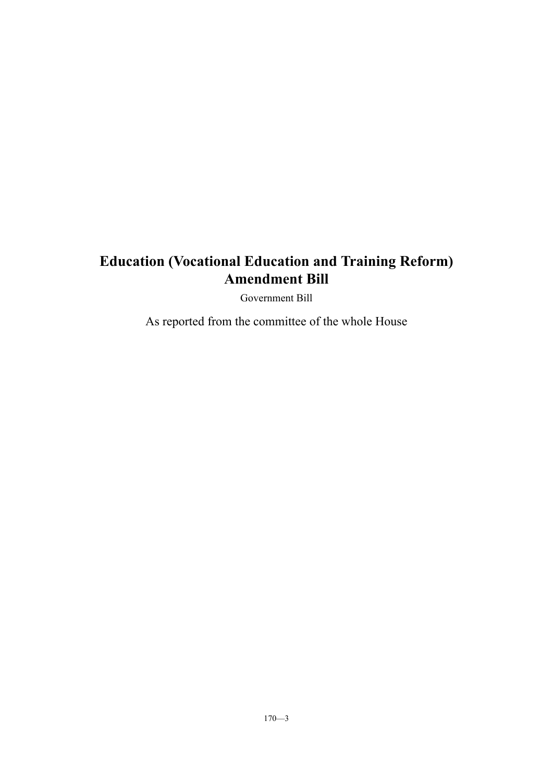Government Bill

As reported from the committee of the whole House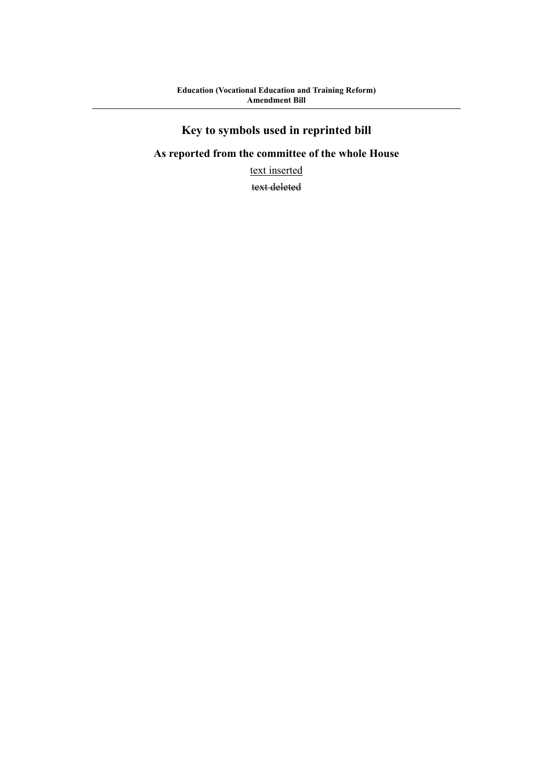# **Key to symbols used in reprinted bill**

# **As reported from the committee of the whole House**

text inserted

text deleted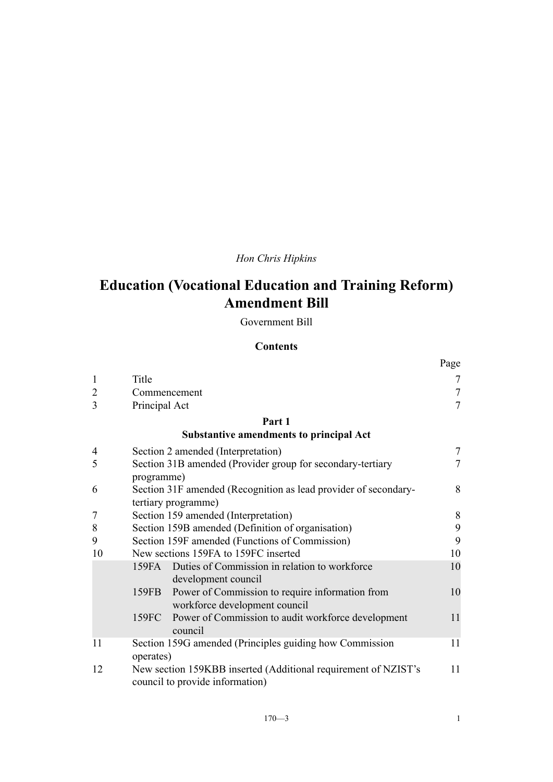# *Hon Chris Hipkins*

# **Education (Vocational Education and Training Reform) Amendment Bill**

Government Bill

# **Contents**

|                |                                                                                                   | Page           |
|----------------|---------------------------------------------------------------------------------------------------|----------------|
| $\mathbf{1}$   | Title                                                                                             | 7              |
| $\overline{2}$ | Commencement                                                                                      | $\overline{7}$ |
| 3              | Principal Act                                                                                     | $\overline{7}$ |
|                | Part 1                                                                                            |                |
|                | <b>Substantive amendments to principal Act</b>                                                    |                |
| $\overline{4}$ | Section 2 amended (Interpretation)                                                                | 7              |
| 5              | Section 31B amended (Provider group for secondary-tertiary<br>programme)                          | 7              |
| 6              | Section 31F amended (Recognition as lead provider of secondary-<br>tertiary programme)            | 8              |
| 7              | Section 159 amended (Interpretation)                                                              | 8              |
| 8              | Section 159B amended (Definition of organisation)                                                 | 9              |
| 9              | Section 159F amended (Functions of Commission)                                                    | 9              |
| 10             | New sections 159FA to 159FC inserted                                                              | 10             |
|                | Duties of Commission in relation to workforce<br>159FA<br>development council                     | 10             |
|                | Power of Commission to require information from<br>159FB<br>workforce development council         | 10             |
|                | Power of Commission to audit workforce development<br>159FC<br>council                            | 11             |
| 11             | Section 159G amended (Principles guiding how Commission<br>operates)                              | 11             |
| 12             | New section 159KBB inserted (Additional requirement of NZIST's<br>council to provide information) | 11             |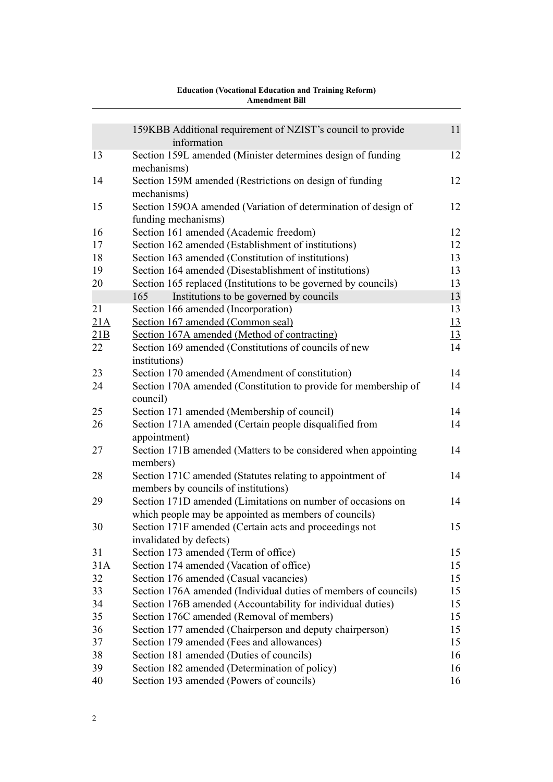|          | 159KBB Additional requirement of NZIST's council to provide<br>information    | 11        |
|----------|-------------------------------------------------------------------------------|-----------|
| 13       | Section 159L amended (Minister determines design of funding                   | 12        |
|          | mechanisms)                                                                   |           |
| 14       | Section 159M amended (Restrictions on design of funding                       | 12        |
| 15       | mechanisms)<br>Section 159OA amended (Variation of determination of design of | 12        |
|          | funding mechanisms)                                                           |           |
| 16       | Section 161 amended (Academic freedom)                                        | 12        |
| 17       | Section 162 amended (Establishment of institutions)                           | 12        |
| 18       | Section 163 amended (Constitution of institutions)                            | 13        |
| 19       | Section 164 amended (Disestablishment of institutions)                        | 13        |
| 20       | Section 165 replaced (Institutions to be governed by councils)                | 13        |
|          | Institutions to be governed by councils<br>165                                | 13        |
| 21       |                                                                               | 13        |
|          | Section 166 amended (Incorporation)                                           |           |
| 21A      | Section 167 amended (Common seal)                                             | 13        |
| 21B      | Section 167A amended (Method of contracting)                                  | <u>13</u> |
| 22       | Section 169 amended (Constitutions of councils of new                         | 14        |
|          | institutions)                                                                 |           |
| 23       | Section 170 amended (Amendment of constitution)                               | 14        |
| 24       | Section 170A amended (Constitution to provide for membership of<br>council)   | 14        |
| 25       | Section 171 amended (Membership of council)                                   | 14        |
| 26       | Section 171A amended (Certain people disqualified from                        | 14        |
|          | appointment)                                                                  |           |
| 27       | Section 171B amended (Matters to be considered when appointing                | 14        |
|          | members)                                                                      |           |
| 28       | Section 171C amended (Statutes relating to appointment of                     | 14        |
|          | members by councils of institutions)                                          |           |
| 29       | Section 171D amended (Limitations on number of occasions on                   | 14        |
|          | which people may be appointed as members of councils)                         |           |
| 30       | Section 171F amended (Certain acts and proceedings not                        | 15        |
|          | invalidated by defects)                                                       |           |
| 31       | Section 173 amended (Term of office)                                          | 15        |
| 31A      | Section 174 amended (Vacation of office)                                      | 15        |
| 32       | Section 176 amended (Casual vacancies)                                        | 15        |
| 33       | Section 176A amended (Individual duties of members of councils)               | 15        |
| 34       | Section 176B amended (Accountability for individual duties)                   | 15        |
| 35       | Section 176C amended (Removal of members)                                     | 15        |
|          |                                                                               | 15        |
| 36<br>37 | Section 177 amended (Chairperson and deputy chairperson)                      |           |
|          | Section 179 amended (Fees and allowances)                                     | 15        |
| 38       | Section 181 amended (Duties of councils)                                      | 16        |
| 39       | Section 182 amended (Determination of policy)                                 | 16        |
| 40       | Section 193 amended (Powers of councils)                                      | 16        |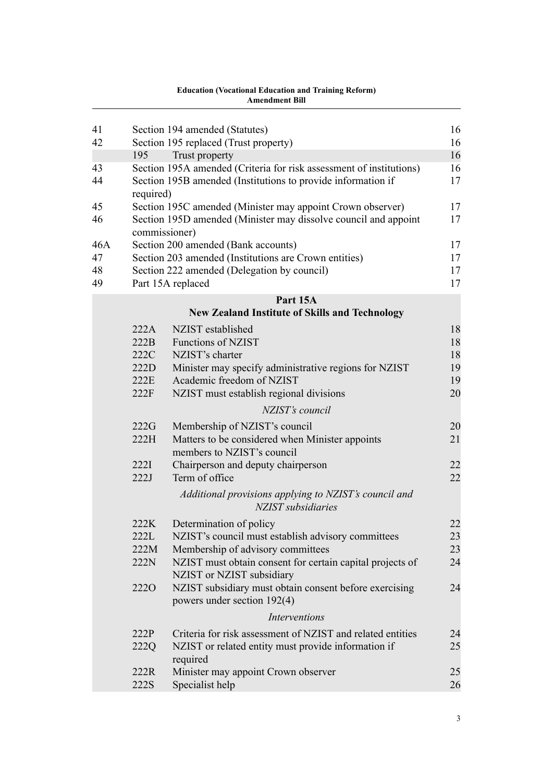| 41<br>42              |                                              | Section 194 amended (Statutes)<br>Section 195 replaced (Trust property)                                                                                                                                                                                                | 16<br>16                         |
|-----------------------|----------------------------------------------|------------------------------------------------------------------------------------------------------------------------------------------------------------------------------------------------------------------------------------------------------------------------|----------------------------------|
|                       | 195                                          | Trust property                                                                                                                                                                                                                                                         | 16                               |
| 43<br>44              | required)                                    | Section 195A amended (Criteria for risk assessment of institutions)<br>Section 195B amended (Institutions to provide information if                                                                                                                                    | 16<br>17                         |
| 45<br>46              |                                              | Section 195C amended (Minister may appoint Crown observer)<br>Section 195D amended (Minister may dissolve council and appoint<br>commissioner)                                                                                                                         | 17<br>17                         |
| 46A<br>47<br>48<br>49 |                                              | Section 200 amended (Bank accounts)<br>Section 203 amended (Institutions are Crown entities)<br>Section 222 amended (Delegation by council)<br>Part 15A replaced                                                                                                       | 17<br>17<br>17<br>17             |
|                       |                                              | Part 15A                                                                                                                                                                                                                                                               |                                  |
|                       |                                              | <b>New Zealand Institute of Skills and Technology</b>                                                                                                                                                                                                                  |                                  |
|                       | 222A<br>222B<br>222C<br>222D<br>222E<br>222F | NZIST established<br><b>Functions of NZIST</b><br>NZIST's charter<br>Minister may specify administrative regions for NZIST<br>Academic freedom of NZIST<br>NZIST must establish regional divisions                                                                     | 18<br>18<br>18<br>19<br>19<br>20 |
|                       |                                              | NZIST's council                                                                                                                                                                                                                                                        |                                  |
|                       | 222G<br>222H                                 | Membership of NZIST's council<br>Matters to be considered when Minister appoints<br>members to NZIST's council                                                                                                                                                         | 20<br>21                         |
|                       | 222I<br>222J                                 | Chairperson and deputy chairperson<br>Term of office                                                                                                                                                                                                                   | 22<br>22                         |
|                       |                                              | Additional provisions applying to NZIST's council and<br>NZIST subsidiaries                                                                                                                                                                                            |                                  |
|                       | 222K<br>222L<br>222M<br>222N<br><b>2220</b>  | Determination of policy<br>NZIST's council must establish advisory committees<br>Membership of advisory committees<br>NZIST must obtain consent for certain capital projects of<br>NZIST or NZIST subsidiary<br>NZIST subsidiary must obtain consent before exercising | 22<br>23<br>23<br>24<br>24       |
|                       |                                              | powers under section 192(4)<br><b>Interventions</b>                                                                                                                                                                                                                    |                                  |
|                       | 222P                                         | Criteria for risk assessment of NZIST and related entities                                                                                                                                                                                                             | 24                               |
|                       | 222Q                                         | NZIST or related entity must provide information if<br>required                                                                                                                                                                                                        | 25                               |
|                       | 222R<br>222S                                 | Minister may appoint Crown observer<br>Specialist help                                                                                                                                                                                                                 | 25<br>26                         |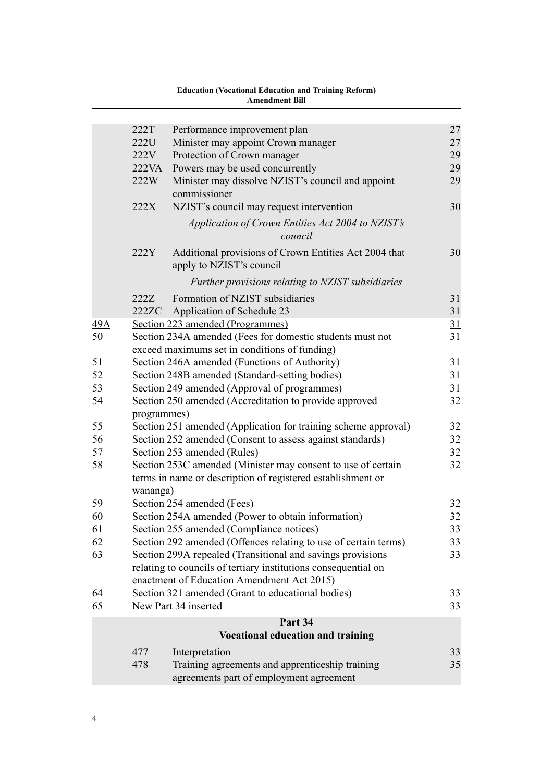|     |             | <b>Education (Vocational Education and Training Reform)</b><br><b>Amendment Bill</b>                                        |    |
|-----|-------------|-----------------------------------------------------------------------------------------------------------------------------|----|
|     | 222T        |                                                                                                                             | 27 |
|     | 222U        | Performance improvement plan<br>Minister may appoint Crown manager                                                          | 27 |
|     | 222V        | Protection of Crown manager                                                                                                 | 29 |
|     | 222VA       | Powers may be used concurrently                                                                                             | 29 |
|     | 222W        | Minister may dissolve NZIST's council and appoint<br>commissioner                                                           | 29 |
|     | 222X        | NZIST's council may request intervention                                                                                    | 30 |
|     |             | Application of Crown Entities Act 2004 to NZIST's<br>council                                                                |    |
|     | 222Y        | Additional provisions of Crown Entities Act 2004 that<br>apply to NZIST's council                                           | 30 |
|     |             | Further provisions relating to NZIST subsidiaries                                                                           |    |
|     | 222Z        | Formation of NZIST subsidiaries                                                                                             | 31 |
|     | 222ZC       | Application of Schedule 23                                                                                                  | 31 |
| 49A |             | Section 223 amended (Programmes)                                                                                            | 31 |
| 50  |             | Section 234A amended (Fees for domestic students must not<br>exceed maximums set in conditions of funding)                  | 31 |
| 51  |             | Section 246A amended (Functions of Authority)                                                                               | 31 |
| 52  |             | Section 248B amended (Standard-setting bodies)                                                                              | 31 |
| 53  |             | Section 249 amended (Approval of programmes)                                                                                | 31 |
| 54  | programmes) | Section 250 amended (Accreditation to provide approved                                                                      | 32 |
| 55  |             | Section 251 amended (Application for training scheme approval)                                                              | 32 |
| 56  |             | Section 252 amended (Consent to assess against standards)                                                                   | 32 |
| 57  |             | Section 253 amended (Rules)                                                                                                 | 32 |
| 58  | wananga)    | Section 253C amended (Minister may consent to use of certain<br>terms in name or description of registered establishment or | 32 |
| 59  |             | Section 254 amended (Fees)                                                                                                  | 32 |
| 60  |             | Section 254A amended (Power to obtain information)                                                                          | 32 |
| 61  |             | Section 255 amended (Compliance notices)                                                                                    | 33 |
| 62  |             | Section 292 amended (Offences relating to use of certain terms)                                                             | 33 |
| 63  |             | Section 299A repealed (Transitional and savings provisions                                                                  | 33 |
|     |             | relating to councils of tertiary institutions consequential on<br>enactment of Education Amendment Act 2015)                |    |
| 64  |             | Section 321 amended (Grant to educational bodies)                                                                           | 33 |
| 65  |             | New Part 34 inserted                                                                                                        | 33 |
|     |             | Part 34                                                                                                                     |    |
|     |             | <b>Vocational education and training</b>                                                                                    |    |
|     | 477         | Interpretation                                                                                                              | 33 |
|     | 478         | Training agreements and apprenticeship training                                                                             | 35 |
|     |             | agreements part of employment agreement                                                                                     |    |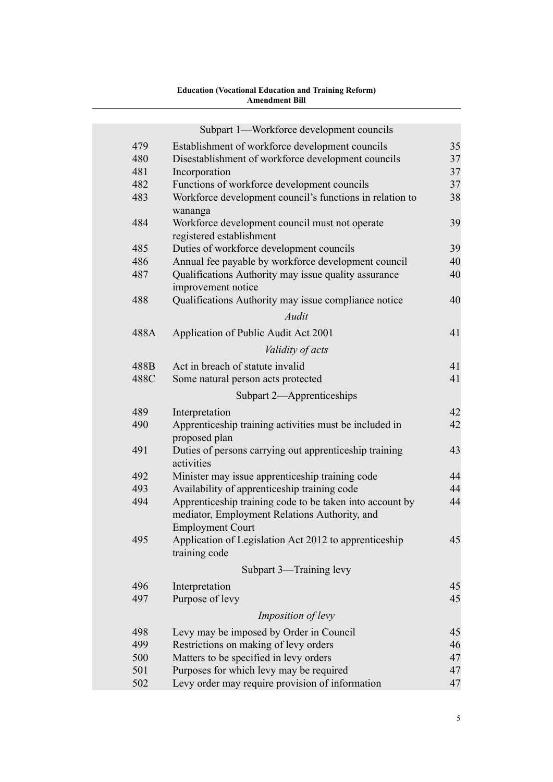|      | Атепатепт вш                                                               |    |
|------|----------------------------------------------------------------------------|----|
|      |                                                                            |    |
|      | Subpart 1—Workforce development councils                                   |    |
| 479  | Establishment of workforce development councils                            | 35 |
| 480  | Disestablishment of workforce development councils                         | 37 |
| 481  | Incorporation                                                              | 37 |
| 482  | Functions of workforce development councils                                | 37 |
| 483  | Workforce development council's functions in relation to                   | 38 |
| 484  | wananga                                                                    | 39 |
|      | Workforce development council must not operate<br>registered establishment |    |
| 485  | Duties of workforce development councils                                   | 39 |
| 486  | Annual fee payable by workforce development council                        | 40 |
| 487  | Qualifications Authority may issue quality assurance                       | 40 |
|      | improvement notice                                                         |    |
| 488  | Qualifications Authority may issue compliance notice                       | 40 |
|      | Audit                                                                      |    |
| 488A | Application of Public Audit Act 2001                                       | 41 |
|      | Validity of acts                                                           |    |
| 488B | Act in breach of statute invalid                                           | 41 |
| 488C | Some natural person acts protected                                         | 41 |
|      | Subpart 2—Apprenticeships                                                  |    |
| 489  | Interpretation                                                             | 42 |
| 490  | Apprenticeship training activities must be included in                     | 42 |
|      | proposed plan                                                              |    |
| 491  | Duties of persons carrying out apprenticeship training                     | 43 |
|      | activities                                                                 |    |
| 492  | Minister may issue apprenticeship training code                            | 44 |
| 493  | Availability of apprenticeship training code                               | 44 |
| 494  | Apprenticeship training code to be taken into account by                   | 44 |
|      | mediator, Employment Relations Authority, and                              |    |
|      | <b>Employment Court</b>                                                    |    |
| 495  | Application of Legislation Act 2012 to apprenticeship                      | 45 |
|      | training code                                                              |    |
|      | Subpart 3—Training levy                                                    |    |
| 496  | Interpretation                                                             | 45 |
| 497  | Purpose of levy                                                            | 45 |
|      | Imposition of levy                                                         |    |
| 498  | Levy may be imposed by Order in Council                                    | 45 |
| 499  | Restrictions on making of levy orders                                      | 46 |
| 500  | Matters to be specified in levy orders                                     | 47 |
| 501  | Purposes for which levy may be required                                    | 47 |
| 502  | Levy order may require provision of information                            | 47 |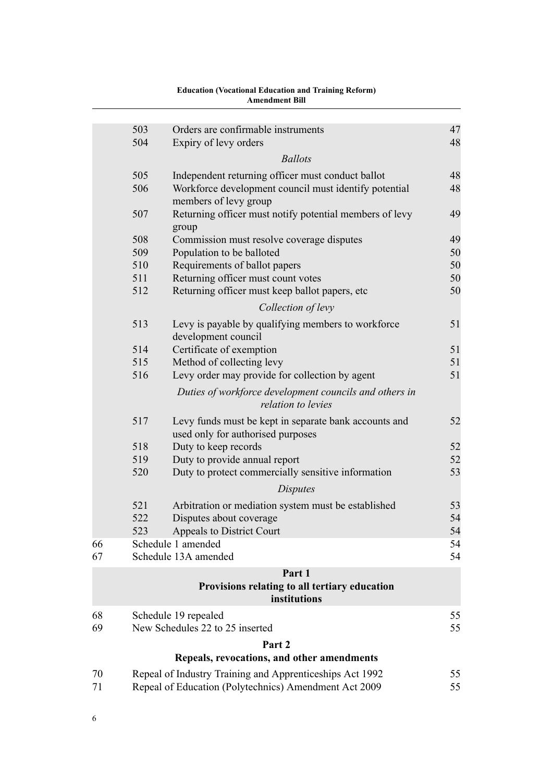|          | 503 | Orders are confirmable instruments                                                                                | 47       |
|----------|-----|-------------------------------------------------------------------------------------------------------------------|----------|
|          | 504 | Expiry of levy orders                                                                                             | 48       |
|          |     | <b>Ballots</b>                                                                                                    |          |
|          | 505 | Independent returning officer must conduct ballot                                                                 | 48       |
|          | 506 | Workforce development council must identify potential<br>members of levy group                                    | 48       |
|          | 507 | Returning officer must notify potential members of levy<br>group                                                  | 49       |
|          | 508 | Commission must resolve coverage disputes                                                                         | 49       |
|          | 509 | Population to be balloted                                                                                         | 50       |
|          | 510 | Requirements of ballot papers                                                                                     | 50       |
|          | 511 | Returning officer must count votes                                                                                | 50       |
|          | 512 | Returning officer must keep ballot papers, etc                                                                    | 50       |
|          |     | Collection of levy                                                                                                |          |
|          | 513 | Levy is payable by qualifying members to workforce<br>development council                                         | 51       |
|          | 514 | Certificate of exemption                                                                                          | 51       |
|          | 515 | Method of collecting levy                                                                                         | 51       |
|          | 516 | Levy order may provide for collection by agent                                                                    | 51       |
|          |     | Duties of workforce development councils and others in<br>relation to levies                                      |          |
|          | 517 | Levy funds must be kept in separate bank accounts and<br>used only for authorised purposes                        | 52       |
|          | 518 | Duty to keep records                                                                                              | 52       |
|          | 519 | Duty to provide annual report                                                                                     | 52       |
|          | 520 | Duty to protect commercially sensitive information                                                                | 53       |
|          |     | <i>Disputes</i>                                                                                                   |          |
|          | 521 | Arbitration or mediation system must be established                                                               | 53       |
|          | 522 | Disputes about coverage                                                                                           | 54       |
|          | 523 | Appeals to District Court                                                                                         | 54       |
| 66       |     | Schedule 1 amended                                                                                                | 54       |
| 67       |     | Schedule 13A amended                                                                                              | 54       |
|          |     | Part 1                                                                                                            |          |
|          |     | Provisions relating to all tertiary education<br>institutions                                                     |          |
| 68       |     | Schedule 19 repealed                                                                                              | 55       |
| 69       |     | New Schedules 22 to 25 inserted                                                                                   | 55       |
|          |     | Part 2                                                                                                            |          |
|          |     | Repeals, revocations, and other amendments                                                                        |          |
| 70<br>71 |     | Repeal of Industry Training and Apprenticeships Act 1992<br>Repeal of Education (Polytechnics) Amendment Act 2009 | 55<br>55 |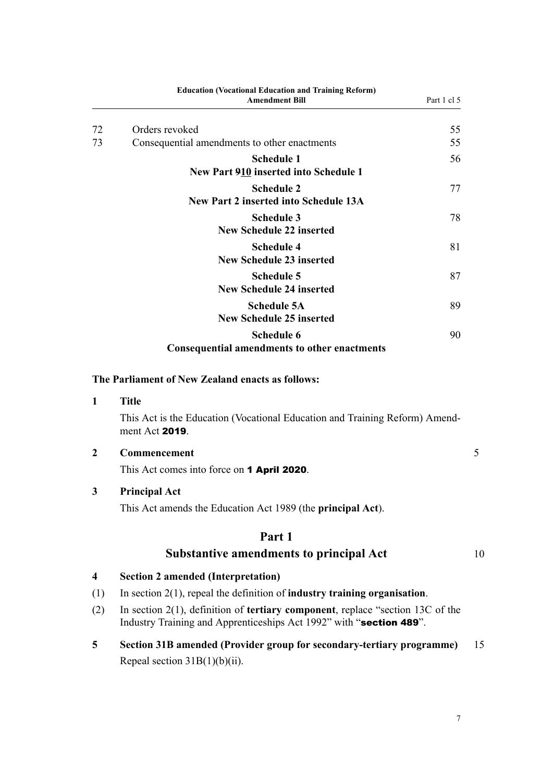<span id="page-10-0"></span>

|                         | <b>Education (Vocational Education and Training Reform)</b><br><b>Amendment Bill</b>          | Part 1 cl 5 |
|-------------------------|-----------------------------------------------------------------------------------------------|-------------|
| 72                      | Orders revoked                                                                                | 55          |
| 73                      | Consequential amendments to other enactments                                                  | 55          |
|                         | <b>Schedule 1</b><br>New Part 910 inserted into Schedule 1                                    | 56          |
|                         | <b>Schedule 2</b><br><b>New Part 2 inserted into Schedule 13A</b>                             | 77          |
|                         | <b>Schedule 3</b><br><b>New Schedule 22 inserted</b>                                          | 78          |
|                         | <b>Schedule 4</b><br><b>New Schedule 23 inserted</b>                                          | 81          |
|                         | <b>Schedule 5</b><br><b>New Schedule 24 inserted</b>                                          | 87          |
|                         | <b>Schedule 5A</b><br><b>New Schedule 25 inserted</b>                                         | 89          |
|                         | <b>Schedule 6</b><br><b>Consequential amendments to other enactments</b>                      | 90          |
|                         | The Parliament of New Zealand enacts as follows:                                              |             |
| 1                       | <b>Title</b>                                                                                  |             |
|                         | This Act is the Education (Vocational Education and Training Reform) Amend-<br>ment Act 2019. |             |
| $\boldsymbol{2}$        | Commencement                                                                                  |             |
|                         | This Act comes into force on 1 April 2020.                                                    |             |
| 3                       | <b>Principal Act</b><br>This Act amends the Education Act 1989 (the <b>principal Act</b> ).   |             |
|                         | Part 1                                                                                        |             |
|                         | <b>Substantive amendments to principal Act</b>                                                |             |
| $\overline{\mathbf{4}}$ | <b>Section 2 amended (Interpretation)</b>                                                     |             |
| (1)                     | In section $2(1)$ , repeal the definition of industry training organisation.                  |             |
| (2)                     | In section $2(1)$ , definition of <b>tertiary component</b> , replace "section 13C of the     |             |

- Industry Training and Apprenticeships Act 1992" with "section 489".
- **5 Section 31B amended (Provider group for secondary-tertiary programme)** 15 Repeal section  $31B(1)(b)(ii)$ .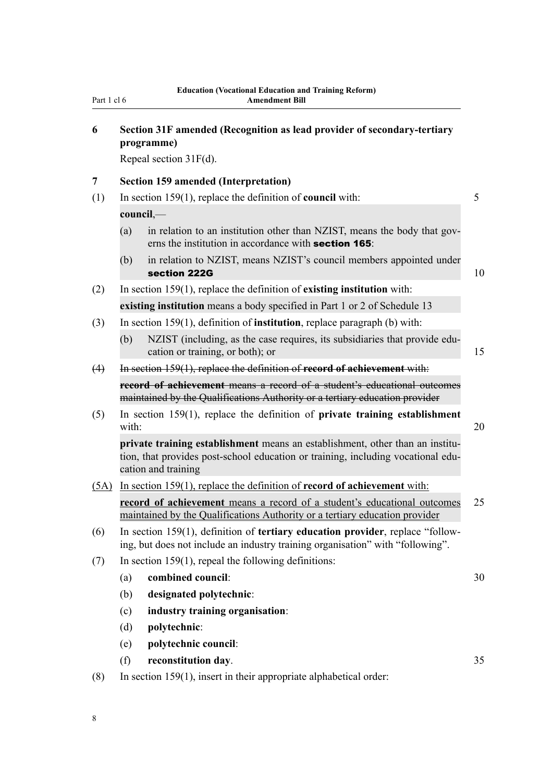<span id="page-11-0"></span>

| Part 1 cl 6 |  |  |
|-------------|--|--|
|             |  |  |

| 6    | Section 31F amended (Recognition as lead provider of secondary-tertiary<br>programme)                                                                                                    |  |
|------|------------------------------------------------------------------------------------------------------------------------------------------------------------------------------------------|--|
|      | Repeal section $31F(d)$ .                                                                                                                                                                |  |
| 7    | <b>Section 159 amended (Interpretation)</b>                                                                                                                                              |  |
| (1)  | In section $159(1)$ , replace the definition of <b>council</b> with:                                                                                                                     |  |
|      | council,—                                                                                                                                                                                |  |
|      | (a)<br>in relation to an institution other than NZIST, means the body that gov-<br>erns the institution in accordance with <b>section 165</b> :                                          |  |
|      | in relation to NZIST, means NZIST's council members appointed under<br>(b)<br>section 222G                                                                                               |  |
| (2)  | In section $159(1)$ , replace the definition of existing institution with:                                                                                                               |  |
|      | existing institution means a body specified in Part 1 or 2 of Schedule 13                                                                                                                |  |
| (3)  | In section 159(1), definition of institution, replace paragraph (b) with:                                                                                                                |  |
|      | NZIST (including, as the case requires, its subsidiaries that provide edu-<br>(b)<br>cation or training, or both); or                                                                    |  |
| (4)  | In section 159(1), replace the definition of record of achievement with:                                                                                                                 |  |
|      | record of achievement means a record of a student's educational outcomes<br>maintained by the Qualifications Authority or a tertiary education provider                                  |  |
| (5)  | In section $159(1)$ , replace the definition of private training establishment<br>with:                                                                                                  |  |
|      | private training establishment means an establishment, other than an institu-<br>tion, that provides post-school education or training, including vocational edu-<br>cation and training |  |
| (5A) | In section $159(1)$ , replace the definition of <b>record of achievement</b> with:                                                                                                       |  |
|      | record of achievement means a record of a student's educational outcomes<br>maintained by the Qualifications Authority or a tertiary education provider                                  |  |
| (6)  | In section 159(1), definition of <b>tertiary education provider</b> , replace "follow-<br>ing, but does not include an industry training organisation" with "following".                 |  |
| (7)  | In section $159(1)$ , repeal the following definitions:                                                                                                                                  |  |
|      | combined council:<br>(a)                                                                                                                                                                 |  |
|      | (b)<br>designated polytechnic:                                                                                                                                                           |  |
|      | (c)<br>industry training organisation:                                                                                                                                                   |  |
|      | (d)<br>polytechnic:                                                                                                                                                                      |  |
|      | polytechnic council:<br>(e)                                                                                                                                                              |  |
|      | (f)<br>reconstitution day.                                                                                                                                                               |  |
| (8)  | In section $159(1)$ , insert in their appropriate alphabetical order:                                                                                                                    |  |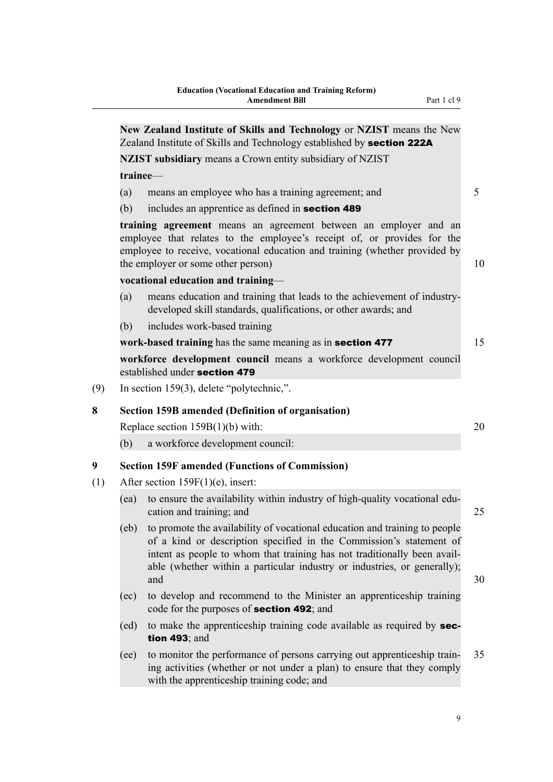<span id="page-12-0"></span>

|            | Zealand Institute of Skills and Technology established by section 222A                                                                                                                                                                                                                                           |  |
|------------|------------------------------------------------------------------------------------------------------------------------------------------------------------------------------------------------------------------------------------------------------------------------------------------------------------------|--|
|            | <b>NZIST subsidiary means a Crown entity subsidiary of NZIST</b>                                                                                                                                                                                                                                                 |  |
| trainee-   |                                                                                                                                                                                                                                                                                                                  |  |
| (a)<br>(b) | means an employee who has a training agreement; and<br>includes an apprentice as defined in <b>section 489</b>                                                                                                                                                                                                   |  |
|            | training agreement means an agreement between an employer and an<br>employee that relates to the employee's receipt of, or provides for the<br>employee to receive, vocational education and training (whether provided by<br>the employer or some other person)                                                 |  |
|            | vocational education and training-                                                                                                                                                                                                                                                                               |  |
| (a)        | means education and training that leads to the achievement of industry-<br>developed skill standards, qualifications, or other awards; and                                                                                                                                                                       |  |
| (b)        | includes work-based training                                                                                                                                                                                                                                                                                     |  |
|            | work-based training has the same meaning as in section 477                                                                                                                                                                                                                                                       |  |
|            | workforce development council means a workforce development council<br>established under section 479                                                                                                                                                                                                             |  |
|            | In section 159(3), delete "polytechnic,".                                                                                                                                                                                                                                                                        |  |
|            | <b>Section 159B amended (Definition of organisation)</b>                                                                                                                                                                                                                                                         |  |
|            | Replace section $159B(1)(b)$ with:                                                                                                                                                                                                                                                                               |  |
| (b)        | a workforce development council:                                                                                                                                                                                                                                                                                 |  |
|            | <b>Section 159F amended (Functions of Commission)</b>                                                                                                                                                                                                                                                            |  |
|            | After section $159F(1)(e)$ , insert:                                                                                                                                                                                                                                                                             |  |
| (ea)       | to ensure the availability within industry of high-quality vocational edu-<br>cation and training; and                                                                                                                                                                                                           |  |
| (eb)       | to promote the availability of vocational education and training to people<br>of a kind or description specified in the Commission's statement of<br>intent as people to whom that training has not traditionally been avail-<br>able (whether within a particular industry or industries, or generally);<br>and |  |
| (ec)       | to develop and recommend to the Minister an apprenticeship training<br>code for the purposes of <b>section 492</b> ; and                                                                                                                                                                                         |  |
| (ed)       | to make the apprenticeship training code available as required by sec-<br>tion $493$ ; and                                                                                                                                                                                                                       |  |
| (ee)       | to monitor the performance of persons carrying out apprenticeship train-<br>ing activities (whether or not under a plan) to ensure that they comply<br>with the apprenticeship training code; and                                                                                                                |  |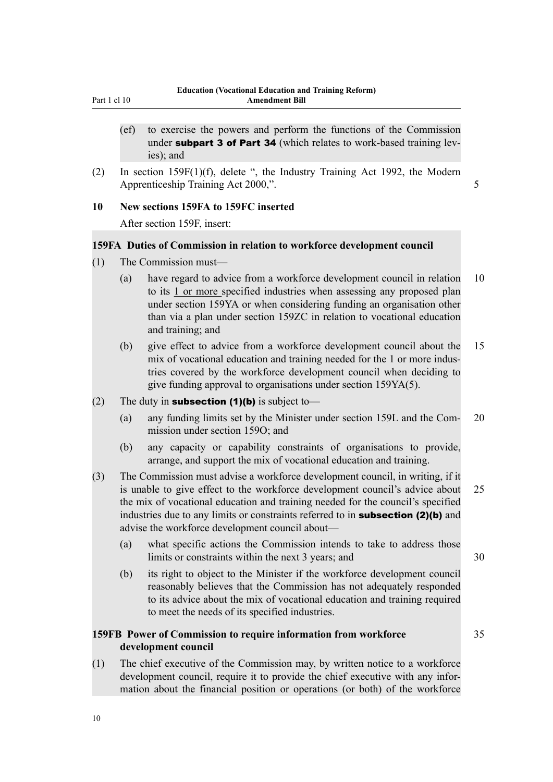- <span id="page-13-0"></span>(ef) to exercise the powers and perform the functions of the Commission under subpart 3 of Part 34 (which relates to work-based training levies); and
- (2) In section 159F(1)(f), delete ", the Industry Training Act 1992, the Modern Apprenticeship Training Act 2000,".

**Amendment Bill**

#### **10 New sections 159FA to 159FC inserted**

After section 159F, insert:

#### **159FA Duties of Commission in relation to workforce development council**

- (1) The Commission must—
	- (a) have regard to advice from a workforce development council in relation 10 to its 1 or more specified industries when assessing any proposed plan under section 159YA or when considering funding an organisation other than via a plan under section 159ZC in relation to vocational education and training; and
	- (b) give effect to advice from a workforce development council about the 15 mix of vocational education and training needed for the 1 or more industries covered by the workforce development council when deciding to give funding approval to organisations under section 159YA(5).
- (2) The duty in **subsection (1)(b)** is subject to—
	- (a) any funding limits set by the Minister under section 159L and the Com- 20 mission under section 159O; and
	- (b) any capacity or capability constraints of organisations to provide, arrange, and support the mix of vocational education and training.
- (3) The Commission must advise a workforce development council, in writing, if it is unable to give effect to the workforce development council's advice about 25 the mix of vocational education and training needed for the council's specified industries due to any limits or constraints referred to in **subsection (2)(b)** and advise the workforce development council about—
	- (a) what specific actions the Commission intends to take to address those limits or constraints within the next 3 years; and 30
	- (b) its right to object to the Minister if the workforce development council reasonably believes that the Commission has not adequately responded to its advice about the mix of vocational education and training required to meet the needs of its specified industries.

# **159FB Power of Commission to require information from workforce** 35 **development council**

(1) The chief executive of the Commission may, by written notice to a workforce development council, require it to provide the chief executive with any information about the financial position or operations (or both) of the workforce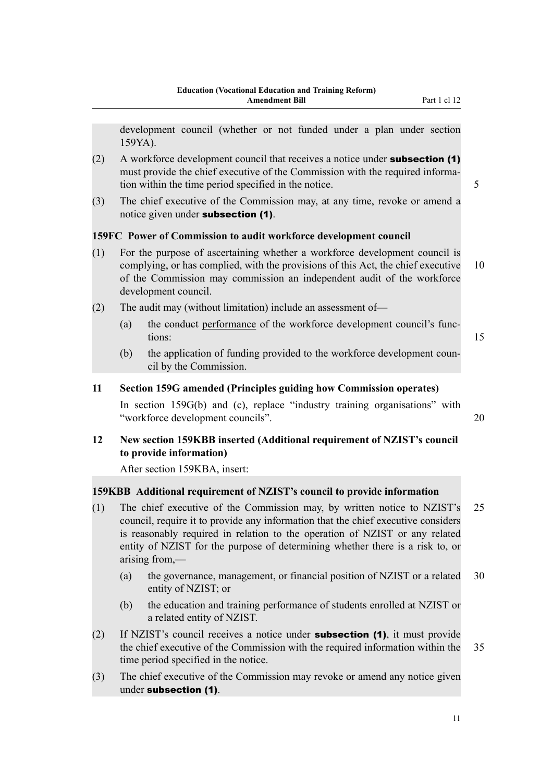- <span id="page-14-0"></span> $(2)$  A workforce development council that receives a notice under **subsection (1)** must provide the chief executive of the Commission with the required information within the time period specified in the notice. 5
- (3) The chief executive of the Commission may, at any time, revoke or amend a notice given under subsection (1).

# **159FC Power of Commission to audit workforce development council**

- (1) For the purpose of ascertaining whether a workforce development council is complying, or has complied, with the provisions of this Act, the chief executive 10 of the Commission may commission an independent audit of the workforce development council.
- (2) The audit may (without limitation) include an assessment of—
	- (a) the conduct performance of the workforce development council's functions: 15
		-
	- (b) the application of funding provided to the workforce development council by the Commission.

# **11 Section 159G amended (Principles guiding how Commission operates)**

In section 159G(b) and (c), replace "industry training organisations" with "workforce development councils". 20

# **12 New section 159KBB inserted (Additional requirement of NZIST's council to provide information)**

After section 159KBA, insert:

# **159KBB Additional requirement of NZIST's council to provide information**

- (1) The chief executive of the Commission may, by written notice to NZIST's 25 council, require it to provide any information that the chief executive considers is reasonably required in relation to the operation of NZIST or any related entity of NZIST for the purpose of determining whether there is a risk to, or arising from,—
	- (a) the governance, management, or financial position of NZIST or a related 30 entity of NZIST; or
	- (b) the education and training performance of students enrolled at NZIST or a related entity of NZIST.
- (2) If NZIST's council receives a notice under subsection (1), it must provide the chief executive of the Commission with the required information within the 35 time period specified in the notice.
- (3) The chief executive of the Commission may revoke or amend any notice given under subsection (1).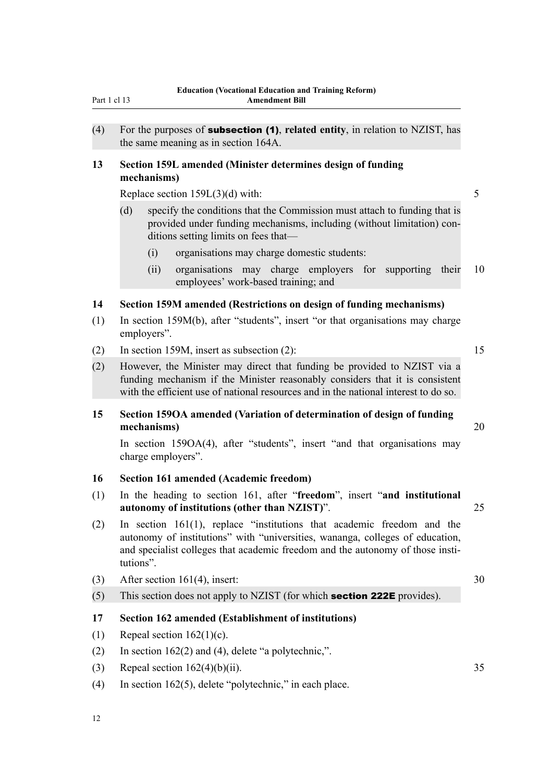<span id="page-15-0"></span>

| (4) | For the purposes of <b>subsection (1)</b> , related entity, in relation to NZIST, has<br>the same meaning as in section 164A.                                                                                                                             |    |
|-----|-----------------------------------------------------------------------------------------------------------------------------------------------------------------------------------------------------------------------------------------------------------|----|
| 13  | Section 159L amended (Minister determines design of funding<br>mechanisms)                                                                                                                                                                                |    |
|     | Replace section $159L(3)(d)$ with:                                                                                                                                                                                                                        | 5  |
|     | specify the conditions that the Commission must attach to funding that is<br>(d)<br>provided under funding mechanisms, including (without limitation) con-<br>ditions setting limits on fees that—                                                        |    |
|     | organisations may charge domestic students:<br>(i)                                                                                                                                                                                                        |    |
|     | organisations may charge employers for supporting<br>(ii)<br>their<br>employees' work-based training; and                                                                                                                                                 | 10 |
| 14  | Section 159M amended (Restrictions on design of funding mechanisms)                                                                                                                                                                                       |    |
| (1) | In section 159M(b), after "students", insert "or that organisations may charge<br>employers".                                                                                                                                                             |    |
| (2) | In section 159M, insert as subsection $(2)$ :                                                                                                                                                                                                             | 15 |
| (2) | However, the Minister may direct that funding be provided to NZIST via a<br>funding mechanism if the Minister reasonably considers that it is consistent<br>with the efficient use of national resources and in the national interest to do so.           |    |
| 15  | Section 159OA amended (Variation of determination of design of funding<br>mechanisms)                                                                                                                                                                     | 20 |
|     | In section 1590A(4), after "students", insert "and that organisations may<br>charge employers".                                                                                                                                                           |    |
| 16  | <b>Section 161 amended (Academic freedom)</b>                                                                                                                                                                                                             |    |
| (1) | In the heading to section 161, after "freedom", insert "and institutional<br>autonomy of institutions (other than NZIST)".                                                                                                                                | 25 |
| (2) | In section $161(1)$ , replace "institutions that academic freedom and the<br>autonomy of institutions" with "universities, wananga, colleges of education,<br>and specialist colleges that academic freedom and the autonomy of those insti-<br>tutions". |    |
| (3) | After section 161(4), insert:                                                                                                                                                                                                                             | 30 |
| (5) | This section does not apply to NZIST (for which <b>section 222E</b> provides).                                                                                                                                                                            |    |
| 17  | Section 162 amended (Establishment of institutions)                                                                                                                                                                                                       |    |
| (1) | Repeal section $162(1)(c)$ .                                                                                                                                                                                                                              |    |
| (2) | In section $162(2)$ and (4), delete "a polytechnic,".                                                                                                                                                                                                     |    |
|     |                                                                                                                                                                                                                                                           | 35 |
| (3) | Repeal section $162(4)(b)(ii)$ .                                                                                                                                                                                                                          |    |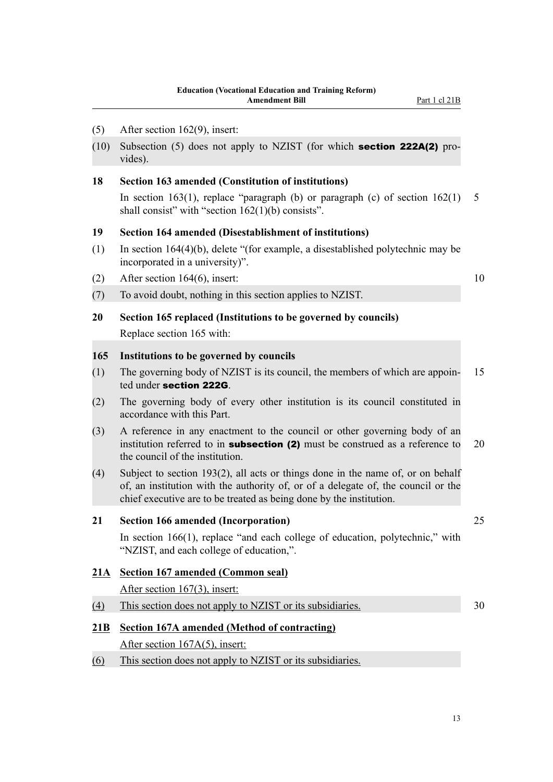<span id="page-16-0"></span>(10) Subsection (5) does not apply to NZIST (for which section 222A(2) provides).

#### **18 Section 163 amended (Constitution of institutions)**

In section 163(1), replace "paragraph (b) or paragraph (c) of section  $162(1)$  5 shall consist" with "section 162(1)(b) consists".

# **19 Section 164 amended (Disestablishment of institutions)**

- (1) In section 164(4)(b), delete "(for example, a disestablished polytechnic may be incorporated in a university)".
- (2) After section 164(6), insert:  $10$
- (7) To avoid doubt, nothing in this section applies to NZIST.
- **20 Section 165 replaced (Institutions to be governed by councils)** Replace section 165 with:

#### **165 Institutions to be governed by councils**

- (1) The governing body of NZIST is its council, the members of which are appoin- 15 ted under section 222G.
- (2) The governing body of every other institution is its council constituted in accordance with this Part.
- (3) A reference in any enactment to the council or other governing body of an institution referred to in **subsection (2)** must be construed as a reference to  $20$ the council of the institution.
- (4) Subject to section 193(2), all acts or things done in the name of, or on behalf of, an institution with the authority of, or of a delegate of, the council or the chief executive are to be treated as being done by the institution.

# **21 Section 166 amended (Incorporation)** 25

In section 166(1), replace "and each college of education, polytechnic," with "NZIST, and each college of education,".

# **21A Section 167 amended (Common seal)**

After section 167(3), insert:

(4) This section does not apply to NZIST or its subsidiaries. 30

# **21B Section 167A amended (Method of contracting)**

After section 167A(5), insert:

(6) This section does not apply to NZIST or its subsidiaries.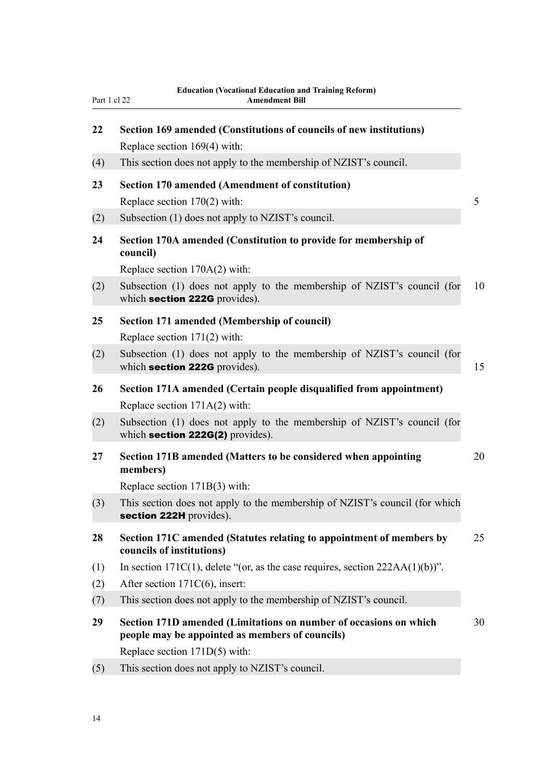**Education (Vocational Education and Training Reform)**

| 22  | Section 169 amended (Constitutions of councils of new institutions)                                         |    |
|-----|-------------------------------------------------------------------------------------------------------------|----|
|     | Replace section 169(4) with:                                                                                |    |
| (4) | This section does not apply to the membership of NZIST's council.                                           |    |
| 23  | <b>Section 170 amended (Amendment of constitution)</b>                                                      | 5  |
| (2) | Replace section $170(2)$ with:<br>Subsection (1) does not apply to NZIST's council.                         |    |
| 24  | Section 170A amended (Constitution to provide for membership of<br>council)                                 |    |
|     | Replace section $170A(2)$ with:                                                                             |    |
| (2) | Subsection (1) does not apply to the membership of NZIST's council (for<br>which section 222G provides).    | 10 |
| 25  | Section 171 amended (Membership of council)                                                                 |    |
|     | Replace section $171(2)$ with:                                                                              |    |
| (2) | Subsection (1) does not apply to the membership of NZIST's council (for<br>which section 222G provides).    | 15 |
| 26  | Section 171A amended (Certain people disqualified from appointment)<br>Replace section $171A(2)$ with:      |    |
| (2) | Subsection (1) does not apply to the membership of NZIST's council (for<br>which section 222G(2) provides). |    |
| 27  | Section 171B amended (Matters to be considered when appointing<br>members)                                  | 20 |
|     | Replace section 171B(3) with:                                                                               |    |
| (3) | This section does not apply to the membership of NZIST's council (for which<br>section 222H provides).      |    |
| 28  | Section 171C amended (Statutes relating to appointment of members by<br>councils of institutions)           | 25 |
| (1) | In section $171C(1)$ , delete "(or, as the case requires, section $222AA(1)(b)$ )".                         |    |
| (2) | After section $171C(6)$ , insert:                                                                           |    |
| (7) | This section does not apply to the membership of NZIST's council.                                           |    |

- **29 Section 171D amended (Limitations on number of occasions on which** 30 **people may be appointed as members of councils)** Replace section 171D(5) with:
- (5) This section does not apply to NZIST's council.

<span id="page-17-0"></span>Part 1 cl 22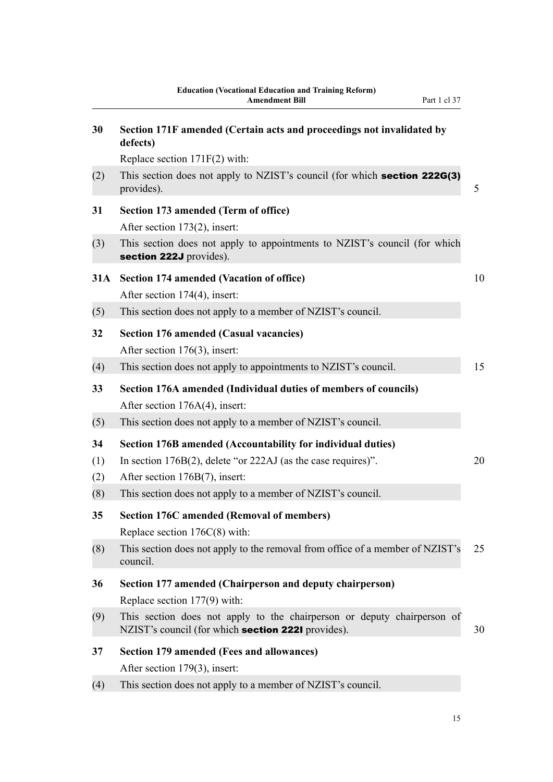<span id="page-18-0"></span>

| 30  | Section 171F amended (Certain acts and proceedings not invalidated by<br>defects)                                             |    |
|-----|-------------------------------------------------------------------------------------------------------------------------------|----|
|     | Replace section 171F(2) with:                                                                                                 |    |
| (2) | This section does not apply to NZIST's council (for which <b>section 222G(3)</b><br>provides).                                | 5  |
| 31  | Section 173 amended (Term of office)<br>After section 173(2), insert:                                                         |    |
| (3) | This section does not apply to appointments to NZIST's council (for which<br>section 222J provides).                          |    |
| 31A | <b>Section 174 amended (Vacation of office)</b><br>After section 174(4), insert:                                              | 10 |
| (5) | This section does not apply to a member of NZIST's council.                                                                   |    |
| 32  | <b>Section 176 amended (Casual vacancies)</b><br>After section 176(3), insert:                                                |    |
| (4) | This section does not apply to appointments to NZIST's council.                                                               | 15 |
| 33  | Section 176A amended (Individual duties of members of councils)<br>After section $176A(4)$ , insert:                          |    |
| (5) | This section does not apply to a member of NZIST's council.                                                                   |    |
| 34  | Section 176B amended (Accountability for individual duties)                                                                   |    |
| (1) | In section $176B(2)$ , delete "or $222AJ$ (as the case requires)".                                                            | 20 |
| (2) | After section 176B(7), insert:                                                                                                |    |
| (8) | This section does not apply to a member of NZIST's council.                                                                   |    |
| 35  | <b>Section 176C amended (Removal of members)</b><br>Replace section $176C(8)$ with:                                           |    |
| (8) | This section does not apply to the removal from office of a member of NZIST's<br>council.                                     | 25 |
| 36  | Section 177 amended (Chairperson and deputy chairperson)<br>Replace section $177(9)$ with:                                    |    |
| (9) | This section does not apply to the chairperson or deputy chairperson of<br>NZIST's council (for which section 2221 provides). | 30 |
| 37  | <b>Section 179 amended (Fees and allowances)</b>                                                                              |    |
|     | After section 179(3), insert:                                                                                                 |    |
| (4) | This section does not apply to a member of NZIST's council.                                                                   |    |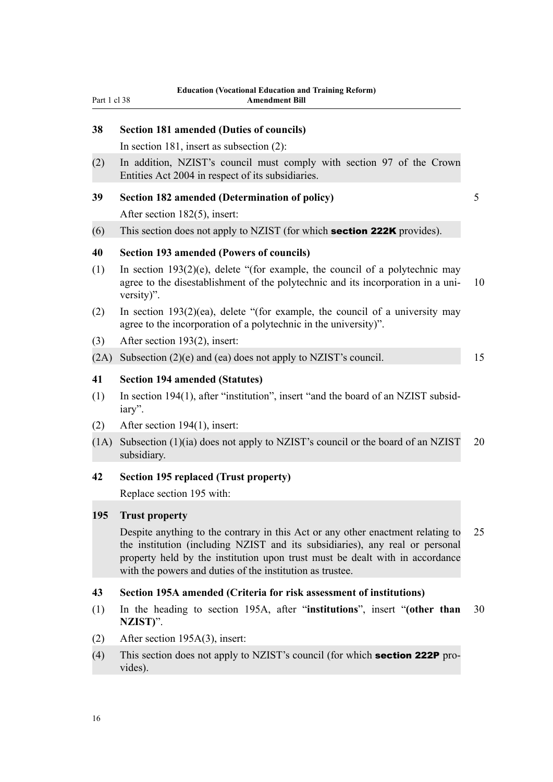<span id="page-19-0"></span>

| Part 1 cl 38 | Equeation (vocational Equeation and Training Reform)<br><b>Amendment Bill</b>                                                                                                                                                                                                                                |    |
|--------------|--------------------------------------------------------------------------------------------------------------------------------------------------------------------------------------------------------------------------------------------------------------------------------------------------------------|----|
| 38           | <b>Section 181 amended (Duties of councils)</b>                                                                                                                                                                                                                                                              |    |
|              | In section 181, insert as subsection $(2)$ :                                                                                                                                                                                                                                                                 |    |
| (2)          | In addition, NZIST's council must comply with section 97 of the Crown<br>Entities Act 2004 in respect of its subsidiaries.                                                                                                                                                                                   |    |
| 39           | Section 182 amended (Determination of policy)                                                                                                                                                                                                                                                                | 5  |
|              | After section 182(5), insert:                                                                                                                                                                                                                                                                                |    |
| (6)          | This section does not apply to NZIST (for which <b>section 222K</b> provides).                                                                                                                                                                                                                               |    |
| 40           | <b>Section 193 amended (Powers of councils)</b>                                                                                                                                                                                                                                                              |    |
| (1)          | In section $193(2)(e)$ , delete "(for example, the council of a polytechnic may<br>agree to the disestablishment of the polytechnic and its incorporation in a uni-<br>versity)".                                                                                                                            | 10 |
| (2)          | In section $193(2)(ea)$ , delete "(for example, the council of a university may<br>agree to the incorporation of a polytechnic in the university)".                                                                                                                                                          |    |
| (3)          | After section 193(2), insert:                                                                                                                                                                                                                                                                                |    |
| (2A)         | Subsection $(2)(e)$ and $(ea)$ does not apply to NZIST's council.                                                                                                                                                                                                                                            | 15 |
| 41           | <b>Section 194 amended (Statutes)</b>                                                                                                                                                                                                                                                                        |    |
| (1)          | In section 194(1), after "institution", insert "and the board of an NZIST subsid-<br>iary".                                                                                                                                                                                                                  |    |
| (2)          | After section 194(1), insert:                                                                                                                                                                                                                                                                                |    |
| (1A)         | Subsection (1)(ia) does not apply to NZIST's council or the board of an NZIST<br>subsidiary.                                                                                                                                                                                                                 | 20 |
| 42           | <b>Section 195 replaced (Trust property)</b>                                                                                                                                                                                                                                                                 |    |
|              | Replace section 195 with:                                                                                                                                                                                                                                                                                    |    |
| 195          | <b>Trust property</b>                                                                                                                                                                                                                                                                                        |    |
|              | Despite anything to the contrary in this Act or any other enactment relating to<br>the institution (including NZIST and its subsidiaries), any real or personal<br>property held by the institution upon trust must be dealt with in accordance<br>with the powers and duties of the institution as trustee. | 25 |
| 43           | Section 195A amended (Criteria for risk assessment of institutions)                                                                                                                                                                                                                                          |    |
| (1)          | In the heading to section 195A, after "institutions", insert "(other than<br>NZIST)".                                                                                                                                                                                                                        | 30 |
| (2)          | After section $195A(3)$ , insert:                                                                                                                                                                                                                                                                            |    |
| (1)          | This soction does not emply to N7JCT's council (for which <b>coation 222B</b> pro                                                                                                                                                                                                                            |    |

(4) This section does not apply to NZIST's council (for which **section 222P** provides).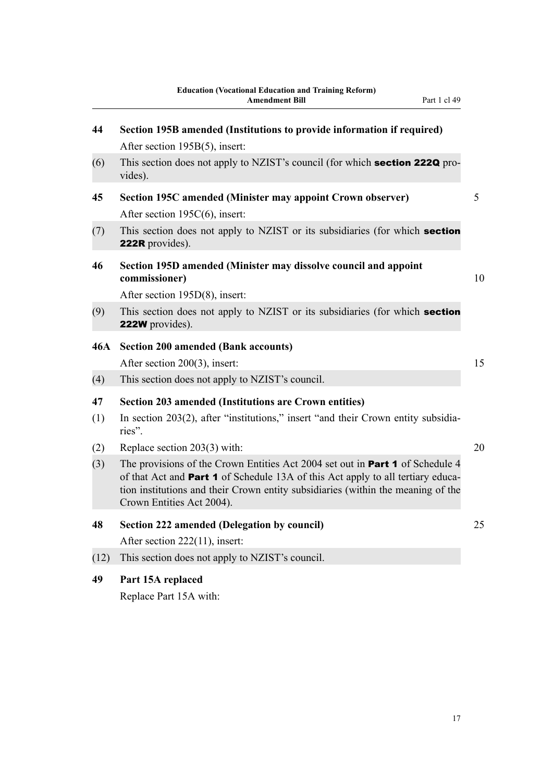<span id="page-20-0"></span>

| 44         | Section 195B amended (Institutions to provide information if required)                                                                                                                                                                                                                          |    |
|------------|-------------------------------------------------------------------------------------------------------------------------------------------------------------------------------------------------------------------------------------------------------------------------------------------------|----|
|            | After section 195B(5), insert:                                                                                                                                                                                                                                                                  |    |
| (6)        | This section does not apply to NZIST's council (for which <b>section 222Q</b> pro-<br>vides).                                                                                                                                                                                                   |    |
| 45         | Section 195C amended (Minister may appoint Crown observer)<br>After section 195C(6), insert:                                                                                                                                                                                                    | 5  |
| (7)        | This section does not apply to NZIST or its subsidiaries (for which section<br><b>222R</b> provides).                                                                                                                                                                                           |    |
| 46         | Section 195D amended (Minister may dissolve council and appoint<br>commissioner)                                                                                                                                                                                                                | 10 |
|            | After section 195D(8), insert:                                                                                                                                                                                                                                                                  |    |
| (9)        | This section does not apply to NZIST or its subsidiaries (for which section<br><b>222W</b> provides).                                                                                                                                                                                           |    |
| <b>46A</b> | <b>Section 200 amended (Bank accounts)</b>                                                                                                                                                                                                                                                      |    |
|            | After section 200(3), insert:                                                                                                                                                                                                                                                                   | 15 |
| (4)        | This section does not apply to NZIST's council.                                                                                                                                                                                                                                                 |    |
| 47         | <b>Section 203 amended (Institutions are Crown entities)</b>                                                                                                                                                                                                                                    |    |
| (1)        | In section 203(2), after "institutions," insert "and their Crown entity subsidia-<br>ries".                                                                                                                                                                                                     |    |
| (2)        | Replace section 203(3) with:                                                                                                                                                                                                                                                                    | 20 |
| (3)        | The provisions of the Crown Entities Act 2004 set out in <b>Part 1</b> of Schedule 4<br>of that Act and <b>Part 1</b> of Schedule 13A of this Act apply to all tertiary educa-<br>tion institutions and their Crown entity subsidiaries (within the meaning of the<br>Crown Entities Act 2004). |    |
| 48         | <b>Section 222 amended (Delegation by council)</b>                                                                                                                                                                                                                                              | 25 |
|            | After section 222(11), insert:                                                                                                                                                                                                                                                                  |    |
| (12)       | This section does not apply to NZIST's council.                                                                                                                                                                                                                                                 |    |
| 49         | Part 15A replaced<br>Replace Part 15A with:                                                                                                                                                                                                                                                     |    |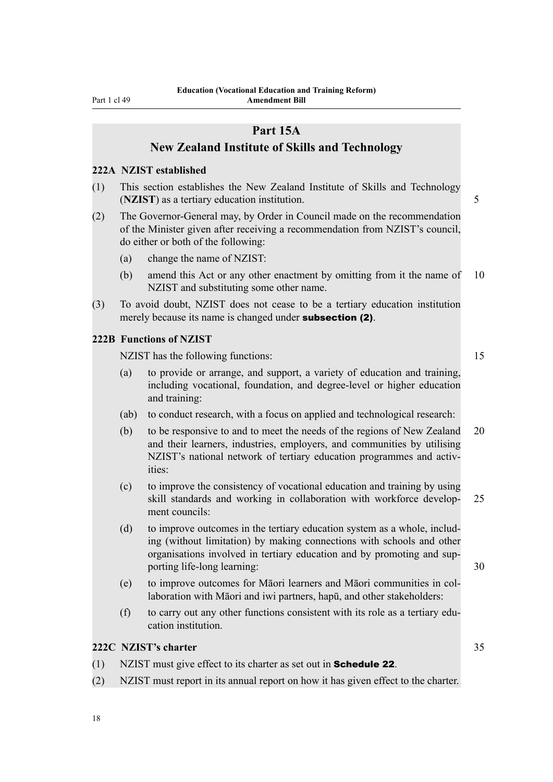<span id="page-21-0"></span>Part 1 cl 49

# **Part 15A**

# **New Zealand Institute of Skills and Technology**

#### **222A NZIST established**

- (1) This section establishes the New Zealand Institute of Skills and Technology (**NZIST**) as a tertiary education institution. 5
- (2) The Governor-General may, by Order in Council made on the recommendation of the Minister given after receiving a recommendation from NZIST's council, do either or both of the following:
	- (a) change the name of NZIST:
	- (b) amend this Act or any other enactment by omitting from it the name of 10 NZIST and substituting some other name.
- (3) To avoid doubt, NZIST does not cease to be a tertiary education institution merely because its name is changed under **subsection (2)**.

### **222B Functions of NZIST**

NZIST has the following functions: 15

- (a) to provide or arrange, and support, a variety of education and training, including vocational, foundation, and degree-level or higher education and training:
- (ab) to conduct research, with a focus on applied and technological research:
- (b) to be responsive to and to meet the needs of the regions of New Zealand 20 and their learners, industries, employers, and communities by utilising NZIST's national network of tertiary education programmes and activities:
- (c) to improve the consistency of vocational education and training by using skill standards and working in collaboration with workforce develop- 25 ment councils:
- (d) to improve outcomes in the tertiary education system as a whole, including (without limitation) by making connections with schools and other organisations involved in tertiary education and by promoting and supporting life-long learning: 30
- (e) to improve outcomes for Māori learners and Māori communities in collaboration with Māori and iwi partners, hapū, and other stakeholders:
- (f) to carry out any other functions consistent with its role as a tertiary education institution.

# **222C NZIST's charter** 35

- (1) NZIST must give effect to its charter as set out in Schedule 22.
- (2) NZIST must report in its annual report on how it has given effect to the charter.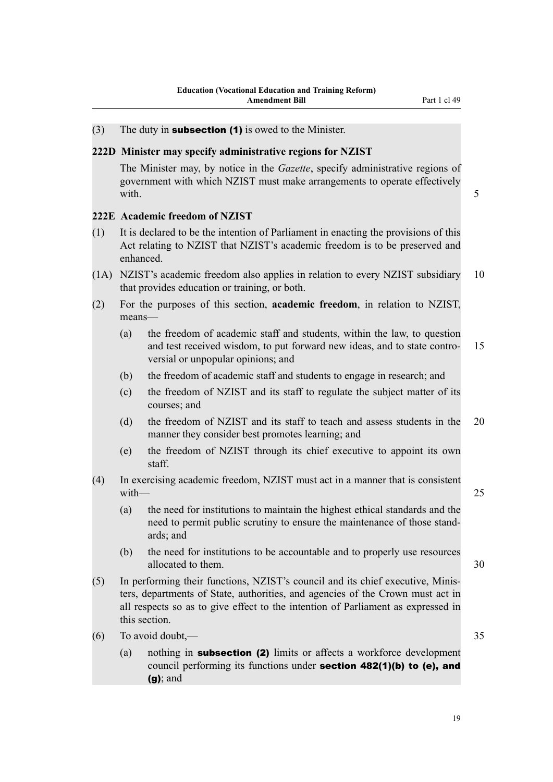# <span id="page-22-0"></span>(3) The duty in **subsection (1)** is owed to the Minister.

### **222D Minister may specify administrative regions for NZIST**

The Minister may, by notice in the *Gazette*, specify administrative regions of government with which NZIST must make arrangements to operate effectively with. **5** 

## **222E Academic freedom of NZIST**

- (1) It is declared to be the intention of Parliament in enacting the provisions of this Act relating to NZIST that NZIST's academic freedom is to be preserved and enhanced.
- (1A) NZIST's academic freedom also applies in relation to every NZIST subsidiary 10 that provides education or training, or both.
- (2) For the purposes of this section, **academic freedom**, in relation to NZIST, means—
	- (a) the freedom of academic staff and students, within the law, to question and test received wisdom, to put forward new ideas, and to state contro- 15 versial or unpopular opinions; and
	- (b) the freedom of academic staff and students to engage in research; and
	- (c) the freedom of NZIST and its staff to regulate the subject matter of its courses; and
	- (d) the freedom of NZIST and its staff to teach and assess students in the 20 manner they consider best promotes learning; and
	- (e) the freedom of NZIST through its chief executive to appoint its own staff.
- (4) In exercising academic freedom, NZIST must act in a manner that is consistent with  $-$  25
	- (a) the need for institutions to maintain the highest ethical standards and the need to permit public scrutiny to ensure the maintenance of those standards; and
	- (b) the need for institutions to be accountable and to properly use resources allocated to them. 30
- (5) In performing their functions, NZIST's council and its chief executive, Ministers, departments of State, authorities, and agencies of the Crown must act in all respects so as to give effect to the intention of Parliament as expressed in this section.
- (6) To avoid doubt,— 35
	- (a) nothing in subsection (2) limits or affects a workforce development council performing its functions under section 482(1)(b) to (e), and (g); and

19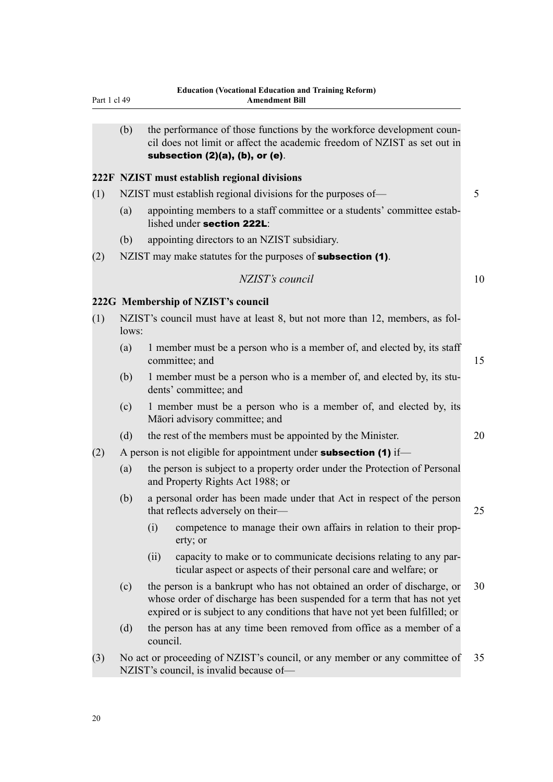<span id="page-23-0"></span>

| Part 1 cl 49 |       |          | <b>Education (Vocational Education and Training Reform)</b><br><b>Amendment Bill</b>                                                                                                                                               |                 |
|--------------|-------|----------|------------------------------------------------------------------------------------------------------------------------------------------------------------------------------------------------------------------------------------|-----------------|
|              | (b)   |          | the performance of those functions by the workforce development coun-<br>cil does not limit or affect the academic freedom of NZIST as set out in<br>subsection $(2)(a)$ , $(b)$ , or $(e)$ .                                      |                 |
|              |       |          | 222F NZIST must establish regional divisions                                                                                                                                                                                       |                 |
| (1)          |       |          | NZIST must establish regional divisions for the purposes of—                                                                                                                                                                       | $5\overline{)}$ |
|              | (a)   |          | appointing members to a staff committee or a students' committee estab-<br>lished under section 222L:                                                                                                                              |                 |
|              | (b)   |          | appointing directors to an NZIST subsidiary.                                                                                                                                                                                       |                 |
| (2)          |       |          | NZIST may make statutes for the purposes of <b>subsection (1)</b> .                                                                                                                                                                |                 |
|              |       |          | NZIST's council                                                                                                                                                                                                                    | 10              |
|              |       |          | 222G Membership of NZIST's council                                                                                                                                                                                                 |                 |
| (1)          | lows: |          | NZIST's council must have at least 8, but not more than 12, members, as fol-                                                                                                                                                       |                 |
|              | (a)   |          | 1 member must be a person who is a member of, and elected by, its staff<br>committee; and                                                                                                                                          | 15              |
|              | (b)   |          | 1 member must be a person who is a member of, and elected by, its stu-<br>dents' committee; and                                                                                                                                    |                 |
|              | (c)   |          | 1 member must be a person who is a member of, and elected by, its<br>Māori advisory committee; and                                                                                                                                 |                 |
|              | (d)   |          | the rest of the members must be appointed by the Minister.                                                                                                                                                                         | 20              |
| (2)          |       |          | A person is not eligible for appointment under <b>subsection</b> (1) if—                                                                                                                                                           |                 |
|              | (a)   |          | the person is subject to a property order under the Protection of Personal<br>and Property Rights Act 1988; or                                                                                                                     |                 |
|              | (b)   |          | a personal order has been made under that Act in respect of the person<br>that reflects adversely on their-                                                                                                                        | 25              |
|              |       | (i)      | competence to manage their own affairs in relation to their prop-<br>erty; or                                                                                                                                                      |                 |
|              |       | (ii)     | capacity to make or to communicate decisions relating to any par-<br>ticular aspect or aspects of their personal care and welfare; or                                                                                              |                 |
|              | (c)   |          | the person is a bankrupt who has not obtained an order of discharge, or<br>whose order of discharge has been suspended for a term that has not yet<br>expired or is subject to any conditions that have not yet been fulfilled; or | 30              |
|              | (d)   | council. | the person has at any time been removed from office as a member of a                                                                                                                                                               |                 |
| (3)          |       |          | No act or proceeding of NZIST's council, or any member or any committee of<br>NZIST's council, is invalid because of-                                                                                                              | 35              |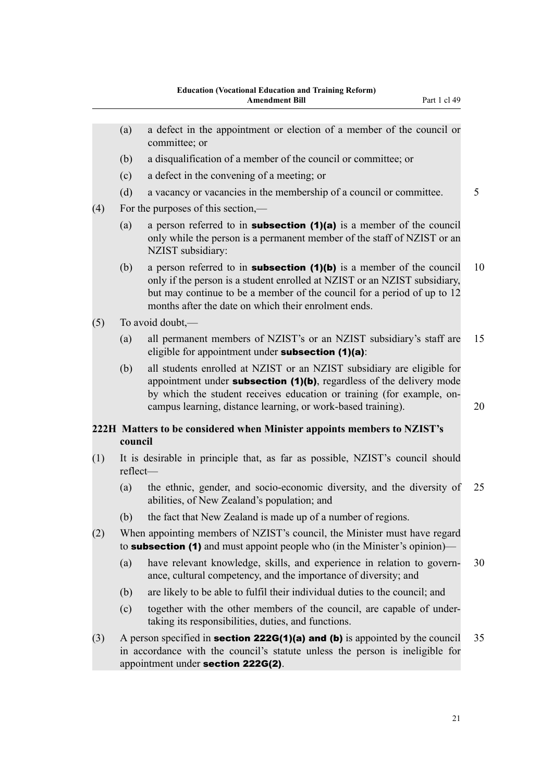<span id="page-24-0"></span>

|     | (a)      | a defect in the appointment or election of a member of the council or<br>committee; or                                                                                                                                                                                                        |    |
|-----|----------|-----------------------------------------------------------------------------------------------------------------------------------------------------------------------------------------------------------------------------------------------------------------------------------------------|----|
|     | (b)      | a disqualification of a member of the council or committee; or                                                                                                                                                                                                                                |    |
|     | (c)      | a defect in the convening of a meeting; or                                                                                                                                                                                                                                                    |    |
|     | (d)      | a vacancy or vacancies in the membership of a council or committee.                                                                                                                                                                                                                           | 5  |
| (4) |          | For the purposes of this section,—                                                                                                                                                                                                                                                            |    |
|     | (a)      | a person referred to in <b>subsection</b> $(1)(a)$ is a member of the council<br>only while the person is a permanent member of the staff of NZIST or an<br>NZIST subsidiary:                                                                                                                 |    |
|     | (b)      | a person referred to in <b>subsection</b> $(1)(b)$ is a member of the council<br>only if the person is a student enrolled at NZIST or an NZIST subsidiary,<br>but may continue to be a member of the council for a period of up to 12<br>months after the date on which their enrolment ends. | 10 |
| (5) |          | To avoid doubt,—                                                                                                                                                                                                                                                                              |    |
|     | (a)      | all permanent members of NZIST's or an NZIST subsidiary's staff are<br>eligible for appointment under subsection $(1)(a)$ :                                                                                                                                                                   | 15 |
|     | (b)      | all students enrolled at NZIST or an NZIST subsidiary are eligible for<br>appointment under subsection $(1)(b)$ , regardless of the delivery mode<br>by which the student receives education or training (for example, on-<br>campus learning, distance learning, or work-based training).    | 20 |
|     | council  | 222H Matters to be considered when Minister appoints members to NZIST's                                                                                                                                                                                                                       |    |
| (1) | reflect- | It is desirable in principle that, as far as possible, NZIST's council should                                                                                                                                                                                                                 |    |
|     | (a)      | the ethnic, gender, and socio-economic diversity, and the diversity of<br>abilities, of New Zealand's population; and                                                                                                                                                                         | 25 |
|     | (b)      | the fact that New Zealand is made up of a number of regions.                                                                                                                                                                                                                                  |    |
| (2) |          | When appointing members of NZIST's council, the Minister must have regard<br>to <b>subsection (1)</b> and must appoint people who (in the Minister's opinion)—                                                                                                                                |    |
|     | (a)      | have relevant knowledge, skills, and experience in relation to govern-<br>ance, cultural competency, and the importance of diversity; and                                                                                                                                                     | 30 |
|     | (b)      | are likely to be able to fulfil their individual duties to the council; and                                                                                                                                                                                                                   |    |
|     | (c)      | together with the other members of the council, are capable of under-<br>taking its responsibilities, duties, and functions.                                                                                                                                                                  |    |
| (3) |          | A person specified in <b>section 222G(1)(a) and (b)</b> is appointed by the council<br>in accordance with the council's statute unless the person is ineligible for<br>appointment under section 222G(2).                                                                                     | 35 |
|     |          |                                                                                                                                                                                                                                                                                               |    |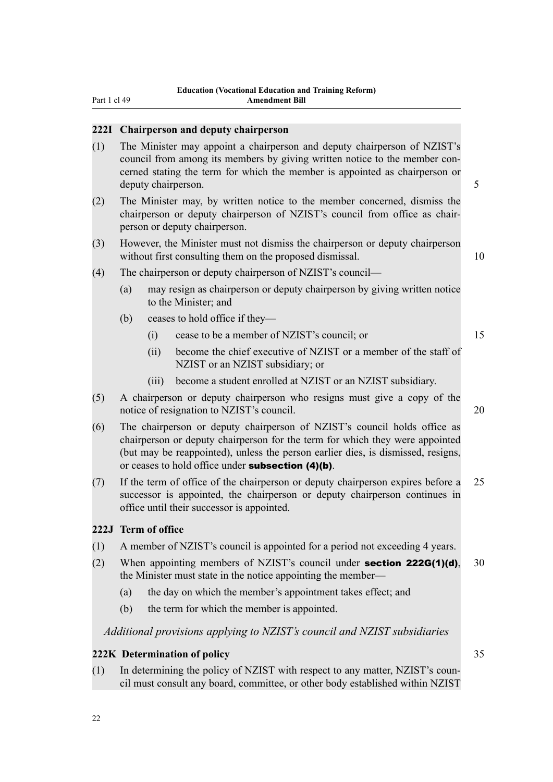# <span id="page-25-0"></span>**222I Chairperson and deputy chairperson**

- (1) The Minister may appoint a chairperson and deputy chairperson of NZIST's council from among its members by giving written notice to the member concerned stating the term for which the member is appointed as chairperson or deputy chairperson. 5
- (2) The Minister may, by written notice to the member concerned, dismiss the chairperson or deputy chairperson of NZIST's council from office as chairperson or deputy chairperson.
- (3) However, the Minister must not dismiss the chairperson or deputy chairperson without first consulting them on the proposed dismissal. 10
- (4) The chairperson or deputy chairperson of NZIST's council—
	- (a) may resign as chairperson or deputy chairperson by giving written notice to the Minister; and
	- (b) ceases to hold office if they—
		- (i) cease to be a member of NZIST's council; or 15
		- (ii) become the chief executive of NZIST or a member of the staff of NZIST or an NZIST subsidiary; or
		- (iii) become a student enrolled at NZIST or an NZIST subsidiary.
- (5) A chairperson or deputy chairperson who resigns must give a copy of the notice of resignation to NZIST's council. 20
- (6) The chairperson or deputy chairperson of NZIST's council holds office as chairperson or deputy chairperson for the term for which they were appointed (but may be reappointed), unless the person earlier dies, is dismissed, resigns, or ceases to hold office under subsection (4)(b).
- (7) If the term of office of the chairperson or deputy chairperson expires before a 25 successor is appointed, the chairperson or deputy chairperson continues in office until their successor is appointed.

### **222J Term of office**

- (1) A member of NZIST's council is appointed for a period not exceeding 4 years.
- (2) When appointing members of NZIST's council under **section 222G(1)(d)**, 30 the Minister must state in the notice appointing the member—
	- (a) the day on which the member's appointment takes effect; and
	- (b) the term for which the member is appointed.

# *Additional provisions applying to NZIST's council and NZIST subsidiaries*

### **222K Determination of policy** 35

- (1) In determining the policy of NZIST with respect to any matter, NZIST's council must consult any board, committee, or other body established within NZIST
-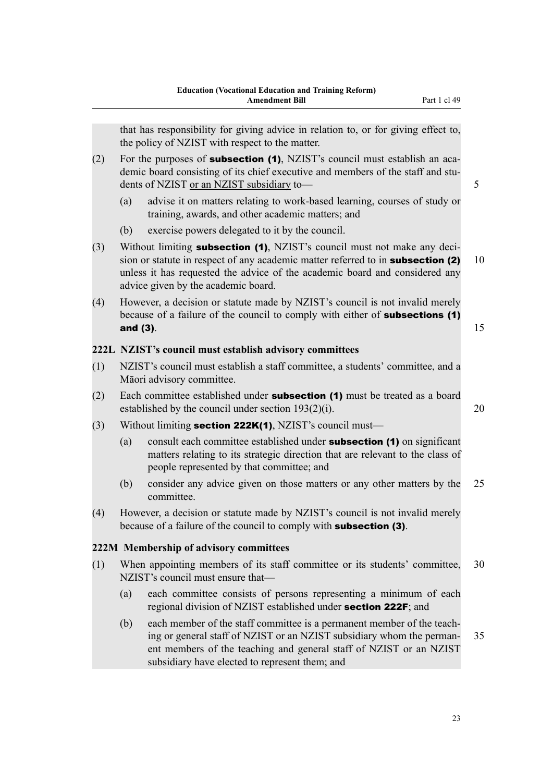<span id="page-26-0"></span>that has responsibility for giving advice in relation to, or for giving effect to, the policy of NZIST with respect to the matter.

- (2) For the purposes of **subsection (1)**, NZIST's council must establish an academic board consisting of its chief executive and members of the staff and students of NZIST or an NZIST subsidiary to— 5
	- (a) advise it on matters relating to work-based learning, courses of study or training, awards, and other academic matters; and
	- (b) exercise powers delegated to it by the council.
- (3) Without limiting **subsection (1)**, NZIST's council must not make any decision or statute in respect of any academic matter referred to in **subsection (2)** 10 unless it has requested the advice of the academic board and considered any advice given by the academic board.
- (4) However, a decision or statute made by NZIST's council is not invalid merely because of a failure of the council to comply with either of **subsections (1)** and (3). The contract of the contract of the contract of the contract of the contract of the contract of the contract of the contract of the contract of the contract of the contract of the contract of the contract of the

# **222L NZIST's council must establish advisory committees**

- (1) NZIST's council must establish a staff committee, a students' committee, and a Māori advisory committee.
- (2) Each committee established under **subsection (1)** must be treated as a board established by the council under section  $193(2)(i)$ . 20
- (3) Without limiting **section 222K(1)**, NZIST's council must—
	- (a) consult each committee established under **subsection (1)** on significant matters relating to its strategic direction that are relevant to the class of people represented by that committee; and
	- (b) consider any advice given on those matters or any other matters by the 25 committee.
- (4) However, a decision or statute made by NZIST's council is not invalid merely because of a failure of the council to comply with subsection (3).

# **222M Membership of advisory committees**

- (1) When appointing members of its staff committee or its students' committee, 30 NZIST's council must ensure that—
	- (a) each committee consists of persons representing a minimum of each regional division of NZIST established under section 222F; and
	- (b) each member of the staff committee is a permanent member of the teaching or general staff of NZIST or an NZIST subsidiary whom the perman- 35 ent members of the teaching and general staff of NZIST or an NZIST subsidiary have elected to represent them; and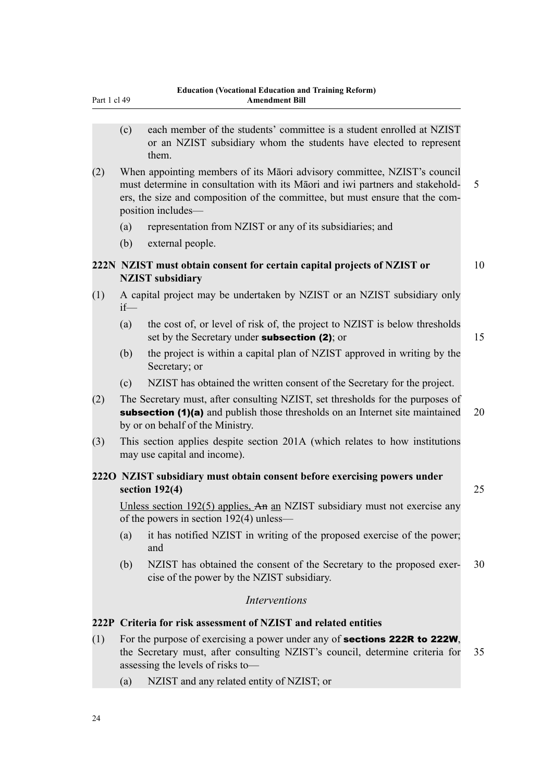<span id="page-27-0"></span>

|  | Part 1 cl 49 |  |
|--|--------------|--|

- (c) each member of the students' committee is a student enrolled at NZIST or an NZIST subsidiary whom the students have elected to represent them.
- (2) When appointing members of its Māori advisory committee, NZIST's council must determine in consultation with its Māori and iwi partners and stakehold- 5 ers, the size and composition of the committee, but must ensure that the composition includes—
	- (a) representation from NZIST or any of its subsidiaries; and
	- (b) external people.

# **222N NZIST must obtain consent for certain capital projects of NZIST or** 10 **NZIST subsidiary**

- (1) A capital project may be undertaken by NZIST or an NZIST subsidiary only if—
	- (a) the cost of, or level of risk of, the project to NZIST is below thresholds set by the Secretary under **subsection (2)**; or 15
	- (b) the project is within a capital plan of NZIST approved in writing by the Secretary; or
	- (c) NZIST has obtained the written consent of the Secretary for the project.
- (2) The Secretary must, after consulting NZIST, set thresholds for the purposes of subsection (1)(a) and publish those thresholds on an Internet site maintained 20 by or on behalf of the Ministry.
- (3) This section applies despite section 201A (which relates to how institutions may use capital and income).

# **222O NZIST subsidiary must obtain consent before exercising powers under section 192(4)** 25

Unless section 192(5) applies, An an NZIST subsidiary must not exercise any of the powers in section 192(4) unless—

- (a) it has notified NZIST in writing of the proposed exercise of the power; and
- (b) NZIST has obtained the consent of the Secretary to the proposed exer- 30 cise of the power by the NZIST subsidiary.

# *Interventions*

## **222P Criteria for risk assessment of NZIST and related entities**

- (1) For the purpose of exercising a power under any of **sections 222R to 222W**, the Secretary must, after consulting NZIST's council, determine criteria for 35 assessing the levels of risks to—
	- (a) NZIST and any related entity of NZIST; or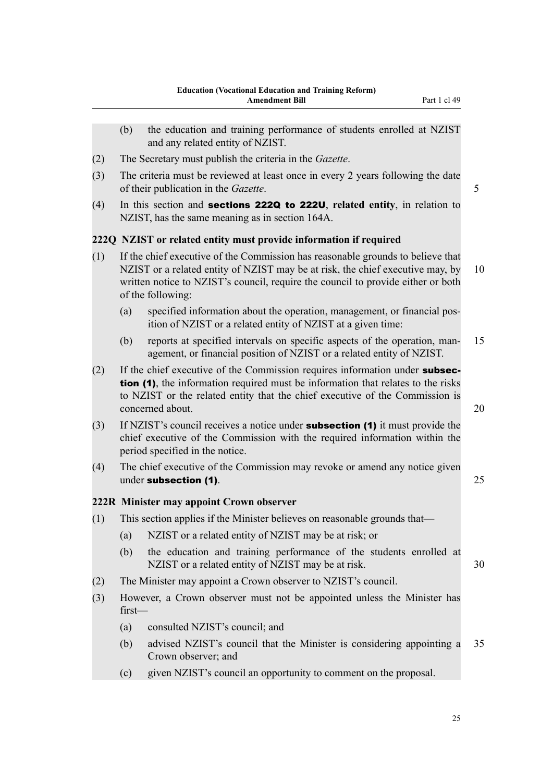- <span id="page-28-0"></span>(b) the education and training performance of students enrolled at NZIST and any related entity of NZIST. (2) The Secretary must publish the criteria in the *Gazette*. (3) The criteria must be reviewed at least once in every 2 years following the date of their publication in the *Gazette*. 5 (4) In this section and sections 222Q to 222U, **related entity**, in relation to NZIST, has the same meaning as in section 164A. **222Q NZIST or related entity must provide information if required** (1) If the chief executive of the Commission has reasonable grounds to believe that NZIST or a related entity of NZIST may be at risk, the chief executive may, by 10 written notice to NZIST's council, require the council to provide either or both of the following: (a) specified information about the operation, management, or financial position of NZIST or a related entity of NZIST at a given time: (b) reports at specified intervals on specific aspects of the operation, man- 15 agement, or financial position of NZIST or a related entity of NZIST. (2) If the chief executive of the Commission requires information under **subsec**tion (1), the information required must be information that relates to the risks to NZIST or the related entity that the chief executive of the Commission is concerned about. 20 (3) If NZIST's council receives a notice under subsection (1) it must provide the chief executive of the Commission with the required information within the period specified in the notice. (4) The chief executive of the Commission may revoke or amend any notice given under subsection (1). 25 **222R Minister may appoint Crown observer** (1) This section applies if the Minister believes on reasonable grounds that— (a) NZIST or a related entity of NZIST may be at risk; or (b) the education and training performance of the students enrolled at NZIST or a related entity of NZIST may be at risk. 30 (2) The Minister may appoint a Crown observer to NZIST's council. (3) However, a Crown observer must not be appointed unless the Minister has first— (a) consulted NZIST's council; and (b) advised NZIST's council that the Minister is considering appointing a 35 Crown observer; and
	- (c) given NZIST's council an opportunity to comment on the proposal.

25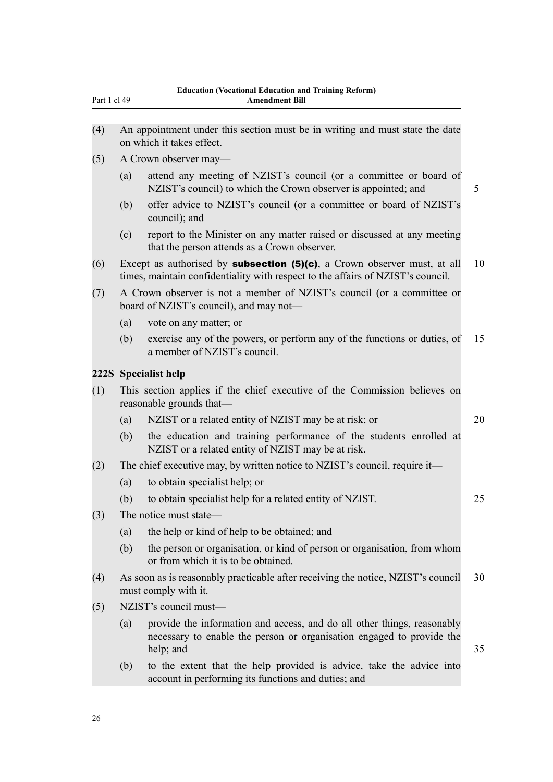<span id="page-29-0"></span>

- (4) An appointment under this section must be in writing and must state the date on which it takes effect.
- (5) A Crown observer may—
	- (a) attend any meeting of NZIST's council (or a committee or board of NZIST's council) to which the Crown observer is appointed; and 5
	- (b) offer advice to NZIST's council (or a committee or board of NZIST's council); and
	- (c) report to the Minister on any matter raised or discussed at any meeting that the person attends as a Crown observer.
- (6) Except as authorised by **subsection (5)(c)**, a Crown observer must, at all 10 times, maintain confidentiality with respect to the affairs of NZIST's council.
- (7) A Crown observer is not a member of NZIST's council (or a committee or board of NZIST's council), and may not—
	- (a) vote on any matter; or
	- (b) exercise any of the powers, or perform any of the functions or duties, of 15 a member of NZIST's council.

#### **222S Specialist help**

- (1) This section applies if the chief executive of the Commission believes on reasonable grounds that—
	- (a) NZIST or a related entity of NZIST may be at risk; or 20
	- (b) the education and training performance of the students enrolled at NZIST or a related entity of NZIST may be at risk.
- (2) The chief executive may, by written notice to NZIST's council, require it—
	- (a) to obtain specialist help; or
	- (b) to obtain specialist help for a related entity of NZIST. 25
- (3) The notice must state—
	- (a) the help or kind of help to be obtained; and
	- (b) the person or organisation, or kind of person or organisation, from whom or from which it is to be obtained.
- (4) As soon as is reasonably practicable after receiving the notice, NZIST's council 30 must comply with it.
- (5) NZIST's council must—
	- (a) provide the information and access, and do all other things, reasonably necessary to enable the person or organisation engaged to provide the help; and 35
	- (b) to the extent that the help provided is advice, take the advice into account in performing its functions and duties; and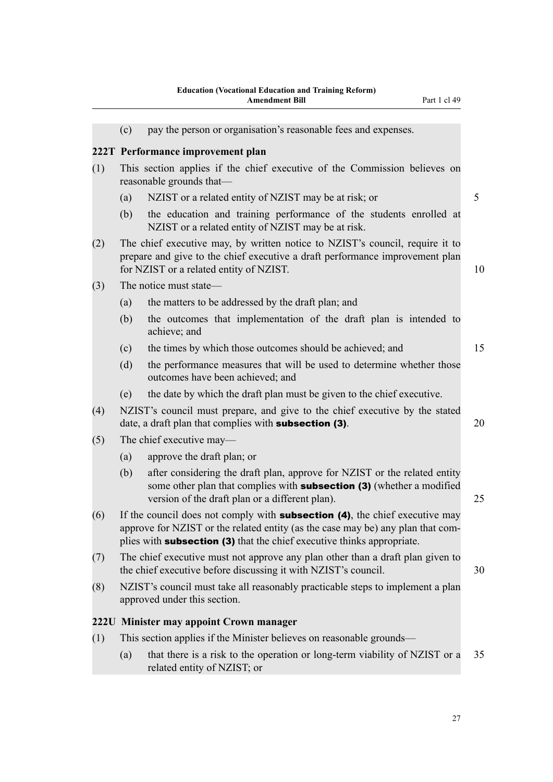<span id="page-30-0"></span>

|     |     | uucation (vocational Eugla<br>пон ани ттанни <u>е</u> тетогил<br>Part 1 cl 49<br><b>Amendment Bill</b>                                                                                                                                                  |    |
|-----|-----|---------------------------------------------------------------------------------------------------------------------------------------------------------------------------------------------------------------------------------------------------------|----|
|     | (c) | pay the person or organisation's reasonable fees and expenses.                                                                                                                                                                                          |    |
|     |     | 222T Performance improvement plan                                                                                                                                                                                                                       |    |
| (1) |     | This section applies if the chief executive of the Commission believes on<br>reasonable grounds that—                                                                                                                                                   |    |
|     | (a) | NZIST or a related entity of NZIST may be at risk; or                                                                                                                                                                                                   | 5  |
|     | (b) | the education and training performance of the students enrolled at<br>NZIST or a related entity of NZIST may be at risk.                                                                                                                                |    |
| (2) |     | The chief executive may, by written notice to NZIST's council, require it to<br>prepare and give to the chief executive a draft performance improvement plan<br>for NZIST or a related entity of NZIST.                                                 | 10 |
| (3) |     | The notice must state—                                                                                                                                                                                                                                  |    |
|     | (a) | the matters to be addressed by the draft plan; and                                                                                                                                                                                                      |    |
|     | (b) | the outcomes that implementation of the draft plan is intended to<br>achieve; and                                                                                                                                                                       |    |
|     | (c) | the times by which those outcomes should be achieved; and                                                                                                                                                                                               | 15 |
|     | (d) | the performance measures that will be used to determine whether those<br>outcomes have been achieved; and                                                                                                                                               |    |
|     | (e) | the date by which the draft plan must be given to the chief executive.                                                                                                                                                                                  |    |
| (4) |     | NZIST's council must prepare, and give to the chief executive by the stated<br>date, a draft plan that complies with <b>subsection (3)</b> .                                                                                                            | 20 |
| (5) |     | The chief executive may—                                                                                                                                                                                                                                |    |
|     | (a) | approve the draft plan; or                                                                                                                                                                                                                              |    |
|     | (b) | after considering the draft plan, approve for NZIST or the related entity<br>some other plan that complies with <b>subsection (3)</b> (whether a modified<br>version of the draft plan or a different plan).                                            | 25 |
| (6) |     | If the council does not comply with <b>subsection (4)</b> , the chief executive may<br>approve for NZIST or the related entity (as the case may be) any plan that com-<br>plies with <b>subsection (3)</b> that the chief executive thinks appropriate. |    |
| (7) |     | The chief executive must not approve any plan other than a draft plan given to<br>the chief executive before discussing it with NZIST's council.                                                                                                        | 30 |
| (8) |     | NZIST's council must take all reasonably practicable steps to implement a plan<br>approved under this section.                                                                                                                                          |    |
|     |     | 222U Minister may appoint Crown manager                                                                                                                                                                                                                 |    |
|     |     |                                                                                                                                                                                                                                                         |    |

 $(3)$ 

- (1) This section applies if the Minister believes on reasonable grounds—
	- (a) that there is a risk to the operation or long-term viability of NZIST or a 35 related entity of NZIST; or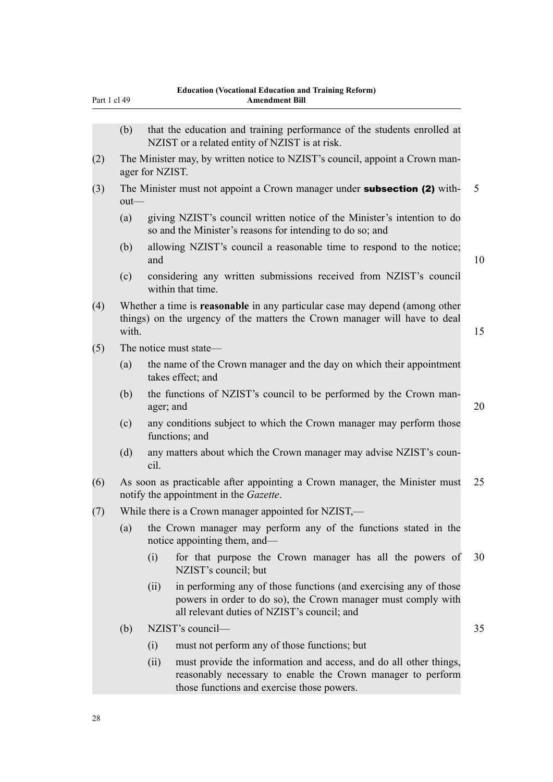| Part 1 cl 49 |         |                 | <b>Amendment Bill</b>                                                                                                                                                             |                |
|--------------|---------|-----------------|-----------------------------------------------------------------------------------------------------------------------------------------------------------------------------------|----------------|
|              | (b)     |                 | that the education and training performance of the students enrolled at<br>NZIST or a related entity of NZIST is at risk.                                                         |                |
| (2)          |         | ager for NZIST. | The Minister may, by written notice to NZIST's council, appoint a Crown man-                                                                                                      |                |
| (3)          | $out$ — |                 | The Minister must not appoint a Crown manager under <b>subsection (2)</b> with-                                                                                                   | $\mathfrak{S}$ |
|              | (a)     |                 | giving NZIST's council written notice of the Minister's intention to do<br>so and the Minister's reasons for intending to do so; and                                              |                |
|              | (b)     | and             | allowing NZIST's council a reasonable time to respond to the notice;                                                                                                              | 10             |
|              | (c)     |                 | considering any written submissions received from NZIST's council<br>within that time.                                                                                            |                |
| (4)          | with.   |                 | Whether a time is <b>reasonable</b> in any particular case may depend (among other<br>things) on the urgency of the matters the Crown manager will have to deal                   | 15             |
| (5)          |         |                 | The notice must state—                                                                                                                                                            |                |
|              | (a)     |                 | the name of the Crown manager and the day on which their appointment<br>takes effect; and                                                                                         |                |
|              | (b)     | ager; and       | the functions of NZIST's council to be performed by the Crown man-                                                                                                                | 20             |
|              | (c)     |                 | any conditions subject to which the Crown manager may perform those<br>functions; and                                                                                             |                |
|              | (d)     | cil.            | any matters about which the Crown manager may advise NZIST's coun-                                                                                                                |                |
| (6)          |         |                 | As soon as practicable after appointing a Crown manager, the Minister must<br>notify the appointment in the Gazette.                                                              | 25             |
| (7)          |         |                 | While there is a Crown manager appointed for NZIST,—                                                                                                                              |                |
|              | (a)     |                 | the Crown manager may perform any of the functions stated in the<br>notice appointing them, and—                                                                                  |                |
|              |         | (i)             | for that purpose the Crown manager has all the powers of<br>NZIST's council; but                                                                                                  | 30             |
|              |         | (ii)            | in performing any of those functions (and exercising any of those<br>powers in order to do so), the Crown manager must comply with<br>all relevant duties of NZIST's council; and |                |
|              | (b)     |                 | NZIST's council-                                                                                                                                                                  | 35             |
|              |         | (i)             | must not perform any of those functions; but                                                                                                                                      |                |
|              |         | (ii)            | must provide the information and access, and do all other things,<br>reasonably necessary to enable the Crown manager to perform<br>those functions and exercise those powers.    |                |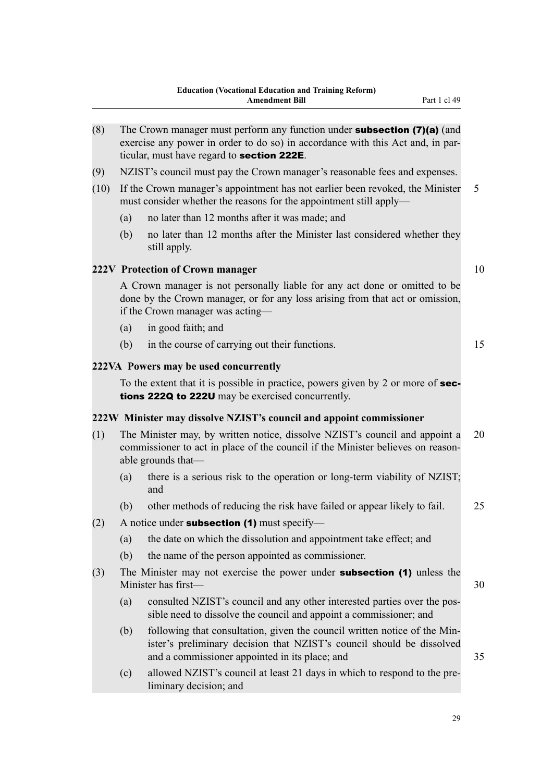<span id="page-32-0"></span>

| (8)  | The Crown manager must perform any function under <b>subsection (7)(a)</b> (and<br>exercise any power in order to do so) in accordance with this Act and, in par-<br>ticular, must have regard to section 222E. |                                                                                                                                                                                                      |    |  |
|------|-----------------------------------------------------------------------------------------------------------------------------------------------------------------------------------------------------------------|------------------------------------------------------------------------------------------------------------------------------------------------------------------------------------------------------|----|--|
| (9)  |                                                                                                                                                                                                                 | NZIST's council must pay the Crown manager's reasonable fees and expenses.                                                                                                                           |    |  |
| (10) |                                                                                                                                                                                                                 | If the Crown manager's appointment has not earlier been revoked, the Minister<br>must consider whether the reasons for the appointment still apply—                                                  | 5  |  |
|      | (a)                                                                                                                                                                                                             | no later than 12 months after it was made; and                                                                                                                                                       |    |  |
|      | (b)                                                                                                                                                                                                             | no later than 12 months after the Minister last considered whether they<br>still apply.                                                                                                              |    |  |
|      |                                                                                                                                                                                                                 | 222V Protection of Crown manager                                                                                                                                                                     | 10 |  |
|      |                                                                                                                                                                                                                 | A Crown manager is not personally liable for any act done or omitted to be<br>done by the Crown manager, or for any loss arising from that act or omission,<br>if the Crown manager was acting-      |    |  |
|      | (a)                                                                                                                                                                                                             | in good faith; and                                                                                                                                                                                   |    |  |
|      | (b)                                                                                                                                                                                                             | in the course of carrying out their functions.                                                                                                                                                       | 15 |  |
|      |                                                                                                                                                                                                                 | 222VA Powers may be used concurrently                                                                                                                                                                |    |  |
|      |                                                                                                                                                                                                                 | To the extent that it is possible in practice, powers given by 2 or more of sec-<br>tions 222Q to 222U may be exercised concurrently.                                                                |    |  |
|      |                                                                                                                                                                                                                 | 222W Minister may dissolve NZIST's council and appoint commissioner                                                                                                                                  |    |  |
| (1)  |                                                                                                                                                                                                                 | The Minister may, by written notice, dissolve NZIST's council and appoint a<br>commissioner to act in place of the council if the Minister believes on reason-<br>able grounds that—                 | 20 |  |
|      | (a)                                                                                                                                                                                                             | there is a serious risk to the operation or long-term viability of NZIST;<br>and                                                                                                                     |    |  |
|      | (b)                                                                                                                                                                                                             | other methods of reducing the risk have failed or appear likely to fail.                                                                                                                             | 25 |  |
| (2)  |                                                                                                                                                                                                                 | A notice under <b>subsection (1)</b> must specify-                                                                                                                                                   |    |  |
|      |                                                                                                                                                                                                                 | (a) the date on which the dissolution and appointment take effect; and                                                                                                                               |    |  |
|      | (b)                                                                                                                                                                                                             | the name of the person appointed as commissioner.                                                                                                                                                    |    |  |
| (3)  |                                                                                                                                                                                                                 | The Minister may not exercise the power under <b>subsection (1)</b> unless the<br>Minister has first-                                                                                                | 30 |  |
|      | (a)                                                                                                                                                                                                             | consulted NZIST's council and any other interested parties over the pos-<br>sible need to dissolve the council and appoint a commissioner; and                                                       |    |  |
|      | (b)                                                                                                                                                                                                             | following that consultation, given the council written notice of the Min-<br>ister's preliminary decision that NZIST's council should be dissolved<br>and a commissioner appointed in its place; and | 35 |  |
|      | (c)                                                                                                                                                                                                             | allowed NZIST's council at least 21 days in which to respond to the pre-<br>liminary decision; and                                                                                                   |    |  |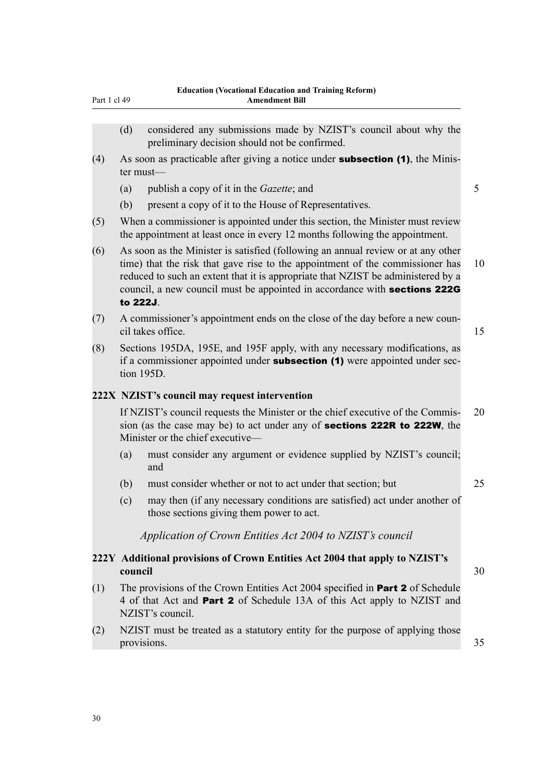<span id="page-33-0"></span>

| considered any submissions made by NZIST's council about why the |
|------------------------------------------------------------------|
| preliminary decision should not be confirmed.                    |

- (4) As soon as practicable after giving a notice under **subsection (1)**, the Minister must—
	- (a) publish a copy of it in the *Gazette*; and 5
	- (b) present a copy of it to the House of Representatives.
- (5) When a commissioner is appointed under this section, the Minister must review the appointment at least once in every 12 months following the appointment.
- (6) As soon as the Minister is satisfied (following an annual review or at any other time) that the risk that gave rise to the appointment of the commissioner has 10 reduced to such an extent that it is appropriate that NZIST be administered by a council, a new council must be appointed in accordance with sections 222G to 222J.
- (7) A commissioner's appointment ends on the close of the day before a new council takes office. 15
- (8) Sections 195DA, 195E, and 195F apply, with any necessary modifications, as if a commissioner appointed under **subsection (1)** were appointed under section 195D.

# **222X NZIST's council may request intervention**

If NZIST's council requests the Minister or the chief executive of the Commis- 20 sion (as the case may be) to act under any of sections 222R to 222W, the Minister or the chief executive—

- (a) must consider any argument or evidence supplied by NZIST's council; and
- (b) must consider whether or not to act under that section; but 25
- (c) may then (if any necessary conditions are satisfied) act under another of those sections giving them power to act.

*Application of Crown Entities Act 2004 to NZIST's council*

# **222Y Additional provisions of Crown Entities Act 2004 that apply to NZIST's council** 30

- (1) The provisions of the Crown Entities Act 2004 specified in Part 2 of Schedule 4 of that Act and Part 2 of Schedule 13A of this Act apply to NZIST and NZIST's council.
- (2) NZIST must be treated as a statutory entity for the purpose of applying those provisions. 35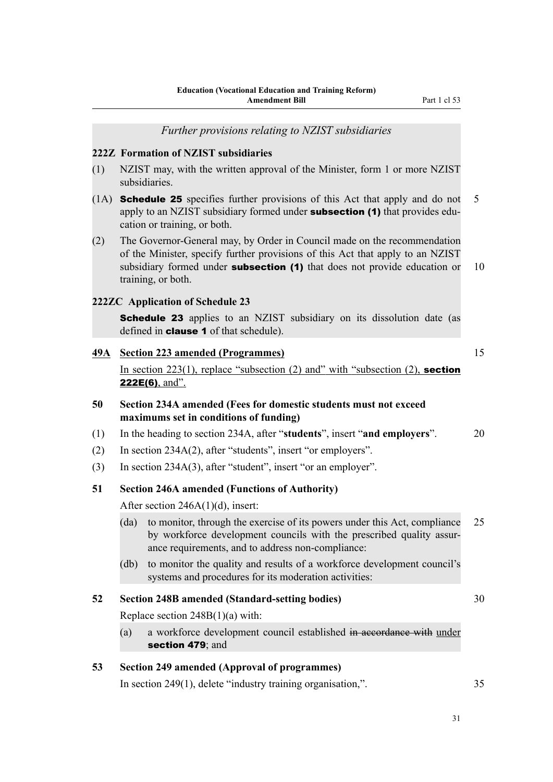<span id="page-34-0"></span>*Further provisions relating to NZIST subsidiaries* **222Z Formation of NZIST subsidiaries** (1) NZIST may, with the written approval of the Minister, form 1 or more NZIST subsidiaries. (1A) Schedule 25 specifies further provisions of this Act that apply and do not 5 apply to an NZIST subsidiary formed under **subsection (1)** that provides education or training, or both. (2) The Governor-General may, by Order in Council made on the recommendation of the Minister, specify further provisions of this Act that apply to an NZIST subsidiary formed under **subsection (1)** that does not provide education or  $10$ training, or both. **222ZC Application of Schedule 23 Schedule 23** applies to an NZIST subsidiary on its dissolution date (as defined in clause 1 of that schedule). **49A Section 223 amended (Programmes)** 15 In section  $223(1)$ , replace "subsection  $(2)$  and" with "subsection  $(2)$ , section 222E(6), and". **50 Section 234A amended (Fees for domestic students must not exceed maximums set in conditions of funding)** (1) In the heading to section 234A, after "**students**", insert "**and employers**". 20 (2) In section 234A(2), after "students", insert "or employers". (3) In section 234A(3), after "student", insert "or an employer". **51 Section 246A amended (Functions of Authority)** After section 246A(1)(d), insert: (da) to monitor, through the exercise of its powers under this Act, compliance 25 by workforce development councils with the prescribed quality assurance requirements, and to address non-compliance: (db) to monitor the quality and results of a workforce development council's systems and procedures for its moderation activities: **52 Section 248B amended (Standard-setting bodies)** 30 Replace section 248B(1)(a) with: (a) a workforce development council established in accordance with under section 479; and **53 Section 249 amended (Approval of programmes)** In section 249(1), delete "industry training organisation,". 35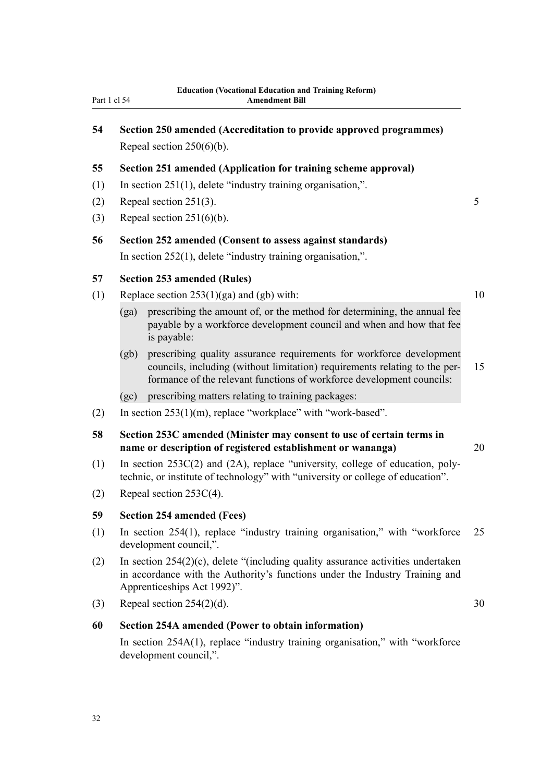# <span id="page-35-0"></span>**54 Section 250 amended (Accreditation to provide approved programmes)** Repeal section 250(6)(b).

#### **55 Section 251 amended (Application for training scheme approval)**

- (1) In section 251(1), delete "industry training organisation,".
- (2) Repeal section 251(3).  $5 \frac{1}{3}$
- (3) Repeal section 251(6)(b).

# **56 Section 252 amended (Consent to assess against standards)** In section 252(1), delete "industry training organisation,".

#### **57 Section 253 amended (Rules)**

- (1) Replace section  $253(1)(ga)$  and (gb) with: 10
	- (ga) prescribing the amount of, or the method for determining, the annual fee payable by a workforce development council and when and how that fee is payable:
	- (gb) prescribing quality assurance requirements for workforce development councils, including (without limitation) requirements relating to the per- 15 formance of the relevant functions of workforce development councils:
	- (gc) prescribing matters relating to training packages:
- (2) In section 253(1)(m), replace "workplace" with "work-based".

# **58 Section 253C amended (Minister may consent to use of certain terms in name or description of registered establishment or wananga)** 20

- (1) In section 253C(2) and (2A), replace "university, college of education, polytechnic, or institute of technology" with "university or college of education".
- (2) Repeal section 253C(4).

# **59 Section 254 amended (Fees)**

- (1) In section 254(1), replace "industry training organisation," with "workforce 25 development council,".
- (2) In section 254(2)(c), delete "(including quality assurance activities undertaken in accordance with the Authority's functions under the Industry Training and Apprenticeships Act 1992)".
- (3) Repeal section  $254(2)(d)$ . 30

#### **60 Section 254A amended (Power to obtain information)**

In section 254A(1), replace "industry training organisation," with "workforce development council,".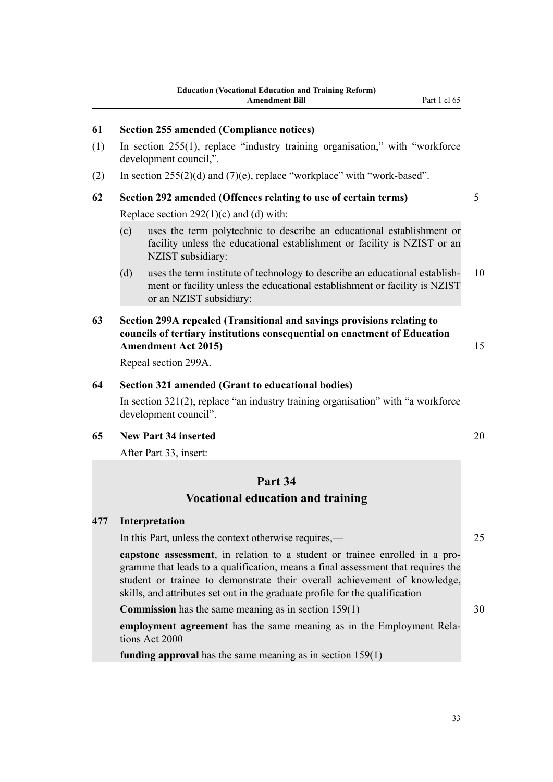## **61 Section 255 amended (Compliance notices)**

- (1) In section 255(1), replace "industry training organisation," with "workforce development council,".
- (2) In section  $255(2)(d)$  and  $(7)(e)$ , replace "workplace" with "work-based".

## **62 Section 292 amended (Offences relating to use of certain terms)** 5

Replace section  $292(1)(c)$  and (d) with:

- (c) uses the term polytechnic to describe an educational establishment or facility unless the educational establishment or facility is NZIST or an NZIST subsidiary:
- (d) uses the term institute of technology to describe an educational establish- 10 ment or facility unless the educational establishment or facility is NZIST or an NZIST subsidiary:

## **63 Section 299A repealed (Transitional and savings provisions relating to councils of tertiary institutions consequential on enactment of Education Amendment Act 2015)** 15

Repeal section 299A.

#### **64 Section 321 amended (Grant to educational bodies)**

In section 321(2), replace "an industry training organisation" with "a workforce development council".

#### **65 New Part 34 inserted** 20

After Part 33, insert:

## **Part 34**

## **Vocational education and training**

#### **477 Interpretation**

In this Part, unless the context otherwise requires,— 25

**capstone assessment**, in relation to a student or trainee enrolled in a programme that leads to a qualification, means a final assessment that requires the student or trainee to demonstrate their overall achievement of knowledge, skills, and attributes set out in the graduate profile for the qualification

**Commission** has the same meaning as in section 159(1) 30

**employment agreement** has the same meaning as in the Employment Relations Act 2000

**funding approval** has the same meaning as in section 159(1)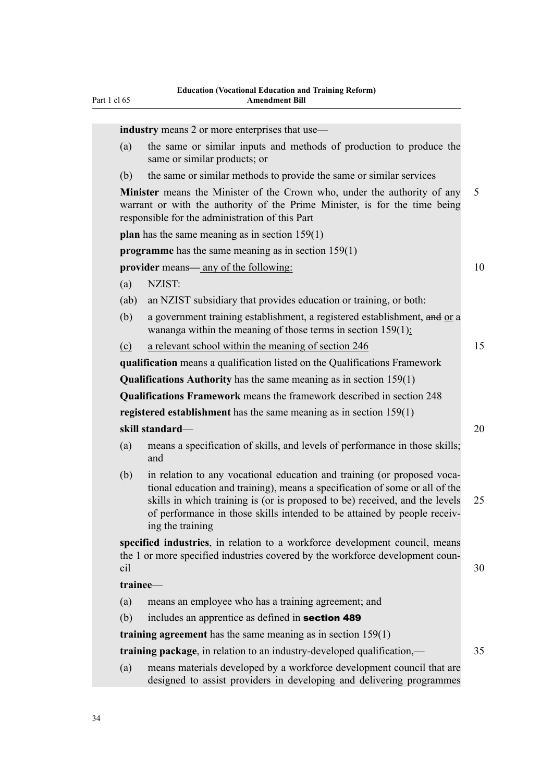|          | <b>industry</b> means 2 or more enterprises that use—                                                                                                                                                                                                                                                                                 |
|----------|---------------------------------------------------------------------------------------------------------------------------------------------------------------------------------------------------------------------------------------------------------------------------------------------------------------------------------------|
| (a)      | the same or similar inputs and methods of production to produce the                                                                                                                                                                                                                                                                   |
|          | same or similar products; or                                                                                                                                                                                                                                                                                                          |
| (b)      | the same or similar methods to provide the same or similar services                                                                                                                                                                                                                                                                   |
|          | <b>Minister</b> means the Minister of the Crown who, under the authority of any<br>warrant or with the authority of the Prime Minister, is for the time being<br>responsible for the administration of this Part                                                                                                                      |
|          | <b>plan</b> has the same meaning as in section $159(1)$                                                                                                                                                                                                                                                                               |
|          | <b>programme</b> has the same meaning as in section $159(1)$                                                                                                                                                                                                                                                                          |
|          | <b>provider</b> means—any of the following:                                                                                                                                                                                                                                                                                           |
| (a)      | NZIST:                                                                                                                                                                                                                                                                                                                                |
| (ab)     | an NZIST subsidiary that provides education or training, or both:                                                                                                                                                                                                                                                                     |
| (b)      | a government training establishment, a registered establishment, and or a<br>wananga within the meaning of those terms in section $159(1)$ :                                                                                                                                                                                          |
| $\Omega$ | a relevant school within the meaning of section 246                                                                                                                                                                                                                                                                                   |
|          | qualification means a qualification listed on the Qualifications Framework                                                                                                                                                                                                                                                            |
|          | <b>Qualifications Authority</b> has the same meaning as in section $159(1)$                                                                                                                                                                                                                                                           |
|          | <b>Qualifications Framework</b> means the framework described in section 248                                                                                                                                                                                                                                                          |
|          | registered establishment has the same meaning as in section $159(1)$                                                                                                                                                                                                                                                                  |
|          | skill standard-                                                                                                                                                                                                                                                                                                                       |
| (a)      | means a specification of skills, and levels of performance in those skills;<br>and                                                                                                                                                                                                                                                    |
| (b)      | in relation to any vocational education and training (or proposed voca-<br>tional education and training), means a specification of some or all of the<br>skills in which training is (or is proposed to be) received, and the levels<br>of performance in those skills intended to be attained by people receiv-<br>ing the training |
| cil      | specified industries, in relation to a workforce development council, means<br>the 1 or more specified industries covered by the workforce development coun-                                                                                                                                                                          |
|          | trainee-                                                                                                                                                                                                                                                                                                                              |
| (a)      | means an employee who has a training agreement; and                                                                                                                                                                                                                                                                                   |
| (b)      | includes an apprentice as defined in section 489                                                                                                                                                                                                                                                                                      |
|          | training agreement has the same meaning as in section $159(1)$                                                                                                                                                                                                                                                                        |
|          | <b>training package</b> , in relation to an industry-developed qualification,—                                                                                                                                                                                                                                                        |
| (a)      | means materials developed by a workforce development council that are<br>designed to assist providers in developing and delivering programmes                                                                                                                                                                                         |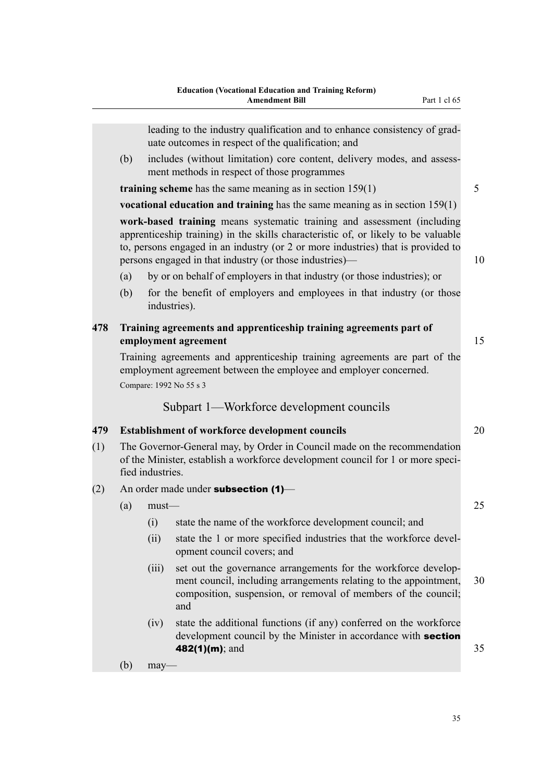leading to the industry qualification and to enhance consistency of graduate outcomes in respect of the qualification; and

(b) includes (without limitation) core content, delivery modes, and assessment methods in respect of those programmes

**training scheme** has the same meaning as in section 159(1) 5

**vocational education and training** has the same meaning as in section 159(1)

**work-based training** means systematic training and assessment (including apprenticeship training) in the skills characteristic of, or likely to be valuable to, persons engaged in an industry (or 2 or more industries) that is provided to persons engaged in that industry (or those industries)— 10

- (a) by or on behalf of employers in that industry (or those industries); or
- (b) for the benefit of employers and employees in that industry (or those industries).

## **478 Training agreements and apprenticeship training agreements part of employment agreement** 15

Training agreements and apprenticeship training agreements are part of the employment agreement between the employee and employer concerned. Compare: 1992 No 55 s 3

## Subpart 1—Workforce development councils

## **479 Establishment of workforce development councils** 20

- (1) The Governor-General may, by Order in Council made on the recommendation of the Minister, establish a workforce development council for 1 or more specified industries.
- (2) An order made under **subsection (1)**
	- $(a)$  must  $-$  25
		- (i) state the name of the workforce development council; and
		- (ii) state the 1 or more specified industries that the workforce development council covers; and
		- (iii) set out the governance arrangements for the workforce development council, including arrangements relating to the appointment, 30 composition, suspension, or removal of members of the council; and
		- (iv) state the additional functions (if any) conferred on the workforce development council by the Minister in accordance with **section 482(1)(m)**; and 35

(b) may—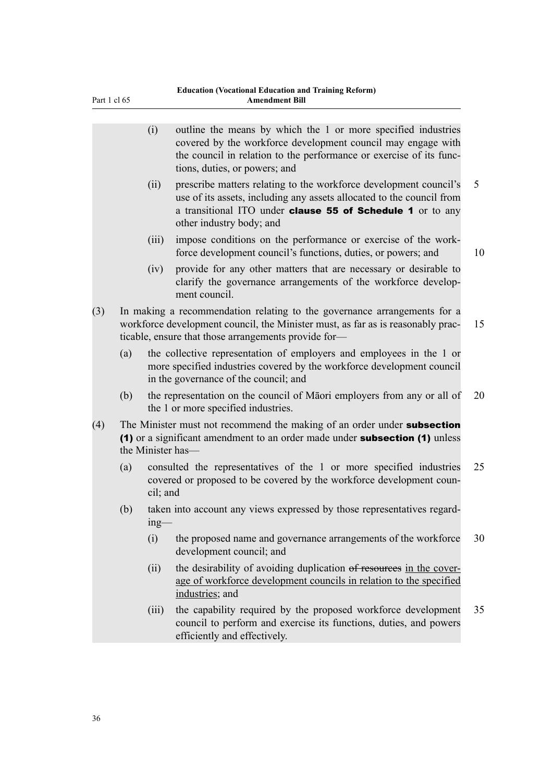|     |     | (i)      | outline the means by which the 1 or more specified industries<br>covered by the workforce development council may engage with<br>the council in relation to the performance or exercise of its func-<br>tions, duties, or powers; and       |    |
|-----|-----|----------|---------------------------------------------------------------------------------------------------------------------------------------------------------------------------------------------------------------------------------------------|----|
|     |     | (ii)     | prescribe matters relating to the workforce development council's<br>use of its assets, including any assets allocated to the council from<br>a transitional ITO under <b>clause 55 of Schedule 1</b> or to any<br>other industry body; and | 5  |
|     |     | (iii)    | impose conditions on the performance or exercise of the work-<br>force development council's functions, duties, or powers; and                                                                                                              | 10 |
|     |     | (iv)     | provide for any other matters that are necessary or desirable to<br>clarify the governance arrangements of the workforce develop-<br>ment council.                                                                                          |    |
| (3) |     |          | In making a recommendation relating to the governance arrangements for a<br>workforce development council, the Minister must, as far as is reasonably prac-<br>ticable, ensure that those arrangements provide for-                         | 15 |
|     | (a) |          | the collective representation of employers and employees in the 1 or<br>more specified industries covered by the workforce development council<br>in the governance of the council; and                                                     |    |
|     | (b) |          | the representation on the council of Māori employers from any or all of<br>the 1 or more specified industries.                                                                                                                              | 20 |
| (4) |     |          | The Minister must not recommend the making of an order under subsection<br>(1) or a significant amendment to an order made under subsection (1) unless<br>the Minister has-                                                                 |    |
|     | (a) | cil; and | consulted the representatives of the 1 or more specified industries<br>covered or proposed to be covered by the workforce development coun-                                                                                                 | 25 |
|     | (b) | $ing$ —  | taken into account any views expressed by those representatives regard-                                                                                                                                                                     |    |
|     |     | (i)      | the proposed name and governance arrangements of the workforce<br>development council; and                                                                                                                                                  | 30 |
|     |     | (ii)     | the desirability of avoiding duplication of resources in the cover-<br>age of workforce development councils in relation to the specified<br>industries; and                                                                                |    |
|     |     | (iii)    | the capability required by the proposed workforce development<br>council to perform and exercise its functions, duties, and powers<br>efficiently and effectively.                                                                          | 35 |
|     |     |          |                                                                                                                                                                                                                                             |    |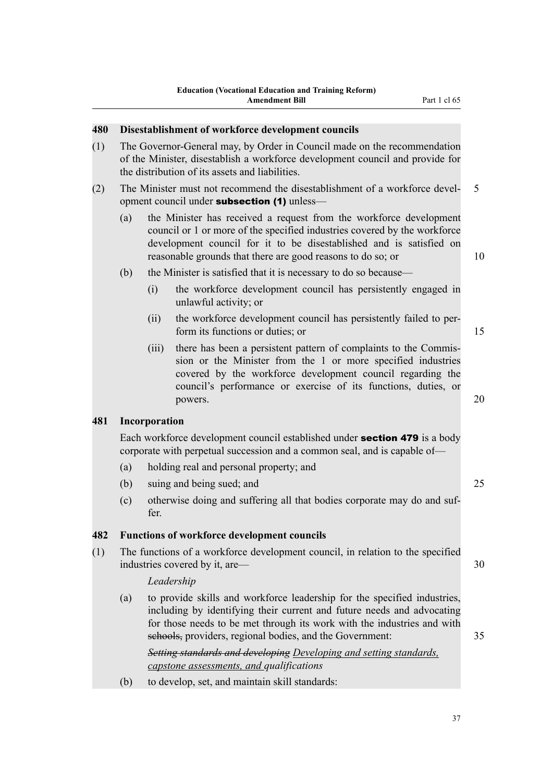#### **480 Disestablishment of workforce development councils**

- (1) The Governor-General may, by Order in Council made on the recommendation of the Minister, disestablish a workforce development council and provide for the distribution of its assets and liabilities.
- (2) The Minister must not recommend the disestablishment of a workforce devel- 5 opment council under **subsection (1)** unless—
	- (a) the Minister has received a request from the workforce development council or 1 or more of the specified industries covered by the workforce development council for it to be disestablished and is satisfied on reasonable grounds that there are good reasons to do so; or 10
	- (b) the Minister is satisfied that it is necessary to do so because—
		- (i) the workforce development council has persistently engaged in unlawful activity; or
		- (ii) the workforce development council has persistently failed to perform its functions or duties; or 15
		- (iii) there has been a persistent pattern of complaints to the Commission or the Minister from the 1 or more specified industries covered by the workforce development council regarding the council's performance or exercise of its functions, duties, or powers. 20

## **481 Incorporation**

Each workforce development council established under section 479 is a body corporate with perpetual succession and a common seal, and is capable of—

- (a) holding real and personal property; and
- (b) suing and being sued; and 25
- (c) otherwise doing and suffering all that bodies corporate may do and suffer.

#### **482 Functions of workforce development councils**

(1) The functions of a workforce development council, in relation to the specified industries covered by it, are—

## *Leadership*

(a) to provide skills and workforce leadership for the specified industries, including by identifying their current and future needs and advocating for those needs to be met through its work with the industries and with schools, providers, regional bodies, and the Government: 35

*Setting standards and developing Developing and setting standards, capstone assessments, and qualifications*

(b) to develop, set, and maintain skill standards: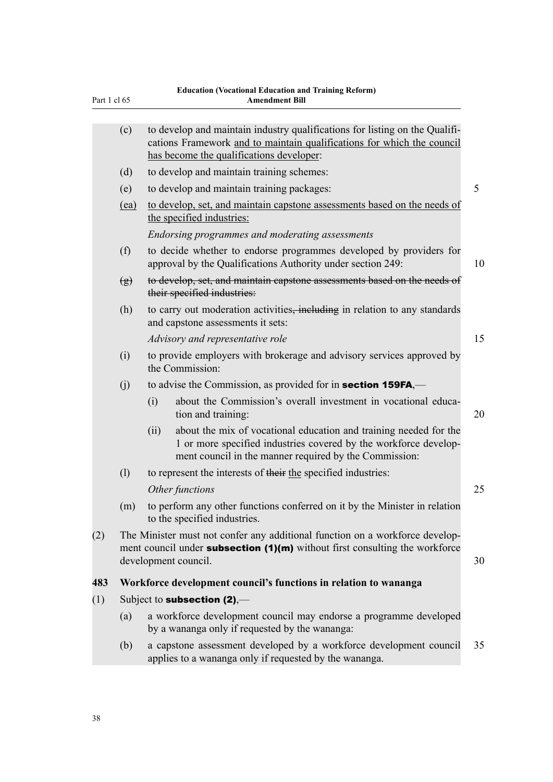| Part 1 cl 65 |                            | <b>Education (Vocational Education and Training Reform)</b><br><b>Amendment Bill</b> |                                                                                                                                                                                                   |    |  |  |  |
|--------------|----------------------------|--------------------------------------------------------------------------------------|---------------------------------------------------------------------------------------------------------------------------------------------------------------------------------------------------|----|--|--|--|
|              | (c)                        |                                                                                      | to develop and maintain industry qualifications for listing on the Qualifi-<br>cations Framework and to maintain qualifications for which the council<br>has become the qualifications developer: |    |  |  |  |
|              | (d)                        |                                                                                      | to develop and maintain training schemes:                                                                                                                                                         |    |  |  |  |
|              | (e)                        |                                                                                      | to develop and maintain training packages:                                                                                                                                                        | 5  |  |  |  |
|              | (ea)                       |                                                                                      | to develop, set, and maintain capstone assessments based on the needs of<br>the specified industries:                                                                                             |    |  |  |  |
|              |                            |                                                                                      | Endorsing programmes and moderating assessments                                                                                                                                                   |    |  |  |  |
|              | (f)                        |                                                                                      | to decide whether to endorse programmes developed by providers for<br>approval by the Qualifications Authority under section 249:                                                                 | 10 |  |  |  |
|              | $\left(\frac{g}{g}\right)$ |                                                                                      | to develop, set, and maintain capstone assessments based on the needs of<br>their specified industries:                                                                                           |    |  |  |  |
|              | (h)                        |                                                                                      | to carry out moderation activities, including in relation to any standards<br>and capstone assessments it sets:                                                                                   |    |  |  |  |
|              |                            |                                                                                      | Advisory and representative role                                                                                                                                                                  | 15 |  |  |  |
|              | (i)                        |                                                                                      | to provide employers with brokerage and advisory services approved by<br>the Commission:                                                                                                          |    |  |  |  |
|              | (j)                        |                                                                                      | to advise the Commission, as provided for in <b>section 159FA</b> ,—                                                                                                                              |    |  |  |  |
|              |                            | (i)                                                                                  | about the Commission's overall investment in vocational educa-<br>tion and training:                                                                                                              | 20 |  |  |  |
|              |                            | (ii)                                                                                 | about the mix of vocational education and training needed for the<br>1 or more specified industries covered by the workforce develop-<br>ment council in the manner required by the Commission:   |    |  |  |  |
|              | (1)                        |                                                                                      | to represent the interests of their the specified industries:                                                                                                                                     |    |  |  |  |
|              |                            |                                                                                      | Other functions                                                                                                                                                                                   | 25 |  |  |  |
|              |                            |                                                                                      | (m) to perform any other functions conferred on it by the Minister in relation<br>to the specified industries.                                                                                    |    |  |  |  |
| (2)          |                            |                                                                                      | The Minister must not confer any additional function on a workforce develop-<br>ment council under subsection $(1)(m)$ without first consulting the workforce<br>development council.             | 30 |  |  |  |
| 483          |                            |                                                                                      | Workforce development council's functions in relation to wananga                                                                                                                                  |    |  |  |  |
| (1)          |                            |                                                                                      | Subject to <b>subsection (2)</b> ,—                                                                                                                                                               |    |  |  |  |
|              | (a)                        |                                                                                      | a workforce development council may endorse a programme developed<br>by a wananga only if requested by the wananga:                                                                               |    |  |  |  |
|              | (b)                        |                                                                                      | a capstone assessment developed by a workforce development council<br>applies to a wananga only if requested by the wananga.                                                                      | 35 |  |  |  |

# **Education (Vocational Education and Training Reform)**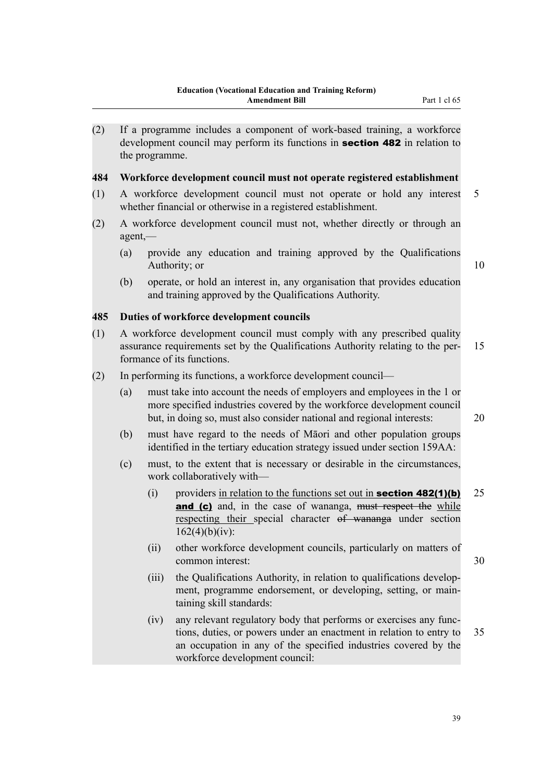(2) If a programme includes a component of work-based training, a workforce development council may perform its functions in **section 482** in relation to the programme.

#### **484 Workforce development council must not operate registered establishment**

- (1) A workforce development council must not operate or hold any interest 5 whether financial or otherwise in a registered establishment.
- (2) A workforce development council must not, whether directly or through an agent,—
	- (a) provide any education and training approved by the Qualifications Authority; or 10

(b) operate, or hold an interest in, any organisation that provides education and training approved by the Qualifications Authority.

## **485 Duties of workforce development councils**

- (1) A workforce development council must comply with any prescribed quality assurance requirements set by the Qualifications Authority relating to the per- 15 formance of its functions.
- (2) In performing its functions, a workforce development council—
	- (a) must take into account the needs of employers and employees in the 1 or more specified industries covered by the workforce development council but, in doing so, must also consider national and regional interests: 20
	- (b) must have regard to the needs of Māori and other population groups identified in the tertiary education strategy issued under section 159AA:
	- (c) must, to the extent that is necessary or desirable in the circumstances, work collaboratively with—
		- (i) providers in relation to the functions set out in **section 482(1)(b)** 25 and (c) and, in the case of wananga, must respect the while respecting their special character of wananga under section  $162(4)(b)(iv):$
		- (ii) other workforce development councils, particularly on matters of common interest: 30
		- (iii) the Qualifications Authority, in relation to qualifications development, programme endorsement, or developing, setting, or maintaining skill standards:
		- (iv) any relevant regulatory body that performs or exercises any functions, duties, or powers under an enactment in relation to entry to 35 an occupation in any of the specified industries covered by the workforce development council: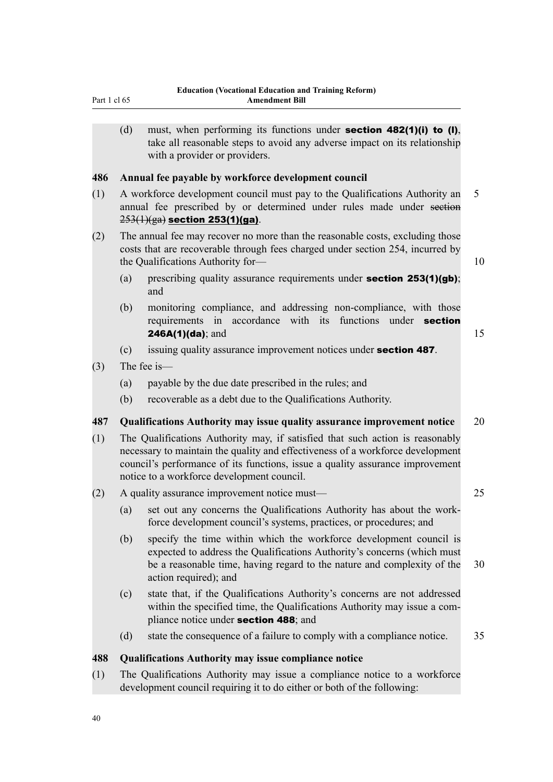(d) must, when performing its functions under **section 482(1)(i) to (I)**, take all reasonable steps to avoid any adverse impact on its relationship with a provider or providers.

## **486 Annual fee payable by workforce development council**

- (1) A workforce development council must pay to the Qualifications Authority an 5 annual fee prescribed by or determined under rules made under section  $253(1)(ga)$  section 253(1)(ga).
- (2) The annual fee may recover no more than the reasonable costs, excluding those costs that are recoverable through fees charged under section 254, incurred by the Qualifications Authority for— 10
	- (a) prescribing quality assurance requirements under **section 253(1)(gb)**; and
	- (b) monitoring compliance, and addressing non-compliance, with those requirements in accordance with its functions under **section 246A(1)(da)**; and  $15$
	- (c) issuing quality assurance improvement notices under section 487.
- (3) The fee is—
	- (a) payable by the due date prescribed in the rules; and
	- (b) recoverable as a debt due to the Qualifications Authority.

## **487 Qualifications Authority may issue quality assurance improvement notice** 20

- (1) The Qualifications Authority may, if satisfied that such action is reasonably necessary to maintain the quality and effectiveness of a workforce development council's performance of its functions, issue a quality assurance improvement notice to a workforce development council.
- (2) A quality assurance improvement notice must— 25
	- (a) set out any concerns the Qualifications Authority has about the workforce development council's systems, practices, or procedures; and
	- (b) specify the time within which the workforce development council is expected to address the Qualifications Authority's concerns (which must be a reasonable time, having regard to the nature and complexity of the 30 action required); and
	- (c) state that, if the Qualifications Authority's concerns are not addressed within the specified time, the Qualifications Authority may issue a compliance notice under section 488; and
	- (d) state the consequence of a failure to comply with a compliance notice. 35

## **488 Qualifications Authority may issue compliance notice**

(1) The Qualifications Authority may issue a compliance notice to a workforce development council requiring it to do either or both of the following: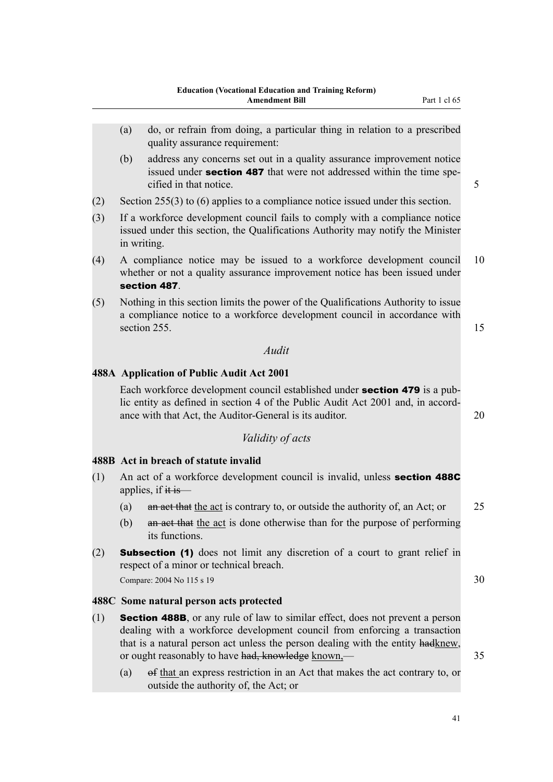- (b) address any concerns set out in a quality assurance improvement notice issued under **section 487** that were not addressed within the time specified in that notice. 5
- (2) Section 255(3) to (6) applies to a compliance notice issued under this section.
- (3) If a workforce development council fails to comply with a compliance notice issued under this section, the Qualifications Authority may notify the Minister in writing.
- (4) A compliance notice may be issued to a workforce development council 10 whether or not a quality assurance improvement notice has been issued under section 487.
- (5) Nothing in this section limits the power of the Qualifications Authority to issue a compliance notice to a workforce development council in accordance with section 255.  $\frac{15}{25}$

#### *Audit*

## **488A Application of Public Audit Act 2001**

Each workforce development council established under section 479 is a public entity as defined in section 4 of the Public Audit Act 2001 and, in accordance with that Act, the Auditor-General is its auditor. 20

## *Validity of acts*

## **488B Act in breach of statute invalid**

- (1) An act of a workforce development council is invalid, unless section 488C applies, if  $\ddot{\text{t}}$  is —
	- (a) an act that the act is contrary to, or outside the authority of, an Act; or 25
	- (b) an act that the act is done otherwise than for the purpose of performing its functions.
- (2) Subsection (1) does not limit any discretion of a court to grant relief in respect of a minor or technical breach. Compare: 2004 No 115 s 19  $30$

## **488C Some natural person acts protected**

- (1) **Section 488B**, or any rule of law to similar effect, does not prevent a person dealing with a workforce development council from enforcing a transaction that is a natural person act unless the person dealing with the entity hadknew, or ought reasonably to have had, knowledge known,—
	- (a) of that an express restriction in an Act that makes the act contrary to, or outside the authority of, the Act; or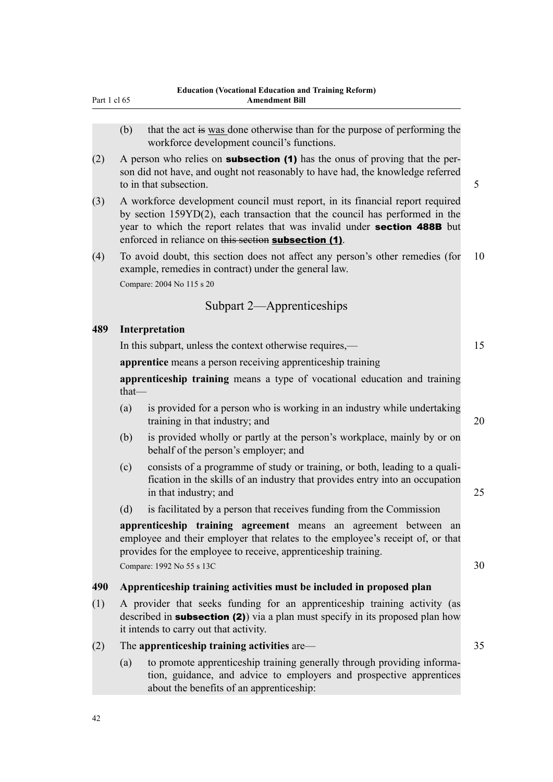| Part 1 cl 65 |  |  |
|--------------|--|--|
|              |  |  |

- (b) that the act is was done otherwise than for the purpose of performing the workforce development council's functions.
- (2) A person who relies on **subsection (1)** has the onus of proving that the person did not have, and ought not reasonably to have had, the knowledge referred to in that subsection.  $\sim$  5  $\sim$  5  $\sim$  5  $\sim$  5  $\sim$  5  $\sim$  5  $\sim$  5  $\sim$  5  $\sim$  5  $\sim$  5  $\sim$  5  $\sim$  5  $\sim$  5  $\sim$  5  $\sim$  5  $\sim$  5  $\sim$  5  $\sim$  5  $\sim$  5  $\sim$  5  $\sim$  5  $\sim$  5  $\sim$  5  $\sim$  5  $\sim$  5  $\sim$  5  $\sim$  5  $\sim$  5  $\sim$
- (3) A workforce development council must report, in its financial report required by section 159YD(2), each transaction that the council has performed in the year to which the report relates that was invalid under section 488B but enforced in reliance on this section subsection (1).
- (4) To avoid doubt, this section does not affect any person's other remedies (for 10 example, remedies in contract) under the general law. Compare: 2004 No 115 s 20

## Subpart 2—Apprenticeships

#### **489 Interpretation**

In this subpart, unless the context otherwise requires,— 15

**apprentice** means a person receiving apprenticeship training

**apprenticeship training** means a type of vocational education and training that—

- (a) is provided for a person who is working in an industry while undertaking training in that industry; and 20
- (b) is provided wholly or partly at the person's workplace, mainly by or on behalf of the person's employer; and
- (c) consists of a programme of study or training, or both, leading to a qualification in the skills of an industry that provides entry into an occupation in that industry; and 25
- (d) is facilitated by a person that receives funding from the Commission

**apprenticeship training agreement** means an agreement between an employee and their employer that relates to the employee's receipt of, or that provides for the employee to receive, apprenticeship training.  $Compare: 1992 No 55 s 13C  $30$$ 

## **490 Apprenticeship training activities must be included in proposed plan**

(1) A provider that seeks funding for an apprenticeship training activity (as described in **subsection (2)**) via a plan must specify in its proposed plan how it intends to carry out that activity.

## (2) The **apprenticeship training activities** are— 35

(a) to promote apprenticeship training generally through providing information, guidance, and advice to employers and prospective apprentices about the benefits of an apprenticeship: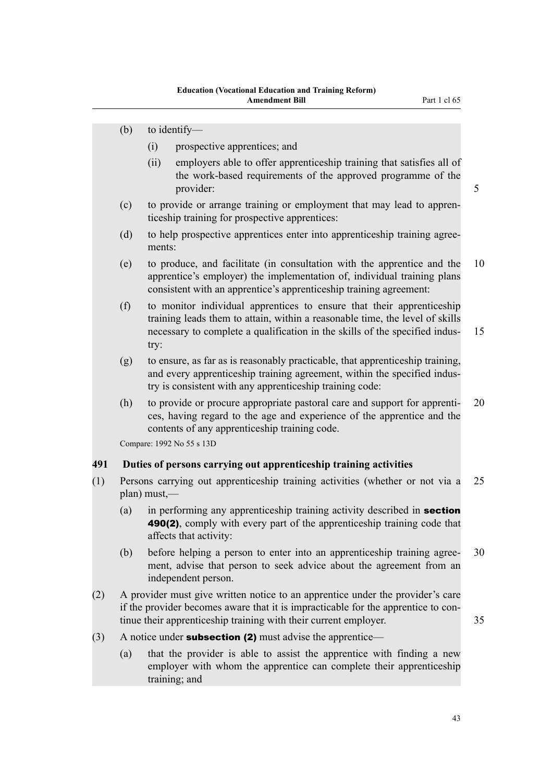- (b) to identify—
	- (i) prospective apprentices; and
	- (ii) employers able to offer apprenticeship training that satisfies all of the work-based requirements of the approved programme of the provider: 5
- (c) to provide or arrange training or employment that may lead to apprenticeship training for prospective apprentices:
- (d) to help prospective apprentices enter into apprenticeship training agreements:
- (e) to produce, and facilitate (in consultation with the apprentice and the 10 apprentice's employer) the implementation of, individual training plans consistent with an apprentice's apprenticeship training agreement:
- (f) to monitor individual apprentices to ensure that their apprenticeship training leads them to attain, within a reasonable time, the level of skills necessary to complete a qualification in the skills of the specified indus- 15 try:
- (g) to ensure, as far as is reasonably practicable, that apprenticeship training, and every apprenticeship training agreement, within the specified industry is consistent with any apprenticeship training code:
- (h) to provide or procure appropriate pastoral care and support for apprenti- 20 ces, having regard to the age and experience of the apprentice and the contents of any apprenticeship training code.

Compare: 1992 No 55 s 13D

## **491 Duties of persons carrying out apprenticeship training activities**

- (1) Persons carrying out apprenticeship training activities (whether or not via a 25 plan) must,—
	- (a) in performing any apprenticeship training activity described in **section** 490(2), comply with every part of the apprenticeship training code that affects that activity:
	- (b) before helping a person to enter into an apprenticeship training agree- 30 ment, advise that person to seek advice about the agreement from an independent person.
- (2) A provider must give written notice to an apprentice under the provider's care if the provider becomes aware that it is impracticable for the apprentice to continue their apprenticeship training with their current employer. 35
- (3) A notice under **subsection (2)** must advise the apprentice—
	- (a) that the provider is able to assist the apprentice with finding a new employer with whom the apprentice can complete their apprenticeship training; and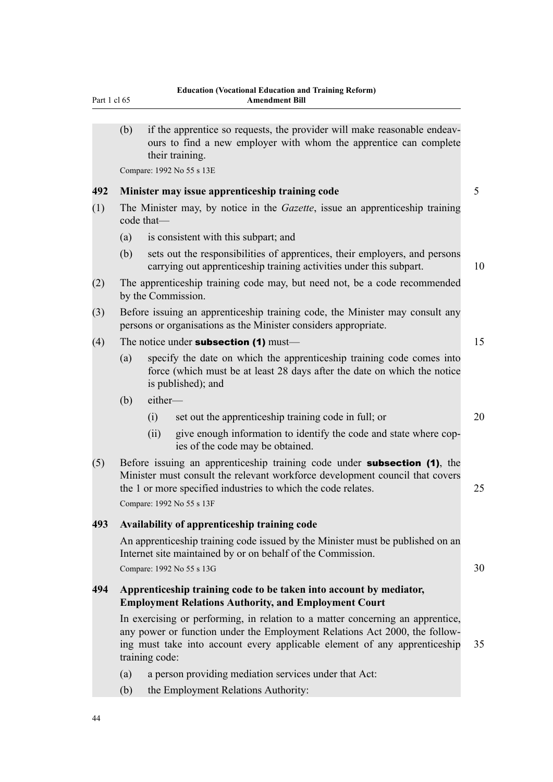| (b)                                                                                                | if the apprentice so requests, the provider will make reasonable endeav-<br>ours to find a new employer with whom the apprentice can complete<br>their training. |                                                                                                                                                                                                                                                                                                                                                                                                                                                                                                                                                                                                                                                                                                                                                                                                                                                                                                                                                                                                                                                                                                                                                                                                                                                                                                                                                                                             |  |  |  |  |
|----------------------------------------------------------------------------------------------------|------------------------------------------------------------------------------------------------------------------------------------------------------------------|---------------------------------------------------------------------------------------------------------------------------------------------------------------------------------------------------------------------------------------------------------------------------------------------------------------------------------------------------------------------------------------------------------------------------------------------------------------------------------------------------------------------------------------------------------------------------------------------------------------------------------------------------------------------------------------------------------------------------------------------------------------------------------------------------------------------------------------------------------------------------------------------------------------------------------------------------------------------------------------------------------------------------------------------------------------------------------------------------------------------------------------------------------------------------------------------------------------------------------------------------------------------------------------------------------------------------------------------------------------------------------------------|--|--|--|--|
|                                                                                                    |                                                                                                                                                                  |                                                                                                                                                                                                                                                                                                                                                                                                                                                                                                                                                                                                                                                                                                                                                                                                                                                                                                                                                                                                                                                                                                                                                                                                                                                                                                                                                                                             |  |  |  |  |
|                                                                                                    |                                                                                                                                                                  | 5                                                                                                                                                                                                                                                                                                                                                                                                                                                                                                                                                                                                                                                                                                                                                                                                                                                                                                                                                                                                                                                                                                                                                                                                                                                                                                                                                                                           |  |  |  |  |
| The Minister may, by notice in the <i>Gazette</i> , issue an apprenticeship training<br>code that- |                                                                                                                                                                  |                                                                                                                                                                                                                                                                                                                                                                                                                                                                                                                                                                                                                                                                                                                                                                                                                                                                                                                                                                                                                                                                                                                                                                                                                                                                                                                                                                                             |  |  |  |  |
| (a)                                                                                                | is consistent with this subpart; and                                                                                                                             |                                                                                                                                                                                                                                                                                                                                                                                                                                                                                                                                                                                                                                                                                                                                                                                                                                                                                                                                                                                                                                                                                                                                                                                                                                                                                                                                                                                             |  |  |  |  |
| (b)                                                                                                | sets out the responsibilities of apprentices, their employers, and persons<br>carrying out apprenticeship training activities under this subpart.                | 10                                                                                                                                                                                                                                                                                                                                                                                                                                                                                                                                                                                                                                                                                                                                                                                                                                                                                                                                                                                                                                                                                                                                                                                                                                                                                                                                                                                          |  |  |  |  |
|                                                                                                    |                                                                                                                                                                  |                                                                                                                                                                                                                                                                                                                                                                                                                                                                                                                                                                                                                                                                                                                                                                                                                                                                                                                                                                                                                                                                                                                                                                                                                                                                                                                                                                                             |  |  |  |  |
|                                                                                                    |                                                                                                                                                                  |                                                                                                                                                                                                                                                                                                                                                                                                                                                                                                                                                                                                                                                                                                                                                                                                                                                                                                                                                                                                                                                                                                                                                                                                                                                                                                                                                                                             |  |  |  |  |
| The notice under <b>subsection</b> $(1)$ must—                                                     |                                                                                                                                                                  |                                                                                                                                                                                                                                                                                                                                                                                                                                                                                                                                                                                                                                                                                                                                                                                                                                                                                                                                                                                                                                                                                                                                                                                                                                                                                                                                                                                             |  |  |  |  |
| (a)<br>is published); and                                                                          |                                                                                                                                                                  |                                                                                                                                                                                                                                                                                                                                                                                                                                                                                                                                                                                                                                                                                                                                                                                                                                                                                                                                                                                                                                                                                                                                                                                                                                                                                                                                                                                             |  |  |  |  |
| (b)                                                                                                | either-                                                                                                                                                          |                                                                                                                                                                                                                                                                                                                                                                                                                                                                                                                                                                                                                                                                                                                                                                                                                                                                                                                                                                                                                                                                                                                                                                                                                                                                                                                                                                                             |  |  |  |  |
|                                                                                                    | (i)<br>set out the apprenticeship training code in full; or                                                                                                      | 20                                                                                                                                                                                                                                                                                                                                                                                                                                                                                                                                                                                                                                                                                                                                                                                                                                                                                                                                                                                                                                                                                                                                                                                                                                                                                                                                                                                          |  |  |  |  |
|                                                                                                    | give enough information to identify the code and state where cop-<br>(ii)<br>ies of the code may be obtained.                                                    |                                                                                                                                                                                                                                                                                                                                                                                                                                                                                                                                                                                                                                                                                                                                                                                                                                                                                                                                                                                                                                                                                                                                                                                                                                                                                                                                                                                             |  |  |  |  |
|                                                                                                    |                                                                                                                                                                  | 25                                                                                                                                                                                                                                                                                                                                                                                                                                                                                                                                                                                                                                                                                                                                                                                                                                                                                                                                                                                                                                                                                                                                                                                                                                                                                                                                                                                          |  |  |  |  |
|                                                                                                    |                                                                                                                                                                  |                                                                                                                                                                                                                                                                                                                                                                                                                                                                                                                                                                                                                                                                                                                                                                                                                                                                                                                                                                                                                                                                                                                                                                                                                                                                                                                                                                                             |  |  |  |  |
|                                                                                                    |                                                                                                                                                                  | 30                                                                                                                                                                                                                                                                                                                                                                                                                                                                                                                                                                                                                                                                                                                                                                                                                                                                                                                                                                                                                                                                                                                                                                                                                                                                                                                                                                                          |  |  |  |  |
|                                                                                                    |                                                                                                                                                                  |                                                                                                                                                                                                                                                                                                                                                                                                                                                                                                                                                                                                                                                                                                                                                                                                                                                                                                                                                                                                                                                                                                                                                                                                                                                                                                                                                                                             |  |  |  |  |
|                                                                                                    |                                                                                                                                                                  | 35                                                                                                                                                                                                                                                                                                                                                                                                                                                                                                                                                                                                                                                                                                                                                                                                                                                                                                                                                                                                                                                                                                                                                                                                                                                                                                                                                                                          |  |  |  |  |
| (a)                                                                                                | a person providing mediation services under that Act:                                                                                                            |                                                                                                                                                                                                                                                                                                                                                                                                                                                                                                                                                                                                                                                                                                                                                                                                                                                                                                                                                                                                                                                                                                                                                                                                                                                                                                                                                                                             |  |  |  |  |
|                                                                                                    |                                                                                                                                                                  | Compare: 1992 No 55 s 13E<br>Minister may issue apprenticeship training code<br>The apprenticeship training code may, but need not, be a code recommended<br>by the Commission.<br>Before issuing an apprenticeship training code, the Minister may consult any<br>persons or organisations as the Minister considers appropriate.<br>specify the date on which the apprenticeship training code comes into<br>force (which must be at least 28 days after the date on which the notice<br>Before issuing an apprenticeship training code under <b>subsection (1)</b> , the<br>Minister must consult the relevant workforce development council that covers<br>the 1 or more specified industries to which the code relates.<br>Compare: 1992 No 55 s 13F<br>Availability of apprenticeship training code<br>An apprenticeship training code issued by the Minister must be published on an<br>Internet site maintained by or on behalf of the Commission.<br>Compare: 1992 No 55 s 13G<br>Apprenticeship training code to be taken into account by mediator,<br><b>Employment Relations Authority, and Employment Court</b><br>In exercising or performing, in relation to a matter concerning an apprentice,<br>any power or function under the Employment Relations Act 2000, the follow-<br>ing must take into account every applicable element of any apprenticeship<br>training code: |  |  |  |  |

(b) the Employment Relations Authority:

Part 1 cl 65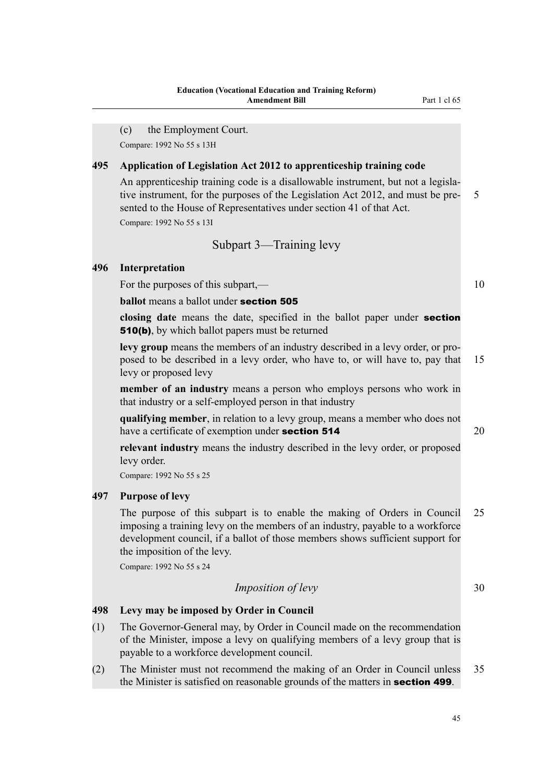(c) the Employment Court.

Compare: 1992 No 55 s 13H

## **495 Application of Legislation Act 2012 to apprenticeship training code**

An apprenticeship training code is a disallowable instrument, but not a legislative instrument, for the purposes of the Legislation Act 2012, and must be pre- 5 sented to the House of Representatives under section 41 of that Act.

Compare: 1992 No 55 s 13I

## Subpart 3—Training levy

#### **496 Interpretation**

For the purposes of this subpart,— 10

**ballot** means a ballot under **section 505** 

**closing date** means the date, specified in the ballot paper under section 510(b), by which ballot papers must be returned

**levy group** means the members of an industry described in a levy order, or proposed to be described in a levy order, who have to, or will have to, pay that 15 levy or proposed levy

**member of an industry** means a person who employs persons who work in that industry or a self-employed person in that industry

**qualifying member**, in relation to a levy group, means a member who does not have a certificate of exemption under **section 514** 20

**relevant industry** means the industry described in the levy order, or proposed levy order.

Compare: 1992 No 55 s 25

## **497 Purpose of levy**

The purpose of this subpart is to enable the making of Orders in Council 25 imposing a training levy on the members of an industry, payable to a workforce development council, if a ballot of those members shows sufficient support for the imposition of the levy.

Compare: 1992 No 55 s 24

## *Imposition of levy* 30

## **498 Levy may be imposed by Order in Council**

- (1) The Governor-General may, by Order in Council made on the recommendation of the Minister, impose a levy on qualifying members of a levy group that is payable to a workforce development council.
- (2) The Minister must not recommend the making of an Order in Council unless 35 the Minister is satisfied on reasonable grounds of the matters in section 499.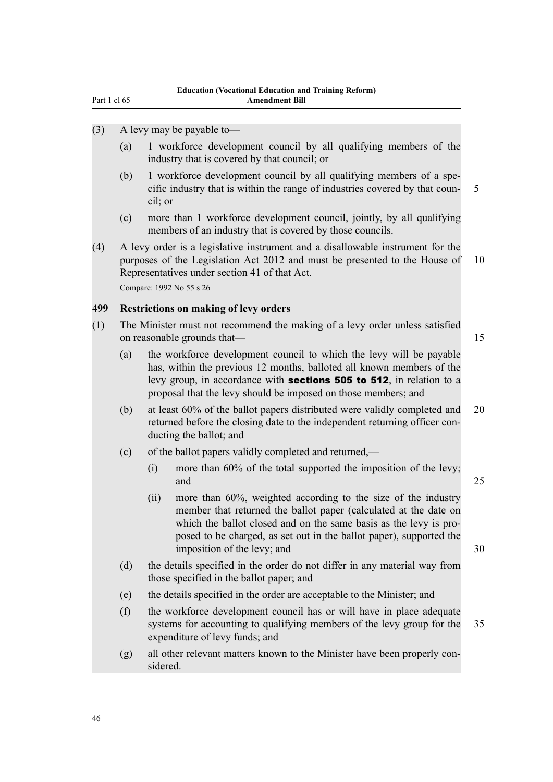- (3) A levy may be payable to—
	- (a) 1 workforce development council by all qualifying members of the industry that is covered by that council; or
	- (b) 1 workforce development council by all qualifying members of a specific industry that is within the range of industries covered by that coun- 5 cil; or
	- (c) more than 1 workforce development council, jointly, by all qualifying members of an industry that is covered by those councils.
- (4) A levy order is a legislative instrument and a disallowable instrument for the purposes of the Legislation Act 2012 and must be presented to the House of 10 Representatives under section 41 of that Act. Compare: 1992 No 55 s 26

## **499 Restrictions on making of levy orders**

- (1) The Minister must not recommend the making of a levy order unless satisfied on reasonable grounds that— 15
	- (a) the workforce development council to which the levy will be payable has, within the previous 12 months, balloted all known members of the levy group, in accordance with sections 505 to 512, in relation to a proposal that the levy should be imposed on those members; and
	- (b) at least 60% of the ballot papers distributed were validly completed and 20 returned before the closing date to the independent returning officer conducting the ballot; and
	- (c) of the ballot papers validly completed and returned,—
		- (i) more than 60% of the total supported the imposition of the levy; and 25
		- (ii) more than 60%, weighted according to the size of the industry member that returned the ballot paper (calculated at the date on which the ballot closed and on the same basis as the levy is proposed to be charged, as set out in the ballot paper), supported the imposition of the levy; and 30
			-
	- (d) the details specified in the order do not differ in any material way from those specified in the ballot paper; and
	- (e) the details specified in the order are acceptable to the Minister; and
	- (f) the workforce development council has or will have in place adequate systems for accounting to qualifying members of the levy group for the 35 expenditure of levy funds; and
	- (g) all other relevant matters known to the Minister have been properly considered.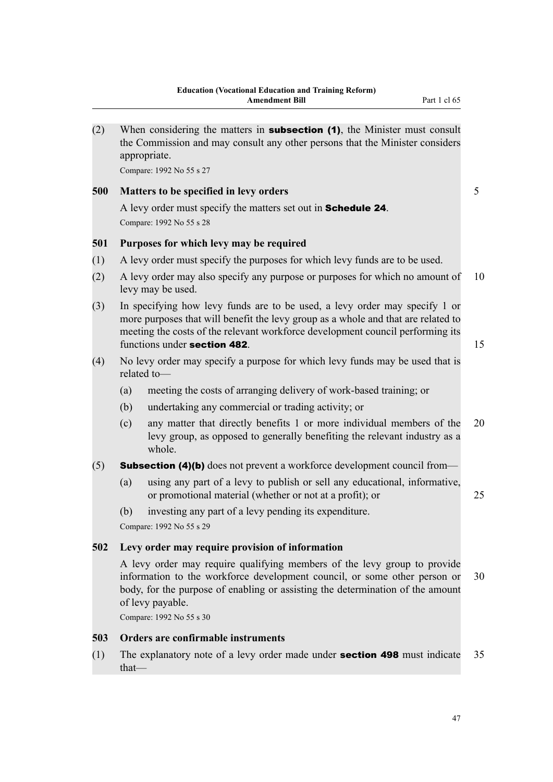| (2) |          | When considering the matters in <b>subsection (1)</b> , the Minister must consult<br>the Commission and may consult any other persons that the Minister considers<br>appropriate.                                                                                                 |    |
|-----|----------|-----------------------------------------------------------------------------------------------------------------------------------------------------------------------------------------------------------------------------------------------------------------------------------|----|
|     |          | Compare: 1992 No 55 s 27                                                                                                                                                                                                                                                          |    |
| 500 |          | Matters to be specified in levy orders                                                                                                                                                                                                                                            | 5  |
|     |          | A levy order must specify the matters set out in <b>Schedule 24</b> .<br>Compare: 1992 No 55 s 28                                                                                                                                                                                 |    |
| 501 |          | Purposes for which levy may be required                                                                                                                                                                                                                                           |    |
| (1) |          | A levy order must specify the purposes for which levy funds are to be used.                                                                                                                                                                                                       |    |
| (2) |          | A levy order may also specify any purpose or purposes for which no amount of<br>levy may be used.                                                                                                                                                                                 | 10 |
| (3) |          | In specifying how levy funds are to be used, a levy order may specify 1 or<br>more purposes that will benefit the levy group as a whole and that are related to<br>meeting the costs of the relevant workforce development council performing its<br>functions under section 482. | 15 |
| (4) |          | No levy order may specify a purpose for which levy funds may be used that is<br>related to-                                                                                                                                                                                       |    |
|     | (a)      | meeting the costs of arranging delivery of work-based training; or                                                                                                                                                                                                                |    |
|     | (b)      | undertaking any commercial or trading activity; or                                                                                                                                                                                                                                |    |
|     | (c)      | any matter that directly benefits 1 or more individual members of the<br>levy group, as opposed to generally benefiting the relevant industry as a<br>whole.                                                                                                                      | 20 |
| (5) |          | <b>Subsection (4)(b)</b> does not prevent a workforce development council from-                                                                                                                                                                                                   |    |
|     | (a)      | using any part of a levy to publish or sell any educational, informative,<br>or promotional material (whether or not at a profit); or                                                                                                                                             | 25 |
|     | (b)      | investing any part of a levy pending its expenditure.                                                                                                                                                                                                                             |    |
|     |          | Compare: 1992 No 55 s 29                                                                                                                                                                                                                                                          |    |
| 502 |          | Levy order may require provision of information                                                                                                                                                                                                                                   |    |
|     |          | A levy order may require qualifying members of the levy group to provide<br>information to the workforce development council, or some other person or<br>body, for the purpose of enabling or assisting the determination of the amount<br>of levy payable.                       | 30 |
|     |          | Compare: 1992 No 55 s 30                                                                                                                                                                                                                                                          |    |
| 503 |          | Orders are confirmable instruments                                                                                                                                                                                                                                                |    |
| (1) | $that$ — | The explanatory note of a levy order made under <b>section 498</b> must indicate                                                                                                                                                                                                  | 35 |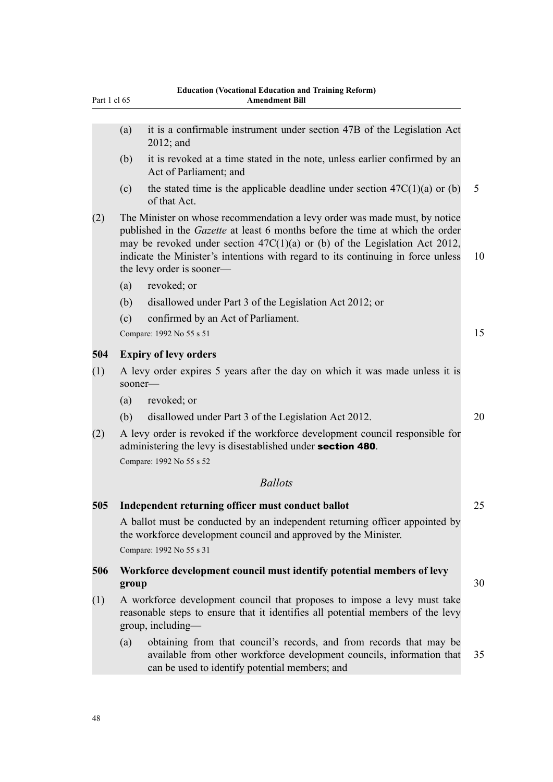| Part 1 cl 65 |         | <b>Amendment Bill</b>                                                                                                                                                                                                                                                                                                                                        |    |
|--------------|---------|--------------------------------------------------------------------------------------------------------------------------------------------------------------------------------------------------------------------------------------------------------------------------------------------------------------------------------------------------------------|----|
|              | (a)     | it is a confirmable instrument under section 47B of the Legislation Act<br>$2012$ ; and                                                                                                                                                                                                                                                                      |    |
|              | (b)     | it is revoked at a time stated in the note, unless earlier confirmed by an<br>Act of Parliament; and                                                                                                                                                                                                                                                         |    |
|              | (c)     | the stated time is the applicable deadline under section $47C(1)(a)$ or (b)<br>of that Act.                                                                                                                                                                                                                                                                  | 5  |
| (2)          |         | The Minister on whose recommendation a levy order was made must, by notice<br>published in the Gazette at least 6 months before the time at which the order<br>may be revoked under section $47C(1)(a)$ or (b) of the Legislation Act 2012,<br>indicate the Minister's intentions with regard to its continuing in force unless<br>the levy order is sooner— | 10 |
|              | (a)     | revoked; or                                                                                                                                                                                                                                                                                                                                                  |    |
|              | (b)     | disallowed under Part 3 of the Legislation Act 2012; or                                                                                                                                                                                                                                                                                                      |    |
|              | (c)     | confirmed by an Act of Parliament.                                                                                                                                                                                                                                                                                                                           |    |
|              |         | Compare: 1992 No 55 s 51                                                                                                                                                                                                                                                                                                                                     | 15 |
| 504          |         | <b>Expiry of levy orders</b>                                                                                                                                                                                                                                                                                                                                 |    |
| (1)          | sooner- | A levy order expires 5 years after the day on which it was made unless it is                                                                                                                                                                                                                                                                                 |    |
|              | (a)     | revoked; or                                                                                                                                                                                                                                                                                                                                                  |    |
|              | (b)     | disallowed under Part 3 of the Legislation Act 2012.                                                                                                                                                                                                                                                                                                         | 20 |
| (2)          |         | A levy order is revoked if the workforce development council responsible for<br>administering the levy is disestablished under section 480.                                                                                                                                                                                                                  |    |
|              |         | Compare: 1992 No 55 s 52                                                                                                                                                                                                                                                                                                                                     |    |
|              |         | <b>Ballots</b>                                                                                                                                                                                                                                                                                                                                               |    |
| 505          |         | Independent returning officer must conduct ballot                                                                                                                                                                                                                                                                                                            | 25 |
|              |         | A ballot must be conducted by an independent returning officer appointed by<br>the workforce development council and approved by the Minister.<br>Compare: 1992 No 55 s 31                                                                                                                                                                                   |    |
| 506          | group   | Workforce development council must identify potential members of levy                                                                                                                                                                                                                                                                                        | 30 |
| (1)          |         | A workforce development council that proposes to impose a levy must take<br>reasonable steps to ensure that it identifies all potential members of the levy<br>group, including-                                                                                                                                                                             |    |
|              |         |                                                                                                                                                                                                                                                                                                                                                              |    |

(a) obtaining from that council's records, and from records that may be available from other workforce development councils, information that 35 can be used to identify potential members; and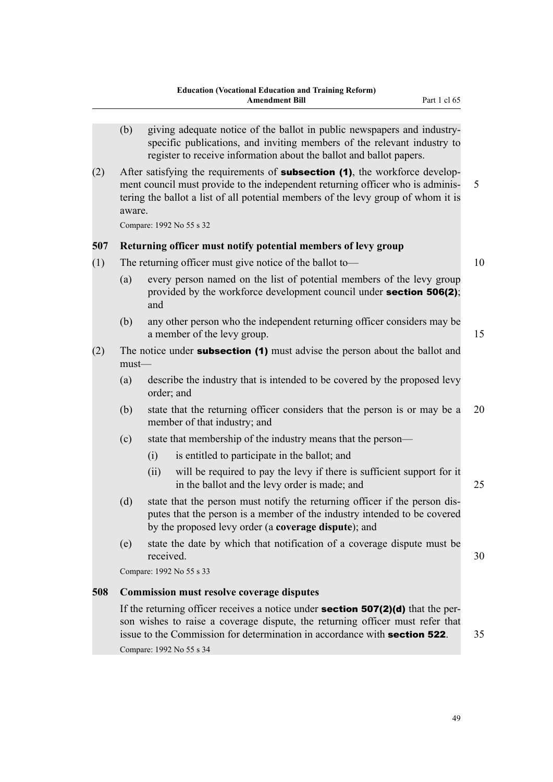|     | (b)     |           | giving adequate notice of the ballot in public newspapers and industry-<br>specific publications, and inviting members of the relevant industry to<br>register to receive information about the ballot and ballot papers.                                     |    |
|-----|---------|-----------|---------------------------------------------------------------------------------------------------------------------------------------------------------------------------------------------------------------------------------------------------------------|----|
| (2) | aware.  |           | After satisfying the requirements of <b>subsection (1)</b> , the workforce develop-<br>ment council must provide to the independent returning officer who is adminis-<br>tering the ballot a list of all potential members of the levy group of whom it is    | 5  |
|     |         |           | Compare: 1992 No 55 s 32                                                                                                                                                                                                                                      |    |
| 507 |         |           | Returning officer must notify potential members of levy group                                                                                                                                                                                                 |    |
| (1) |         |           | The returning officer must give notice of the ballot to-                                                                                                                                                                                                      | 10 |
|     | (a)     | and       | every person named on the list of potential members of the levy group<br>provided by the workforce development council under <b>section 506(2)</b> ;                                                                                                          |    |
|     | (b)     |           | any other person who the independent returning officer considers may be<br>a member of the levy group.                                                                                                                                                        | 15 |
| (2) | $must-$ |           | The notice under <b>subsection (1)</b> must advise the person about the ballot and                                                                                                                                                                            |    |
|     | (a)     |           | describe the industry that is intended to be covered by the proposed levy<br>order; and                                                                                                                                                                       |    |
|     | (b)     |           | state that the returning officer considers that the person is or may be a<br>member of that industry; and                                                                                                                                                     | 20 |
|     | (c)     |           | state that membership of the industry means that the person—                                                                                                                                                                                                  |    |
|     |         | (i)       | is entitled to participate in the ballot; and                                                                                                                                                                                                                 |    |
|     |         | (ii)      | will be required to pay the levy if there is sufficient support for it<br>in the ballot and the levy order is made; and                                                                                                                                       | 25 |
|     | (d)     |           | state that the person must notify the returning officer if the person dis-<br>putes that the person is a member of the industry intended to be covered<br>by the proposed levy order (a coverage dispute); and                                                |    |
|     | (e)     | received. | state the date by which that notification of a coverage dispute must be                                                                                                                                                                                       | 30 |
|     |         |           | Compare: 1992 No 55 s 33                                                                                                                                                                                                                                      |    |
| 508 |         |           | <b>Commission must resolve coverage disputes</b>                                                                                                                                                                                                              |    |
|     |         |           | If the returning officer receives a notice under <b>section 507(2)(d)</b> that the per-<br>son wishes to raise a coverage dispute, the returning officer must refer that<br>issue to the Commission for determination in accordance with <b>section 522</b> . | 35 |

Compare: 1992 No 55 s 34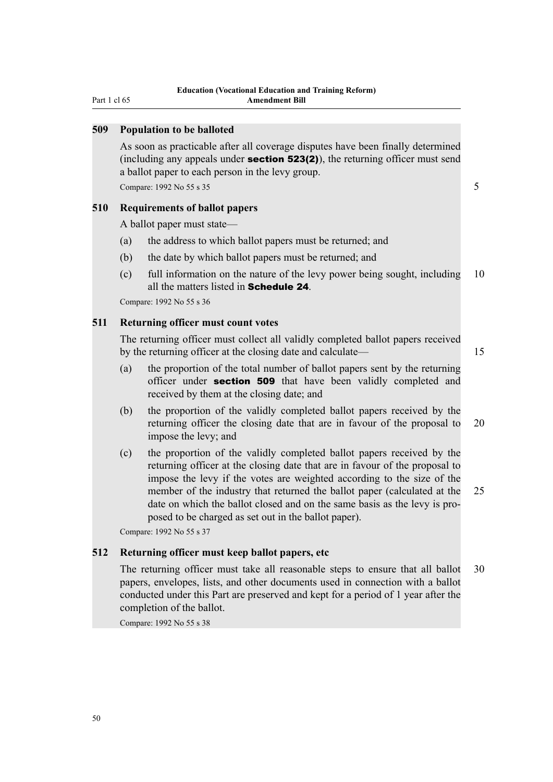Part 1 cl 65

#### **509 Population to be balloted**

As soon as practicable after all coverage disputes have been finally determined (including any appeals under **section 523(2)**), the returning officer must send a ballot paper to each person in the levy group.

Compare: 1992 No 55 s  $35$  5  $\frac{1}{2}$  5  $\frac{1}{2}$  5  $\frac{1}{2}$  5  $\frac{1}{2}$  5  $\frac{1}{2}$  5  $\frac{1}{2}$  5  $\frac{1}{2}$  5  $\frac{1}{2}$  5  $\frac{1}{2}$  5  $\frac{1}{2}$  5  $\frac{1}{2}$  5  $\frac{1}{2}$  5  $\frac{1}{2}$  5  $\frac{1}{2}$  5  $\frac{1}{2}$  5  $\frac{1}{2}$  5

#### **510 Requirements of ballot papers**

A ballot paper must state—

- (a) the address to which ballot papers must be returned; and
- (b) the date by which ballot papers must be returned; and
- (c) full information on the nature of the levy power being sought, including 10 all the matters listed in Schedule 24.

Compare: 1992 No 55 s 36

## **511 Returning officer must count votes**

The returning officer must collect all validly completed ballot papers received by the returning officer at the closing date and calculate— 15

- (a) the proportion of the total number of ballot papers sent by the returning officer under **section 509** that have been validly completed and received by them at the closing date; and
- (b) the proportion of the validly completed ballot papers received by the returning officer the closing date that are in favour of the proposal to 20 impose the levy; and
- (c) the proportion of the validly completed ballot papers received by the returning officer at the closing date that are in favour of the proposal to impose the levy if the votes are weighted according to the size of the member of the industry that returned the ballot paper (calculated at the 25 date on which the ballot closed and on the same basis as the levy is proposed to be charged as set out in the ballot paper).

Compare: 1992 No 55 s 37

## **512 Returning officer must keep ballot papers, etc**

The returning officer must take all reasonable steps to ensure that all ballot 30 papers, envelopes, lists, and other documents used in connection with a ballot conducted under this Part are preserved and kept for a period of 1 year after the completion of the ballot.

Compare: 1992 No 55 s 38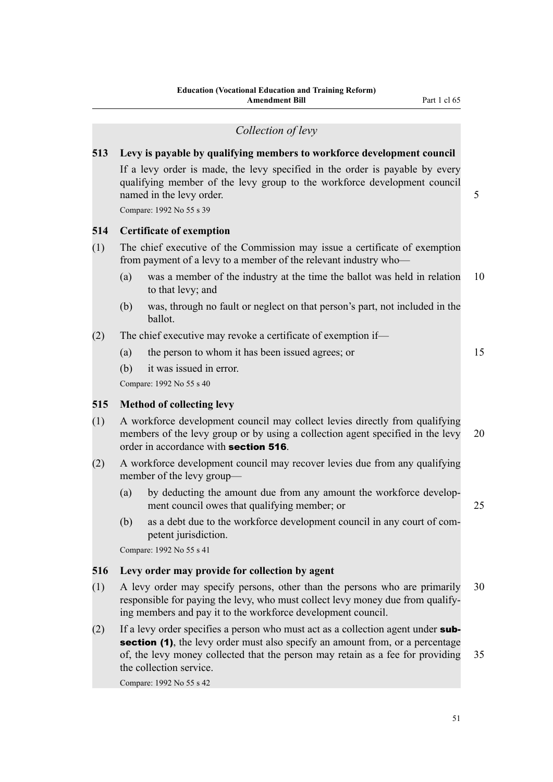|     | Collection of levy                                                                                                                                                                                                                                                                                         |    |  |  |  |  |  |  |  |
|-----|------------------------------------------------------------------------------------------------------------------------------------------------------------------------------------------------------------------------------------------------------------------------------------------------------------|----|--|--|--|--|--|--|--|
| 513 | Levy is payable by qualifying members to workforce development council<br>If a levy order is made, the levy specified in the order is payable by every<br>qualifying member of the levy group to the workforce development council<br>named in the levy order.<br>5<br>Compare: 1992 No 55 s 39            |    |  |  |  |  |  |  |  |
| 514 | <b>Certificate of exemption</b>                                                                                                                                                                                                                                                                            |    |  |  |  |  |  |  |  |
| (1) | The chief executive of the Commission may issue a certificate of exemption<br>from payment of a levy to a member of the relevant industry who-<br>was a member of the industry at the time the ballot was held in relation<br>(a)                                                                          | 10 |  |  |  |  |  |  |  |
|     | to that levy; and                                                                                                                                                                                                                                                                                          |    |  |  |  |  |  |  |  |
|     | was, through no fault or neglect on that person's part, not included in the<br>(b)<br>ballot.                                                                                                                                                                                                              |    |  |  |  |  |  |  |  |
| (2) | The chief executive may revoke a certificate of exemption if—                                                                                                                                                                                                                                              |    |  |  |  |  |  |  |  |
|     | (a)<br>the person to whom it has been issued agrees; or                                                                                                                                                                                                                                                    | 15 |  |  |  |  |  |  |  |
|     | (b)<br>it was issued in error.<br>Compare: 1992 No 55 s 40                                                                                                                                                                                                                                                 |    |  |  |  |  |  |  |  |
| 515 | <b>Method of collecting levy</b>                                                                                                                                                                                                                                                                           |    |  |  |  |  |  |  |  |
| (1) | A workforce development council may collect levies directly from qualifying<br>members of the levy group or by using a collection agent specified in the levy<br>order in accordance with section 516.                                                                                                     | 20 |  |  |  |  |  |  |  |
| (2) | A workforce development council may recover levies due from any qualifying<br>member of the levy group—                                                                                                                                                                                                    |    |  |  |  |  |  |  |  |
|     | by deducting the amount due from any amount the workforce develop-<br>(a)<br>ment council owes that qualifying member; or                                                                                                                                                                                  | 25 |  |  |  |  |  |  |  |
|     | as a debt due to the workforce development council in any court of com-<br>(b)<br>petent jurisdiction.<br>Compare: 1992 No 55 s 41                                                                                                                                                                         |    |  |  |  |  |  |  |  |
| 516 | Levy order may provide for collection by agent                                                                                                                                                                                                                                                             |    |  |  |  |  |  |  |  |
| (1) | A levy order may specify persons, other than the persons who are primarily<br>30<br>responsible for paying the levy, who must collect levy money due from qualify-<br>ing members and pay it to the workforce development council.                                                                         |    |  |  |  |  |  |  |  |
| (2) | If a levy order specifies a person who must act as a collection agent under sub-<br>section (1), the levy order must also specify an amount from, or a percentage<br>of, the levy money collected that the person may retain as a fee for providing<br>the collection service.<br>Compare: 1992 No 55 s 42 | 35 |  |  |  |  |  |  |  |
|     |                                                                                                                                                                                                                                                                                                            |    |  |  |  |  |  |  |  |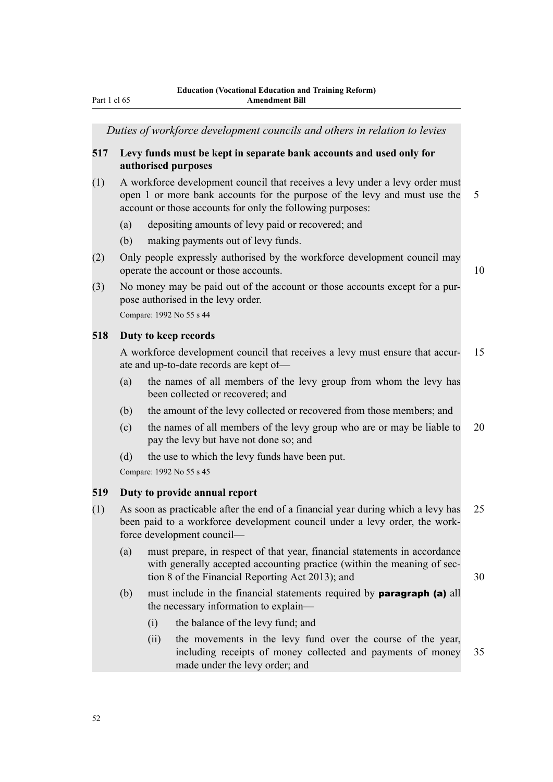*Duties of workforce development councils and others in relation to levies*

## **517 Levy funds must be kept in separate bank accounts and used only for authorised purposes**

- (1) A workforce development council that receives a levy under a levy order must open 1 or more bank accounts for the purpose of the levy and must use the 5 account or those accounts for only the following purposes:
	- (a) depositing amounts of levy paid or recovered; and
	- (b) making payments out of levy funds.
- (2) Only people expressly authorised by the workforce development council may operate the account or those accounts. 10
	-
- (3) No money may be paid out of the account or those accounts except for a purpose authorised in the levy order.

Compare: 1992 No 55 s 44

#### **518 Duty to keep records**

A workforce development council that receives a levy must ensure that accur- 15 ate and up-to-date records are kept of—

- (a) the names of all members of the levy group from whom the levy has been collected or recovered; and
- (b) the amount of the levy collected or recovered from those members; and
- (c) the names of all members of the levy group who are or may be liable to 20 pay the levy but have not done so; and
- (d) the use to which the levy funds have been put.

Compare: 1992 No 55 s 45

## **519 Duty to provide annual report**

- (1) As soon as practicable after the end of a financial year during which a levy has 25 been paid to a workforce development council under a levy order, the workforce development council—
	- (a) must prepare, in respect of that year, financial statements in accordance with generally accepted accounting practice (within the meaning of section 8 of the Financial Reporting Act 2013); and 30
	- (b) must include in the financial statements required by paragraph (a) all the necessary information to explain—
		- (i) the balance of the levy fund; and
		- (ii) the movements in the levy fund over the course of the year, including receipts of money collected and payments of money 35 made under the levy order; and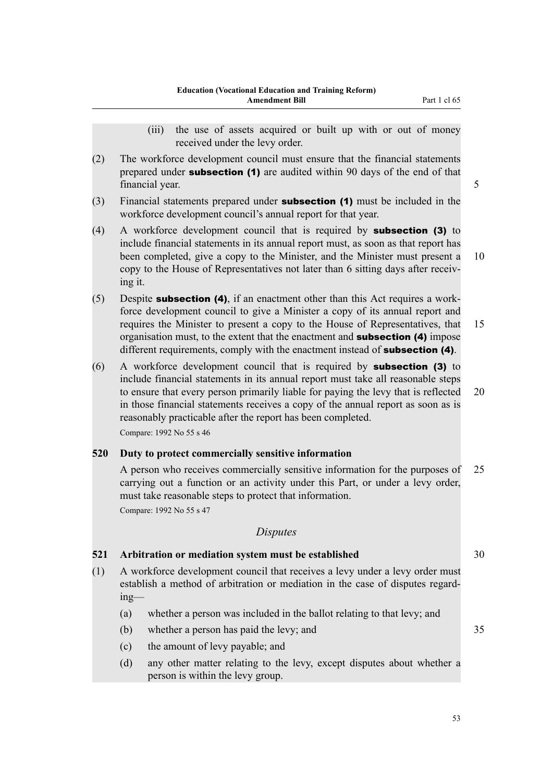- (iii) the use of assets acquired or built up with or out of money received under the levy order.
- (2) The workforce development council must ensure that the financial statements prepared under **subsection (1)** are audited within 90 days of the end of that financial year. 5 September 2014 12:30 September 2014 12:30 September 2014 12:30 September 2014 12:30 September 2014 12:30 September 2014 12:30 September 2014 12:30 September 2014 12:30 September 2014 12:30 September 2014
- (3) Financial statements prepared under subsection (1) must be included in the workforce development council's annual report for that year.
- (4) A workforce development council that is required by subsection (3) to include financial statements in its annual report must, as soon as that report has been completed, give a copy to the Minister, and the Minister must present a 10 copy to the House of Representatives not later than 6 sitting days after receiving it.
- $(5)$  Despite **subsection (4)**, if an enactment other than this Act requires a workforce development council to give a Minister a copy of its annual report and requires the Minister to present a copy to the House of Representatives, that 15 organisation must, to the extent that the enactment and **subsection (4)** impose different requirements, comply with the enactment instead of **subsection (4)**.
- (6) A workforce development council that is required by subsection (3) to include financial statements in its annual report must take all reasonable steps to ensure that every person primarily liable for paying the levy that is reflected 20 in those financial statements receives a copy of the annual report as soon as is reasonably practicable after the report has been completed. Compare: 1992 No 55 s 46

## **520 Duty to protect commercially sensitive information**

A person who receives commercially sensitive information for the purposes of 25 carrying out a function or an activity under this Part, or under a levy order, must take reasonable steps to protect that information. Compare: 1992 No 55 s 47

## *Disputes*

## **521 Arbitration or mediation system must be established** 30

- (1) A workforce development council that receives a levy under a levy order must establish a method of arbitration or mediation in the case of disputes regarding—
	- (a) whether a person was included in the ballot relating to that levy; and
	- (b) whether a person has paid the levy; and 35
	- (c) the amount of levy payable; and
	- (d) any other matter relating to the levy, except disputes about whether a person is within the levy group.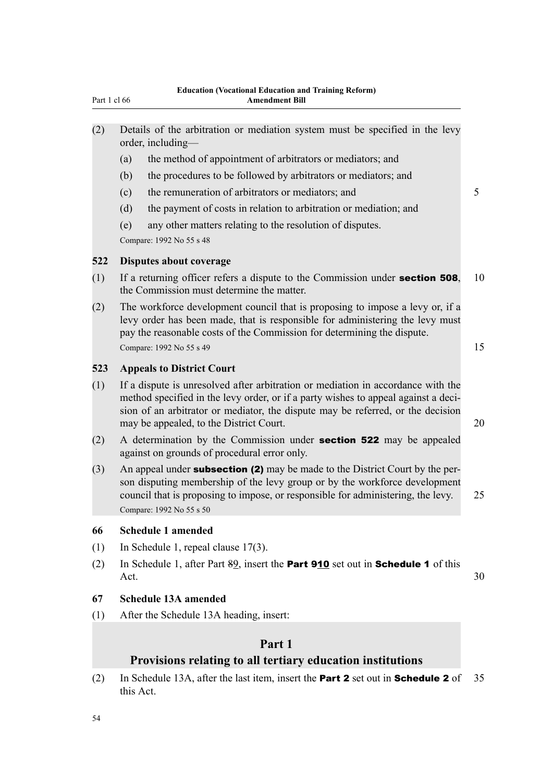| (2) | Details of the arbitration or mediation system must be specified in the levy |  |  |  |  |  |
|-----|------------------------------------------------------------------------------|--|--|--|--|--|
|     | order, including—                                                            |  |  |  |  |  |

- (a) the method of appointment of arbitrators or mediators; and
- (b) the procedures to be followed by arbitrators or mediators; and
- (c) the remuneration of arbitrators or mediators; and 5
- (d) the payment of costs in relation to arbitration or mediation; and
- (e) any other matters relating to the resolution of disputes.

Compare: 1992 No 55 s 48

## **522 Disputes about coverage**

- (1) If a returning officer refers a dispute to the Commission under **section 508**, 10 the Commission must determine the matter.
- (2) The workforce development council that is proposing to impose a levy or, if a levy order has been made, that is responsible for administering the levy must pay the reasonable costs of the Commission for determining the dispute. Compare:  $1992$  No 55 s 49 15

#### **523 Appeals to District Court**

- (1) If a dispute is unresolved after arbitration or mediation in accordance with the method specified in the levy order, or if a party wishes to appeal against a decision of an arbitrator or mediator, the dispute may be referred, or the decision may be appealed, to the District Court. 20
- (2) A determination by the Commission under section 522 may be appealed against on grounds of procedural error only.
- (3) An appeal under **subsection (2)** may be made to the District Court by the person disputing membership of the levy group or by the workforce development council that is proposing to impose, or responsible for administering, the levy. 25 Compare: 1992 No 55 s 50

#### **66 Schedule 1 amended**

- (1) In Schedule 1, repeal clause 17(3).
- (2) In Schedule 1, after Part 89, insert the Part 910 set out in Schedule 1 of this Act.  $30$

## **67 Schedule 13A amended**

(1) After the Schedule 13A heading, insert:

## **Part 1**

## **Provisions relating to all tertiary education institutions**

(2) In Schedule 13A, after the last item, insert the **Part 2** set out in **Schedule 2** of 35 this Act.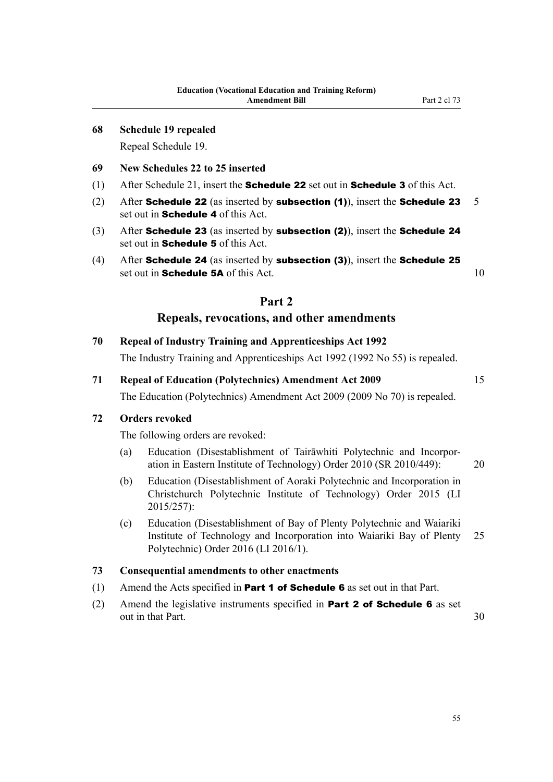#### **68 Schedule 19 repealed**

Repeal Schedule 19.

## **69 New Schedules 22 to 25 inserted**

- (1) After Schedule 21, insert the **Schedule 22** set out in **Schedule 3** of this Act.
- (2) After Schedule 22 (as inserted by subsection (1)), insert the Schedule 23  $5$ set out in **Schedule 4** of this Act.
- (3) After Schedule 23 (as inserted by subsection (2)), insert the Schedule 24 set out in **Schedule 5** of this Act.
- (4) After Schedule 24 (as inserted by subsection (3)), insert the Schedule 25 set out in **Schedule 5A** of this Act. 10

## **Part 2**

## **Repeals, revocations, and other amendments**

**70 Repeal of Industry Training and Apprenticeships Act 1992**

The Industry Training and Apprenticeships Act 1992 (1992 No 55) is repealed.

# **71 Repeal of Education (Polytechnics) Amendment Act 2009** 15

## The Education (Polytechnics) Amendment Act 2009 (2009 No 70) is repealed.

## **72 Orders revoked**

The following orders are revoked:

- (a) Education (Disestablishment of Tairāwhiti Polytechnic and Incorporation in Eastern Institute of Technology) Order 2010 (SR 2010/449): 20
- (b) Education (Disestablishment of Aoraki Polytechnic and Incorporation in Christchurch Polytechnic Institute of Technology) Order 2015 (LI 2015/257):
- (c) Education (Disestablishment of Bay of Plenty Polytechnic and Waiariki Institute of Technology and Incorporation into Waiariki Bay of Plenty 25 Polytechnic) Order 2016 (LI 2016/1).

#### **73 Consequential amendments to other enactments**

- (1) Amend the Acts specified in **Part 1 of Schedule 6** as set out in that Part.
- (2) Amend the legislative instruments specified in **Part 2 of Schedule 6** as set out in that Part. 30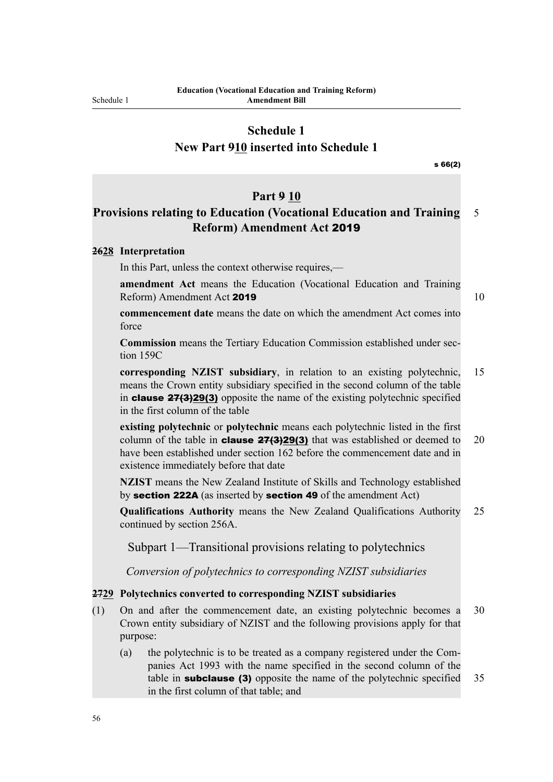## **Schedule 1**

**New Part 910 inserted into Schedule 1**

s 66(2)

#### **Part 9 10**

## **Provisions relating to Education (Vocational Education and Training** 5 **Reform) Amendment Act** 2019

## **2628 Interpretation**

In this Part, unless the context otherwise requires,—

**amendment Act** means the Education (Vocational Education and Training Reform) Amendment Act 2019 10

**commencement date** means the date on which the amendment Act comes into force

**Commission** means the Tertiary Education Commission established under section 159C

**corresponding NZIST subsidiary**, in relation to an existing polytechnic, 15 means the Crown entity subsidiary specified in the second column of the table in clause 27(3)29(3) opposite the name of the existing polytechnic specified in the first column of the table

**existing polytechnic** or **polytechnic** means each polytechnic listed in the first column of the table in **clause 27(3)29(3)** that was established or deemed to 20 have been established under section 162 before the commencement date and in existence immediately before that date

**NZIST** means the New Zealand Institute of Skills and Technology established by section 222A (as inserted by section 49 of the amendment Act)

**Qualifications Authority** means the New Zealand Qualifications Authority 25 continued by section 256A.

Subpart 1—Transitional provisions relating to polytechnics

*Conversion of polytechnics to corresponding NZIST subsidiaries*

## **2729 Polytechnics converted to corresponding NZIST subsidiaries**

- (1) On and after the commencement date, an existing polytechnic becomes a 30 Crown entity subsidiary of NZIST and the following provisions apply for that purpose:
	- (a) the polytechnic is to be treated as a company registered under the Companies Act 1993 with the name specified in the second column of the table in **subclause (3)** opposite the name of the polytechnic specified 35 in the first column of that table; and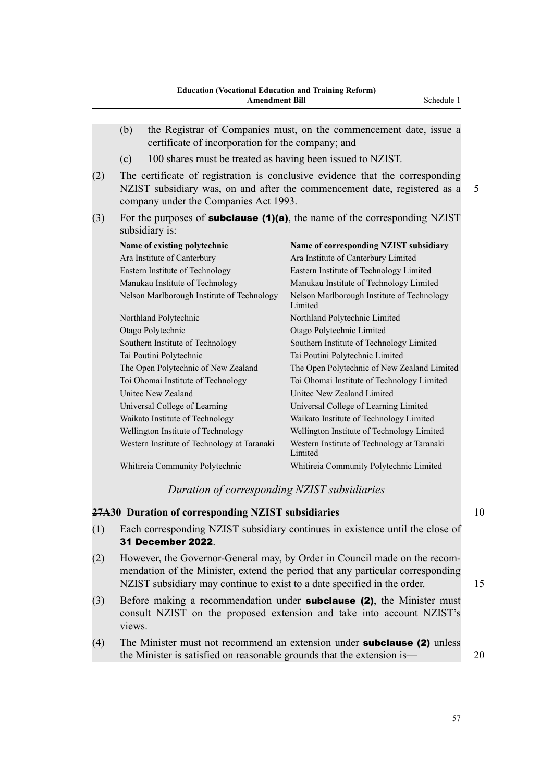|     | (b)<br>the Registrar of Companies must, on the commencement date, issue a<br>certificate of incorporation for the company; and |                                                                                                                                                            |   |  |  |  |  |  |  |
|-----|--------------------------------------------------------------------------------------------------------------------------------|------------------------------------------------------------------------------------------------------------------------------------------------------------|---|--|--|--|--|--|--|
|     | 100 shares must be treated as having been issued to NZIST.<br>(c)                                                              |                                                                                                                                                            |   |  |  |  |  |  |  |
| (2) | company under the Companies Act 1993.                                                                                          | The certificate of registration is conclusive evidence that the corresponding<br>NZIST subsidiary was, on and after the commencement date, registered as a | 5 |  |  |  |  |  |  |
| (3) | subsidiary is:                                                                                                                 | For the purposes of <b>subclause (1)(a)</b> , the name of the corresponding NZIST                                                                          |   |  |  |  |  |  |  |
|     | Name of existing polytechnic                                                                                                   | Name of corresponding NZIST subsidiary                                                                                                                     |   |  |  |  |  |  |  |
|     | Ara Institute of Canterbury                                                                                                    | Ara Institute of Canterbury Limited                                                                                                                        |   |  |  |  |  |  |  |
|     | Eastern Institute of Technology                                                                                                | Eastern Institute of Technology Limited                                                                                                                    |   |  |  |  |  |  |  |
|     | Manukau Institute of Technology                                                                                                | Manukau Institute of Technology Limited                                                                                                                    |   |  |  |  |  |  |  |
|     | Nelson Marlborough Institute of Technology                                                                                     | Nelson Marlborough Institute of Technology<br>Limited                                                                                                      |   |  |  |  |  |  |  |
|     | Northland Polytechnic                                                                                                          | Northland Polytechnic Limited                                                                                                                              |   |  |  |  |  |  |  |
|     | Otago Polytechnic                                                                                                              | Otago Polytechnic Limited                                                                                                                                  |   |  |  |  |  |  |  |
|     | Southern Institute of Technology                                                                                               | Southern Institute of Technology Limited                                                                                                                   |   |  |  |  |  |  |  |
|     | Tai Poutini Polytechnic                                                                                                        | Tai Poutini Polytechnic Limited                                                                                                                            |   |  |  |  |  |  |  |
|     | The Open Polytechnic of New Zealand                                                                                            | The Open Polytechnic of New Zealand Limited                                                                                                                |   |  |  |  |  |  |  |
|     | Toi Ohomai Institute of Technology                                                                                             | Toi Ohomai Institute of Technology Limited                                                                                                                 |   |  |  |  |  |  |  |
|     | <b>Unitec New Zealand</b>                                                                                                      | Unitec New Zealand Limited                                                                                                                                 |   |  |  |  |  |  |  |
|     | Universal College of Learning                                                                                                  | Universal College of Learning Limited                                                                                                                      |   |  |  |  |  |  |  |
|     | Waikato Institute of Technology                                                                                                | Waikato Institute of Technology Limited                                                                                                                    |   |  |  |  |  |  |  |
|     | Wellington Institute of Technology                                                                                             | Wellington Institute of Technology Limited                                                                                                                 |   |  |  |  |  |  |  |
|     | Western Institute of Technology at Taranaki<br>Western Institute of Technology at Taranaki                                     |                                                                                                                                                            |   |  |  |  |  |  |  |

Whitireia Community Polytechnic Whitireia Community Polytechnic Limited

#### *Duration of corresponding NZIST subsidiaries*

Limited

## **27A30 Duration of corresponding NZIST subsidiaries** 10

- (1) Each corresponding NZIST subsidiary continues in existence until the close of 31 December 2022.
- (2) However, the Governor-General may, by Order in Council made on the recommendation of the Minister, extend the period that any particular corresponding NZIST subsidiary may continue to exist to a date specified in the order. 15
- (3) Before making a recommendation under subclause (2), the Minister must consult NZIST on the proposed extension and take into account NZIST's views.
- (4) The Minister must not recommend an extension under subclause (2) unless the Minister is satisfied on reasonable grounds that the extension is— 20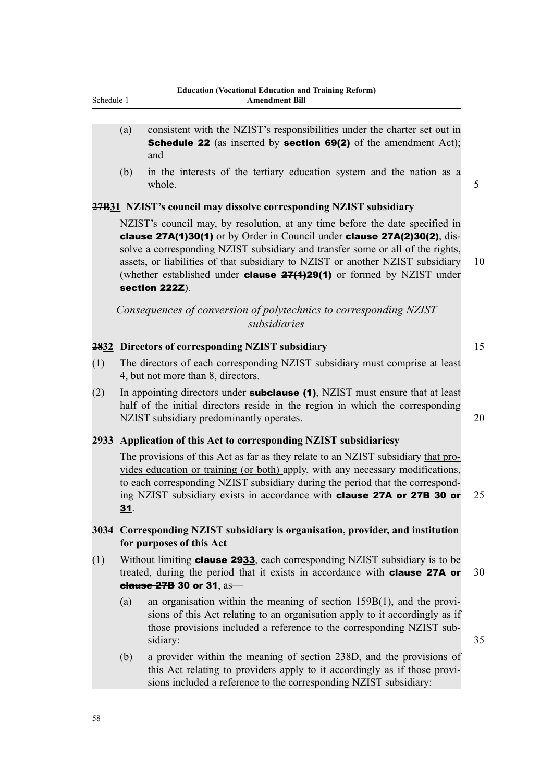- (a) consistent with the NZIST's responsibilities under the charter set out in **Schedule 22** (as inserted by **section 69(2)** of the amendment Act); and
- (b) in the interests of the tertiary education system and the nation as a whole. 5

## **27B31 NZIST's council may dissolve corresponding NZIST subsidiary**

NZIST's council may, by resolution, at any time before the date specified in clause 27A(1)30(1) or by Order in Council under clause 27A(2)30(2), dissolve a corresponding NZIST subsidiary and transfer some or all of the rights, assets, or liabilities of that subsidiary to NZIST or another NZIST subsidiary 10 (whether established under **clause**  $27(1)29(1)$  or formed by NZIST under section 222Z).

*Consequences of conversion of polytechnics to corresponding NZIST subsidiaries*

## **2832 Directors of corresponding NZIST subsidiary** 15

- (1) The directors of each corresponding NZIST subsidiary must comprise at least 4, but not more than 8, directors.
- (2) In appointing directors under **subclause (1)**, NZIST must ensure that at least half of the initial directors reside in the region in which the corresponding NZIST subsidiary predominantly operates. 20

## **2933 Application of this Act to corresponding NZIST subsidiariesy**

The provisions of this Act as far as they relate to an NZIST subsidiary that provides education or training (or both) apply, with any necessary modifications, to each corresponding NZIST subsidiary during the period that the corresponding NZIST subsidiary exists in accordance with clause 27A or 27B 30 or 25 31.

## **3034 Corresponding NZIST subsidiary is organisation, provider, and institution for purposes of this Act**

- (1) Without limiting **clause 2933**, each corresponding NZIST subsidiary is to be treated, during the period that it exists in accordance with **clause 27A or**  $30$ clause 27B 30 or 31, as—
	- (a) an organisation within the meaning of section 159B(1), and the provisions of this Act relating to an organisation apply to it accordingly as if those provisions included a reference to the corresponding NZIST subsidiary: 35
	- (b) a provider within the meaning of section 238D, and the provisions of this Act relating to providers apply to it accordingly as if those provisions included a reference to the corresponding NZIST subsidiary: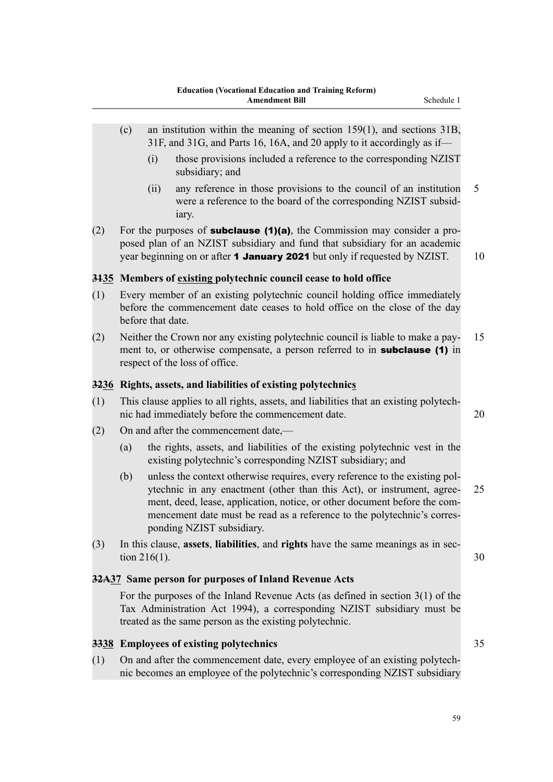- (c) an institution within the meaning of section 159(1), and sections 31B, 31F, and 31G, and Parts 16, 16A, and 20 apply to it accordingly as if—
	- (i) those provisions included a reference to the corresponding NZIST subsidiary; and
	- (ii) any reference in those provisions to the council of an institution 5 were a reference to the board of the corresponding NZIST subsidiary.
- (2) For the purposes of **subclause (1)(a)**, the Commission may consider a proposed plan of an NZIST subsidiary and fund that subsidiary for an academic year beginning on or after **1 January 2021** but only if requested by NZIST. 10

## **3135 Members of existing polytechnic council cease to hold office**

- (1) Every member of an existing polytechnic council holding office immediately before the commencement date ceases to hold office on the close of the day before that date.
- (2) Neither the Crown nor any existing polytechnic council is liable to make a pay- 15 ment to, or otherwise compensate, a person referred to in **subclause (1)** in respect of the loss of office.

#### **3236 Rights, assets, and liabilities of existing polytechnics**

- (1) This clause applies to all rights, assets, and liabilities that an existing polytechnic had immediately before the commencement date. 20
- (2) On and after the commencement date,—
	- (a) the rights, assets, and liabilities of the existing polytechnic vest in the existing polytechnic's corresponding NZIST subsidiary; and
	- (b) unless the context otherwise requires, every reference to the existing polytechnic in any enactment (other than this Act), or instrument, agree- 25 ment, deed, lease, application, notice, or other document before the commencement date must be read as a reference to the polytechnic's corresponding NZIST subsidiary.
- (3) In this clause, **assets**, **liabilities**, and **rights** have the same meanings as in section 216(1). 30

## **32A37 Same person for purposes of Inland Revenue Acts**

For the purposes of the Inland Revenue Acts (as defined in section 3(1) of the Tax Administration Act 1994), a corresponding NZIST subsidiary must be treated as the same person as the existing polytechnic.

#### **3338 Employees of existing polytechnics** 35

(1) On and after the commencement date, every employee of an existing polytechnic becomes an employee of the polytechnic's corresponding NZIST subsidiary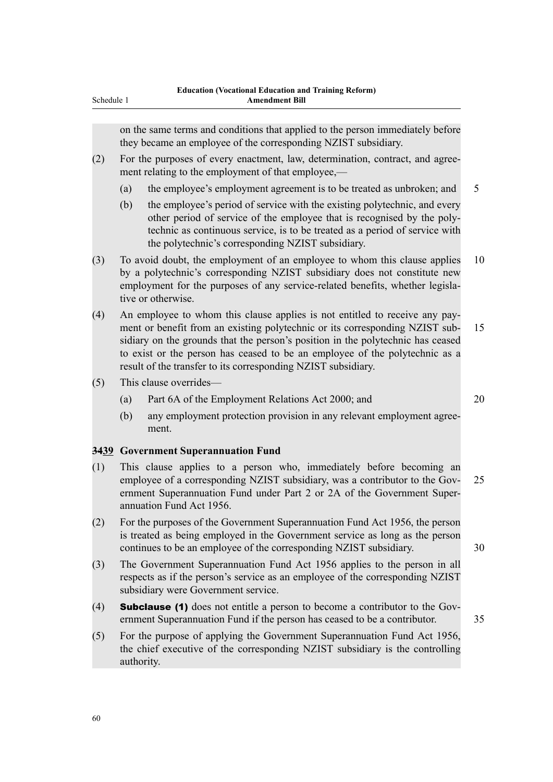on the same terms and conditions that applied to the person immediately before they became an employee of the corresponding NZIST subsidiary.

- (2) For the purposes of every enactment, law, determination, contract, and agreement relating to the employment of that employee,—
	- (a) the employee's employment agreement is to be treated as unbroken; and 5
	- (b) the employee's period of service with the existing polytechnic, and every other period of service of the employee that is recognised by the polytechnic as continuous service, is to be treated as a period of service with the polytechnic's corresponding NZIST subsidiary.
- (3) To avoid doubt, the employment of an employee to whom this clause applies 10 by a polytechnic's corresponding NZIST subsidiary does not constitute new employment for the purposes of any service-related benefits, whether legislative or otherwise.
- (4) An employee to whom this clause applies is not entitled to receive any payment or benefit from an existing polytechnic or its corresponding NZIST sub- 15 sidiary on the grounds that the person's position in the polytechnic has ceased to exist or the person has ceased to be an employee of the polytechnic as a result of the transfer to its corresponding NZIST subsidiary.
- (5) This clause overrides—
	- (a) Part 6A of the Employment Relations Act 2000; and 20
	- (b) any employment protection provision in any relevant employment agreement.

#### **3439 Government Superannuation Fund**

- (1) This clause applies to a person who, immediately before becoming an employee of a corresponding NZIST subsidiary, was a contributor to the Gov- 25 ernment Superannuation Fund under Part 2 or 2A of the Government Superannuation Fund Act 1956.
- (2) For the purposes of the Government Superannuation Fund Act 1956, the person is treated as being employed in the Government service as long as the person continues to be an employee of the corresponding NZIST subsidiary. 30
- (3) The Government Superannuation Fund Act 1956 applies to the person in all respects as if the person's service as an employee of the corresponding NZIST subsidiary were Government service.
- (4) Subclause (1) does not entitle a person to become a contributor to the Government Superannuation Fund if the person has ceased to be a contributor. 35
- (5) For the purpose of applying the Government Superannuation Fund Act 1956, the chief executive of the corresponding NZIST subsidiary is the controlling authority.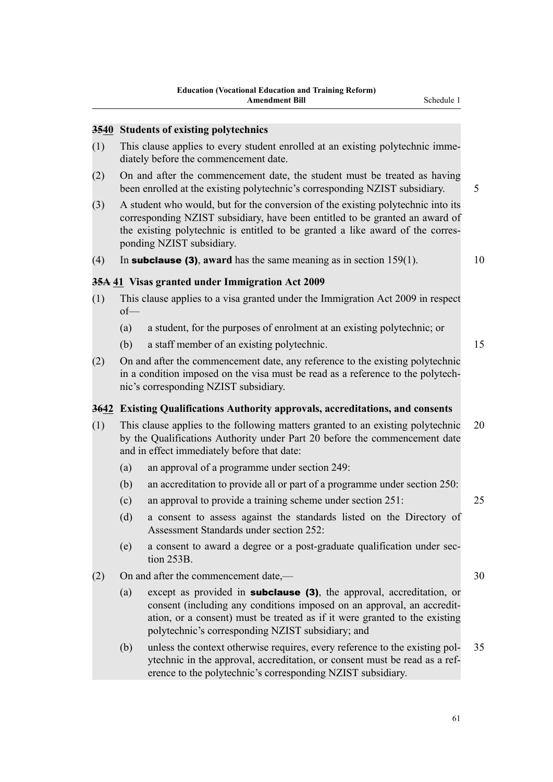#### **3540 Students of existing polytechnics**

- (1) This clause applies to every student enrolled at an existing polytechnic immediately before the commencement date.
- (2) On and after the commencement date, the student must be treated as having been enrolled at the existing polytechnic's corresponding NZIST subsidiary.  $\frac{5}{5}$
- (3) A student who would, but for the conversion of the existing polytechnic into its corresponding NZIST subsidiary, have been entitled to be granted an award of the existing polytechnic is entitled to be granted a like award of the corresponding NZIST subsidiary.
- (4) In **subclause (3)**, award has the same meaning as in section  $159(1)$ .

## **35A 41 Visas granted under Immigration Act 2009**

- (1) This clause applies to a visa granted under the Immigration Act 2009 in respect of—
	- (a) a student, for the purposes of enrolment at an existing polytechnic; or
	- (b) a staff member of an existing polytechnic. 15
- (2) On and after the commencement date, any reference to the existing polytechnic in a condition imposed on the visa must be read as a reference to the polytechnic's corresponding NZIST subsidiary.

#### **3642 Existing Qualifications Authority approvals, accreditations, and consents**

- (1) This clause applies to the following matters granted to an existing polytechnic 20 by the Qualifications Authority under Part 20 before the commencement date and in effect immediately before that date:
	- (a) an approval of a programme under section 249:
	- (b) an accreditation to provide all or part of a programme under section 250:
	- (c) an approval to provide a training scheme under section 251: 25
	- (d) a consent to assess against the standards listed on the Directory of Assessment Standards under section 252:
	- (e) a consent to award a degree or a post-graduate qualification under section 253B.
- (2) On and after the commencement date,— 30
	- (a) except as provided in subclause (3), the approval, accreditation, or consent (including any conditions imposed on an approval, an accreditation, or a consent) must be treated as if it were granted to the existing polytechnic's corresponding NZIST subsidiary; and
	- (b) unless the context otherwise requires, every reference to the existing pol- 35 ytechnic in the approval, accreditation, or consent must be read as a reference to the polytechnic's corresponding NZIST subsidiary.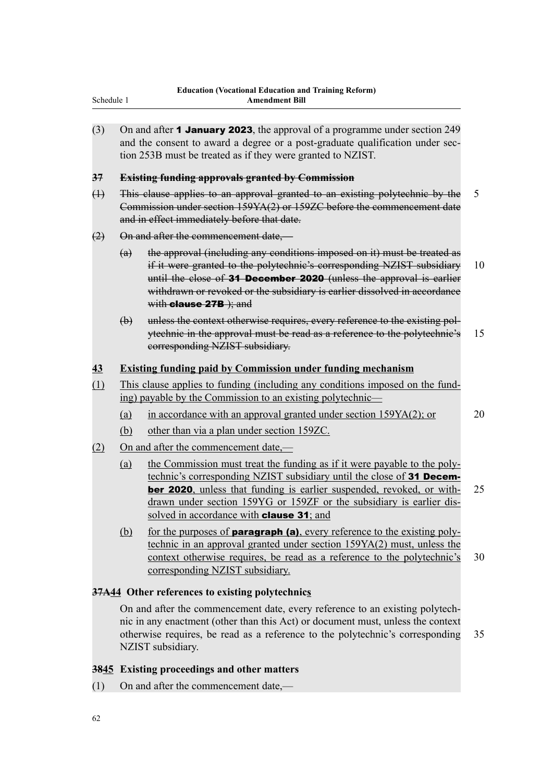(3) On and after **1 January 2023**, the approval of a programme under section 249 and the consent to award a degree or a post-graduate qualification under section 253B must be treated as if they were granted to NZIST.

## **37 Existing funding approvals granted by Commission**

(1) This clause applies to an approval granted to an existing polytechnic by the 5 Commission under section 159YA(2) or 159ZC before the commencement date and in effect immediately before that date.

## (2) On and after the commencement date,—

Schedule 1

- (a) the approval (including any conditions imposed on it) must be treated as if it were granted to the polytechnic's corresponding NZIST subsidiary 10 until the close of 31 December 2020 (unless the approval is earlier withdrawn or revoked or the subsidiary is earlier dissolved in accordance with **clause 27B** ); and
- (b) unless the context otherwise requires, every reference to the existing polytechnic in the approval must be read as a reference to the polytechnic's 15 corresponding NZIST subsidiary.

## **43 Existing funding paid by Commission under funding mechanism**

- (1) This clause applies to funding (including any conditions imposed on the funding) payable by the Commission to an existing polytechnic—
	- (a) in accordance with an approval granted under section 159YA(2); or 20
	- (b) other than via a plan under section 159ZC.
- (2) On and after the commencement date,—
	- (a) the Commission must treat the funding as if it were payable to the polytechnic's corresponding NZIST subsidiary until the close of 31 December 2020, unless that funding is earlier suspended, revoked, or with- 25 drawn under section 159YG or 159ZF or the subsidiary is earlier dissolved in accordance with **clause 31**; and
	- (b) for the purposes of **paragraph (a)**, every reference to the existing polytechnic in an approval granted under section 159YA(2) must, unless the context otherwise requires, be read as a reference to the polytechnic's 30 corresponding NZIST subsidiary.

## **37A44 Other references to existing polytechnics**

On and after the commencement date, every reference to an existing polytechnic in any enactment (other than this Act) or document must, unless the context otherwise requires, be read as a reference to the polytechnic's corresponding 35 NZIST subsidiary.

## **3845 Existing proceedings and other matters**

(1) On and after the commencement date,—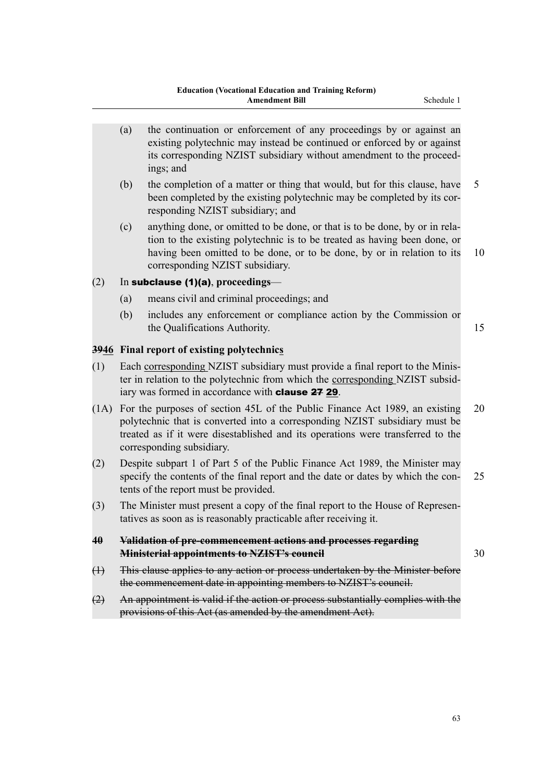- (a) the continuation or enforcement of any proceedings by or against an existing polytechnic may instead be continued or enforced by or against its corresponding NZIST subsidiary without amendment to the proceedings; and
- (b) the completion of a matter or thing that would, but for this clause, have 5 been completed by the existing polytechnic may be completed by its corresponding NZIST subsidiary; and
- (c) anything done, or omitted to be done, or that is to be done, by or in relation to the existing polytechnic is to be treated as having been done, or having been omitted to be done, or to be done, by or in relation to its 10 corresponding NZIST subsidiary.

## (2) In subclause (1)(a), **proceedings**—

- (a) means civil and criminal proceedings; and
- (b) includes any enforcement or compliance action by the Commission or the Qualifications Authority. 15

## **3946 Final report of existing polytechnics**

- (1) Each corresponding NZIST subsidiary must provide a final report to the Minister in relation to the polytechnic from which the corresponding NZIST subsidiary was formed in accordance with clause 27 29.
- (1A) For the purposes of section 45L of the Public Finance Act 1989, an existing 20 polytechnic that is converted into a corresponding NZIST subsidiary must be treated as if it were disestablished and its operations were transferred to the corresponding subsidiary.
- (2) Despite subpart 1 of Part 5 of the Public Finance Act 1989, the Minister may specify the contents of the final report and the date or dates by which the con- 25 tents of the report must be provided.
- (3) The Minister must present a copy of the final report to the House of Representatives as soon as is reasonably practicable after receiving it.
- **40 Validation of pre-commencement actions and processes regarding Ministerial appointments to NZIST's council** 30
- (1) This clause applies to any action or process undertaken by the Minister before the commencement date in appointing members to NZIST's council.
- (2) An appointment is valid if the action or process substantially complies with the provisions of this Act (as amended by the amendment Act).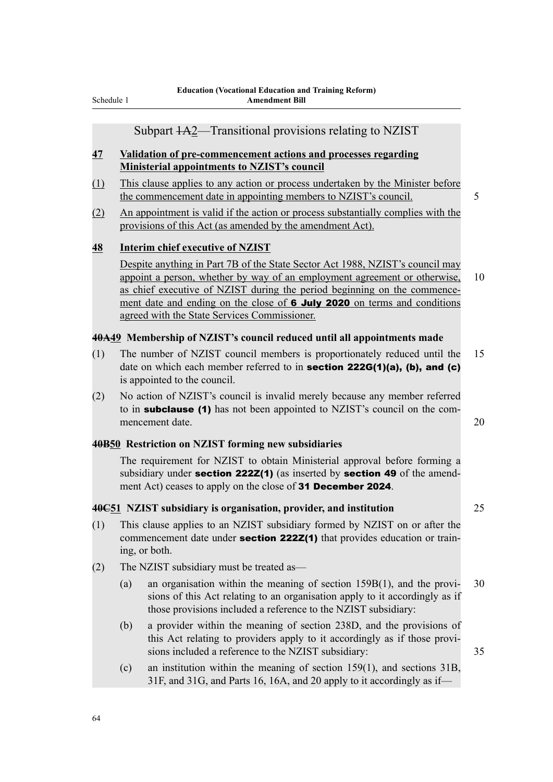## Subpart 1A2—Transitional provisions relating to NZIST

## **47 Validation of pre-commencement actions and processes regarding Ministerial appointments to NZIST's council**

- (1) This clause applies to any action or process undertaken by the Minister before the commencement date in appointing members to NZIST's council. 5
- (2) An appointment is valid if the action or process substantially complies with the provisions of this Act (as amended by the amendment Act).

## **48 Interim chief executive of NZIST**

Despite anything in Part 7B of the State Sector Act 1988, NZIST's council may appoint a person, whether by way of an employment agreement or otherwise, 10 as chief executive of NZIST during the period beginning on the commencement date and ending on the close of 6 July 2020 on terms and conditions agreed with the State Services Commissioner.

#### **40A49 Membership of NZIST's council reduced until all appointments made**

- (1) The number of NZIST council members is proportionately reduced until the 15 date on which each member referred to in section  $222G(1)(a)$ , (b), and (c) is appointed to the council.
- (2) No action of NZIST's council is invalid merely because any member referred to in subclause (1) has not been appointed to NZIST's council on the commencement date. 20

## **40B50 Restriction on NZIST forming new subsidiaries**

The requirement for NZIST to obtain Ministerial approval before forming a subsidiary under **section 222Z(1)** (as inserted by **section 49** of the amendment Act) ceases to apply on the close of 31 December 2024.

## **40C51 NZIST subsidiary is organisation, provider, and institution** 25

- (1) This clause applies to an NZIST subsidiary formed by NZIST on or after the commencement date under **section 222Z(1)** that provides education or training, or both.
- (2) The NZIST subsidiary must be treated as—
	- (a) an organisation within the meaning of section 159B(1), and the provi- 30 sions of this Act relating to an organisation apply to it accordingly as if those provisions included a reference to the NZIST subsidiary:
	- (b) a provider within the meaning of section 238D, and the provisions of this Act relating to providers apply to it accordingly as if those provisions included a reference to the NZIST subsidiary: 35
	- (c) an institution within the meaning of section 159(1), and sections 31B, 31F, and 31G, and Parts 16, 16A, and 20 apply to it accordingly as if—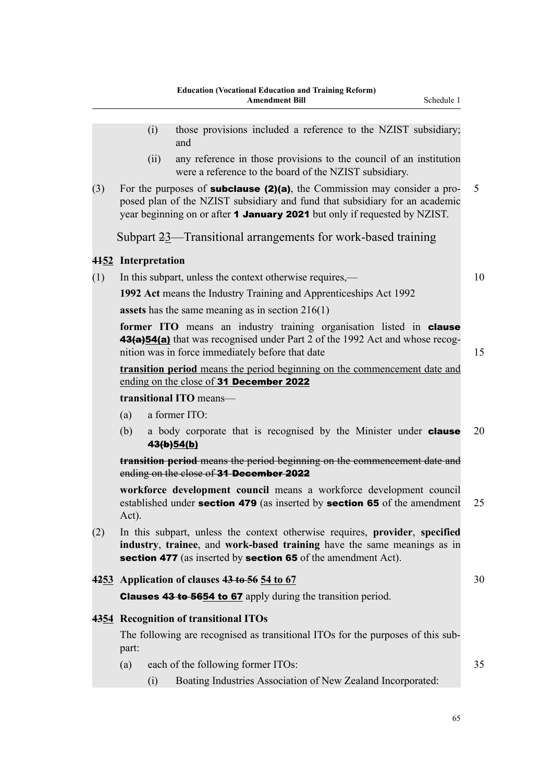- (ii) any reference in those provisions to the council of an institution were a reference to the board of the NZIST subsidiary.
- (3) For the purposes of **subclause (2)(a)**, the Commission may consider a pro- 5 posed plan of the NZIST subsidiary and fund that subsidiary for an academic year beginning on or after **1 January 2021** but only if requested by NZIST.

Subpart 23—Transitional arrangements for work-based training

## **4152 Interpretation**

(1) In this subpart, unless the context otherwise requires,— 10

**1992 Act** means the Industry Training and Apprenticeships Act 1992

**assets** has the same meaning as in section 216(1)

**former ITO** means an industry training organisation listed in **clause** 43(a) 54(a) that was recognised under Part 2 of the 1992 Act and whose recognition was in force immediately before that date 15

**transition period** means the period beginning on the commencement date and ending on the close of 31 December 2022

## **transitional ITO** means—

- (a) a former ITO:
- (b) a body corporate that is recognised by the Minister under **clause** 20 43(b)54(b)

**transition period** means the period beginning on the commencement date and ending on the close of 31 December 2022

**workforce development council** means a workforce development council established under **section 479** (as inserted by **section 65** of the amendment 25 Act).

(2) In this subpart, unless the context otherwise requires, **provider**, **specified industry**, **trainee**, and **work-based training** have the same meanings as in section 477 (as inserted by section 65 of the amendment Act).

## **4253 Application of clauses 43 to 56 54 to 67** 30

Clauses 43 to 5654 to 67 apply during the transition period.

## **4354 Recognition of transitional ITOs**

The following are recognised as transitional ITOs for the purposes of this subpart:

- (a) each of the following former ITOs: 35
	- (i) Boating Industries Association of New Zealand Incorporated: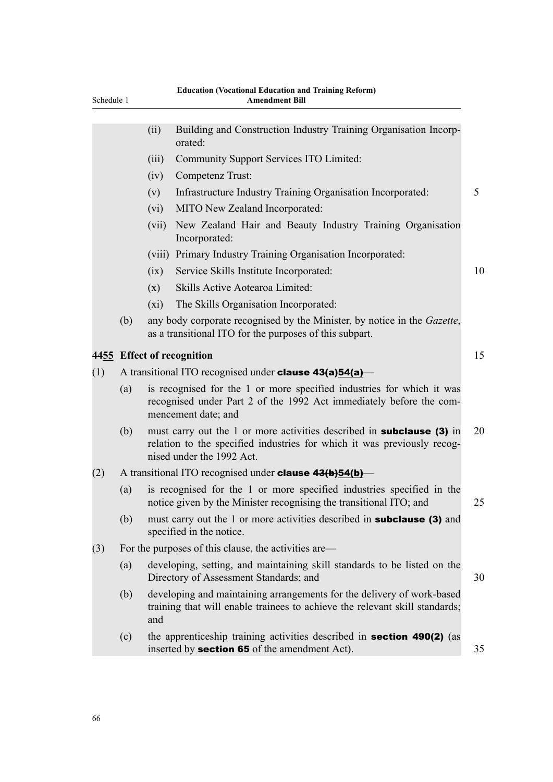| Schedule 1 |     |         | <b>Education (Vocational Education and Training Reform)</b><br><b>Amendment Bill</b>                                                                                          |    |
|------------|-----|---------|-------------------------------------------------------------------------------------------------------------------------------------------------------------------------------|----|
|            |     | (ii)    | Building and Construction Industry Training Organisation Incorp-<br>orated:                                                                                                   |    |
|            |     | (iii)   | Community Support Services ITO Limited:                                                                                                                                       |    |
|            |     | (iv)    | Competenz Trust:                                                                                                                                                              |    |
|            |     | (v)     | Infrastructure Industry Training Organisation Incorporated:                                                                                                                   | 5  |
|            |     | (vi)    | MITO New Zealand Incorporated:                                                                                                                                                |    |
|            |     | (vii)   | New Zealand Hair and Beauty Industry Training Organisation<br>Incorporated:                                                                                                   |    |
|            |     | (viii)  | Primary Industry Training Organisation Incorporated:                                                                                                                          |    |
|            |     | (ix)    | Service Skills Institute Incorporated:                                                                                                                                        | 10 |
|            |     | (x)     | Skills Active Aotearoa Limited:                                                                                                                                               |    |
|            |     | $(x_i)$ | The Skills Organisation Incorporated:                                                                                                                                         |    |
|            | (b) |         | any body corporate recognised by the Minister, by notice in the Gazette,<br>as a transitional ITO for the purposes of this subpart.                                           |    |
|            |     |         | 4455 Effect of recognition                                                                                                                                                    | 15 |
| (1)        |     |         | A transitional ITO recognised under <b>clause <math>43(a)54(a)</math></b>                                                                                                     |    |
|            | (a) |         | is recognised for the 1 or more specified industries for which it was<br>recognised under Part 2 of the 1992 Act immediately before the com-<br>mencement date; and           |    |
|            | (b) |         | must carry out the 1 or more activities described in subclause (3) in<br>relation to the specified industries for which it was previously recog-<br>nised under the 1992 Act. | 20 |
| (2)        |     |         | A transitional ITO recognised under <b>clause 43(b)54(b)</b> —                                                                                                                |    |
|            | (a) |         | is recognised for the 1 or more specified industries specified in the<br>notice given by the Minister recognising the transitional ITO; and                                   | 25 |
|            | (b) |         | must carry out the 1 or more activities described in <b>subclause</b> (3) and<br>specified in the notice.                                                                     |    |
| (3)        |     |         | For the purposes of this clause, the activities are—                                                                                                                          |    |
|            | (a) |         | developing, setting, and maintaining skill standards to be listed on the<br>Directory of Assessment Standards; and                                                            | 30 |
|            | (b) | and     | developing and maintaining arrangements for the delivery of work-based<br>training that will enable trainees to achieve the relevant skill standards;                         |    |
|            | (c) |         | the apprenticeship training activities described in <b>section 490(2)</b> (as<br>inserted by <b>section 65</b> of the amendment Act).                                         | 35 |
|            |     |         |                                                                                                                                                                               |    |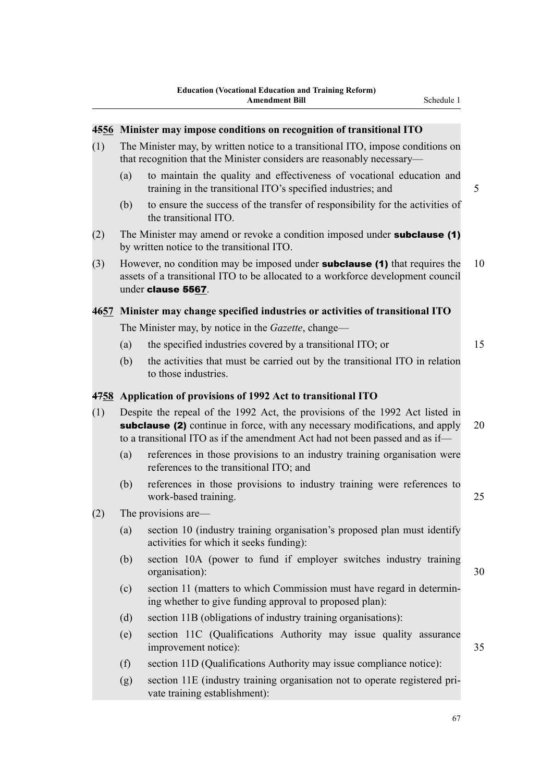| The Minister may, by written notice to a transitional ITO, impose conditions on<br>that recognition that the Minister considers are reasonably necessary— |                                                                                                                                       |                                                                                                                                                                                                                                                                                                                                                                                                                                                                                                                                                                                                                                                                                                                                                                                                                                                                                                  |
|-----------------------------------------------------------------------------------------------------------------------------------------------------------|---------------------------------------------------------------------------------------------------------------------------------------|--------------------------------------------------------------------------------------------------------------------------------------------------------------------------------------------------------------------------------------------------------------------------------------------------------------------------------------------------------------------------------------------------------------------------------------------------------------------------------------------------------------------------------------------------------------------------------------------------------------------------------------------------------------------------------------------------------------------------------------------------------------------------------------------------------------------------------------------------------------------------------------------------|
| (a)                                                                                                                                                       | to maintain the quality and effectiveness of vocational education and<br>training in the transitional ITO's specified industries; and | 5                                                                                                                                                                                                                                                                                                                                                                                                                                                                                                                                                                                                                                                                                                                                                                                                                                                                                                |
| (b)                                                                                                                                                       | to ensure the success of the transfer of responsibility for the activities of<br>the transitional ITO.                                |                                                                                                                                                                                                                                                                                                                                                                                                                                                                                                                                                                                                                                                                                                                                                                                                                                                                                                  |
|                                                                                                                                                           |                                                                                                                                       |                                                                                                                                                                                                                                                                                                                                                                                                                                                                                                                                                                                                                                                                                                                                                                                                                                                                                                  |
|                                                                                                                                                           |                                                                                                                                       | 10                                                                                                                                                                                                                                                                                                                                                                                                                                                                                                                                                                                                                                                                                                                                                                                                                                                                                               |
|                                                                                                                                                           |                                                                                                                                       |                                                                                                                                                                                                                                                                                                                                                                                                                                                                                                                                                                                                                                                                                                                                                                                                                                                                                                  |
|                                                                                                                                                           |                                                                                                                                       |                                                                                                                                                                                                                                                                                                                                                                                                                                                                                                                                                                                                                                                                                                                                                                                                                                                                                                  |
| (a)                                                                                                                                                       | the specified industries covered by a transitional ITO; or                                                                            | 15                                                                                                                                                                                                                                                                                                                                                                                                                                                                                                                                                                                                                                                                                                                                                                                                                                                                                               |
| (b)                                                                                                                                                       | the activities that must be carried out by the transitional ITO in relation<br>to those industries.                                   |                                                                                                                                                                                                                                                                                                                                                                                                                                                                                                                                                                                                                                                                                                                                                                                                                                                                                                  |
|                                                                                                                                                           |                                                                                                                                       |                                                                                                                                                                                                                                                                                                                                                                                                                                                                                                                                                                                                                                                                                                                                                                                                                                                                                                  |
|                                                                                                                                                           |                                                                                                                                       | 20                                                                                                                                                                                                                                                                                                                                                                                                                                                                                                                                                                                                                                                                                                                                                                                                                                                                                               |
| (a)                                                                                                                                                       | references in those provisions to an industry training organisation were<br>references to the transitional ITO; and                   |                                                                                                                                                                                                                                                                                                                                                                                                                                                                                                                                                                                                                                                                                                                                                                                                                                                                                                  |
| (b)                                                                                                                                                       | references in those provisions to industry training were references to<br>work-based training.                                        | 25                                                                                                                                                                                                                                                                                                                                                                                                                                                                                                                                                                                                                                                                                                                                                                                                                                                                                               |
|                                                                                                                                                           |                                                                                                                                       |                                                                                                                                                                                                                                                                                                                                                                                                                                                                                                                                                                                                                                                                                                                                                                                                                                                                                                  |
| (a)                                                                                                                                                       | section 10 (industry training organisation's proposed plan must identify<br>activities for which it seeks funding):                   |                                                                                                                                                                                                                                                                                                                                                                                                                                                                                                                                                                                                                                                                                                                                                                                                                                                                                                  |
| (b)                                                                                                                                                       | section 10A (power to fund if employer switches industry training<br>organisation):                                                   | 30                                                                                                                                                                                                                                                                                                                                                                                                                                                                                                                                                                                                                                                                                                                                                                                                                                                                                               |
| (c)                                                                                                                                                       | section 11 (matters to which Commission must have regard in determin-<br>ing whether to give funding approval to proposed plan):      |                                                                                                                                                                                                                                                                                                                                                                                                                                                                                                                                                                                                                                                                                                                                                                                                                                                                                                  |
| (d)                                                                                                                                                       | section 11B (obligations of industry training organisations):                                                                         |                                                                                                                                                                                                                                                                                                                                                                                                                                                                                                                                                                                                                                                                                                                                                                                                                                                                                                  |
| (e)                                                                                                                                                       | section 11C (Qualifications Authority may issue quality assurance<br>improvement notice):                                             | 35                                                                                                                                                                                                                                                                                                                                                                                                                                                                                                                                                                                                                                                                                                                                                                                                                                                                                               |
| (f)                                                                                                                                                       | section 11D (Qualifications Authority may issue compliance notice):                                                                   |                                                                                                                                                                                                                                                                                                                                                                                                                                                                                                                                                                                                                                                                                                                                                                                                                                                                                                  |
| (g)                                                                                                                                                       | section 11E (industry training organisation not to operate registered pri-<br>vate training establishment):                           |                                                                                                                                                                                                                                                                                                                                                                                                                                                                                                                                                                                                                                                                                                                                                                                                                                                                                                  |
|                                                                                                                                                           |                                                                                                                                       | 4556 Minister may impose conditions on recognition of transitional ITO<br>The Minister may amend or revoke a condition imposed under <b>subclause</b> (1)<br>by written notice to the transitional ITO.<br>However, no condition may be imposed under <b>subclause</b> (1) that requires the<br>assets of a transitional ITO to be allocated to a workforce development council<br>under clause 5567.<br>4657 Minister may change specified industries or activities of transitional ITO<br>The Minister may, by notice in the <i>Gazette</i> , change—<br>4758 Application of provisions of 1992 Act to transitional ITO<br>Despite the repeal of the 1992 Act, the provisions of the 1992 Act listed in<br>subclause (2) continue in force, with any necessary modifications, and apply<br>to a transitional ITO as if the amendment Act had not been passed and as if—<br>The provisions are— |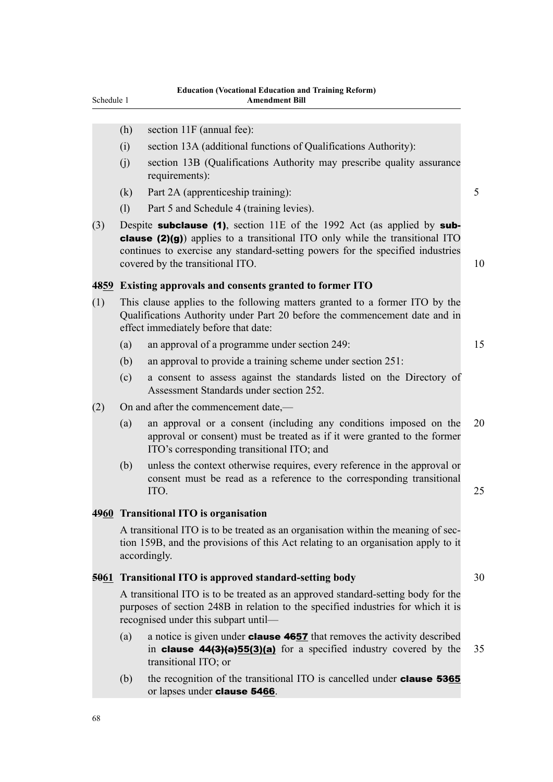- (h) section 11F (annual fee):
- (i) section 13A (additional functions of Qualifications Authority):
- (j) section 13B (Qualifications Authority may prescribe quality assurance requirements):
- (k) Part 2A (apprenticeship training): 5
- (l) Part 5 and Schedule 4 (training levies).
- (3) Despite **subclause (1)**, section 11E of the 1992 Act (as applied by **sub**clause (2)(g)) applies to a transitional ITO only while the transitional ITO continues to exercise any standard-setting powers for the specified industries covered by the transitional ITO. 10

#### **4859 Existing approvals and consents granted to former ITO**

- (1) This clause applies to the following matters granted to a former ITO by the Qualifications Authority under Part 20 before the commencement date and in effect immediately before that date:
	- (a) an approval of a programme under section 249: 15
	- (b) an approval to provide a training scheme under section 251:
	- (c) a consent to assess against the standards listed on the Directory of Assessment Standards under section 252.
- (2) On and after the commencement date,—
	- (a) an approval or a consent (including any conditions imposed on the 20 approval or consent) must be treated as if it were granted to the former ITO's corresponding transitional ITO; and
	- (b) unless the context otherwise requires, every reference in the approval or consent must be read as a reference to the corresponding transitional  $\Box$  1TO. 25

## **4960 Transitional ITO is organisation**

A transitional ITO is to be treated as an organisation within the meaning of section 159B, and the provisions of this Act relating to an organisation apply to it accordingly.

## **5061 Transitional ITO is approved standard-setting body** 30

A transitional ITO is to be treated as an approved standard-setting body for the purposes of section 248B in relation to the specified industries for which it is recognised under this subpart until—

- (a) a notice is given under **clause 4657** that removes the activity described in clause  $44(3)(a)55(3)(a)$  for a specified industry covered by the 35 transitional ITO; or
- (b) the recognition of the transitional ITO is cancelled under **clause 5365** or lapses under clause 5466.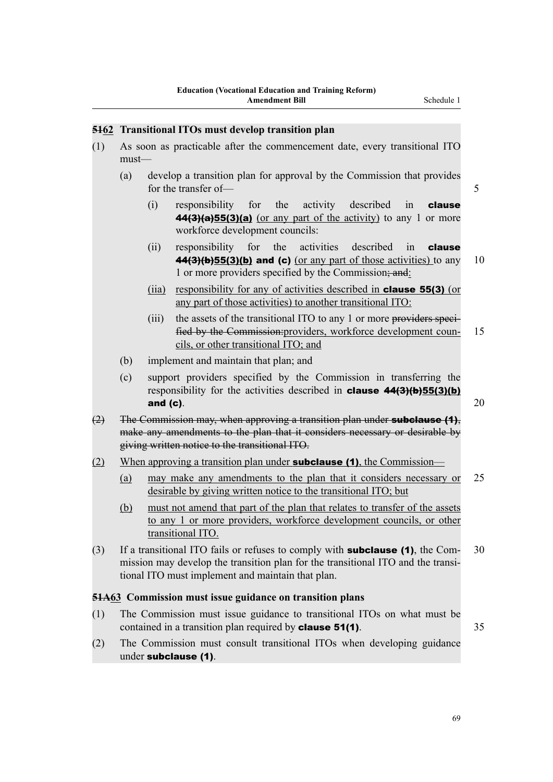## **5162 Transitional ITOs must develop transition plan**

- (1) As soon as practicable after the commencement date, every transitional ITO must—
	- (a) develop a transition plan for approval by the Commission that provides for the transfer of — 5
		- (i) responsibility for the activity described in clause  $44(3)(a)55(3)(a)$  (or any part of the activity) to any 1 or more workforce development councils:
		- (ii) responsibility for the activities described in **clause 44(3)(b)55(3)(b) and (c)** (or any part of those activities) to any 10 1 or more providers specified by the Commission; and:
		- (iia) responsibility for any of activities described in clause 55(3) (or any part of those activities) to another transitional ITO:
		- (iii) the assets of the transitional ITO to any 1 or more providers specified by the Commission:providers, workforce development coun- 15 cils, or other transitional ITO; and
	- (b) implement and maintain that plan; and
	- (c) support providers specified by the Commission in transferring the responsibility for the activities described in **clause**  $44(3)(b)55(3)(b)$ and (c).  $20$
- $(2)$  The Commission may, when approving a transition plan under **subclause (1)**, make any amendments to the plan that it considers necessary or desirable by giving written notice to the transitional ITO.
- (2) When approving a transition plan under **subclause (1)**, the Commission—
	- (a) may make any amendments to the plan that it considers necessary or 25 desirable by giving written notice to the transitional ITO; but
	- (b) must not amend that part of the plan that relates to transfer of the assets to any 1 or more providers, workforce development councils, or other transitional ITO.
- (3) If a transitional ITO fails or refuses to comply with **subclause (1)**, the Com- 30 mission may develop the transition plan for the transitional ITO and the transitional ITO must implement and maintain that plan.

### **51A63 Commission must issue guidance on transition plans**

- (1) The Commission must issue guidance to transitional ITOs on what must be contained in a transition plan required by **clause 51(1)**. 35
- (2) The Commission must consult transitional ITOs when developing guidance under subclause (1).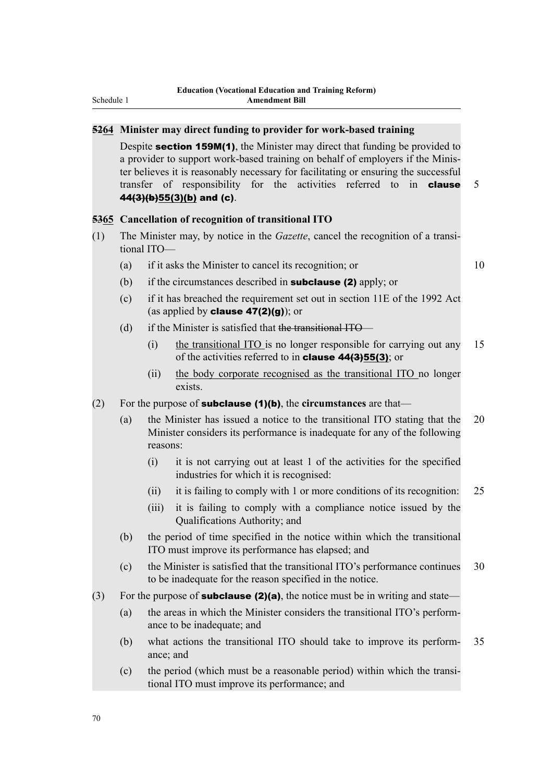### **5264 Minister may direct funding to provider for work-based training**

Despite **section 159M(1)**, the Minister may direct that funding be provided to a provider to support work-based training on behalf of employers if the Minister believes it is reasonably necessary for facilitating or ensuring the successful transfer of responsibility for the activities referred to in **clause** 5  $44(3)(b)55(3)(b)$  and (c).

### **5365 Cancellation of recognition of transitional ITO**

- (1) The Minister may, by notice in the *Gazette*, cancel the recognition of a transitional ITO—
	- (a) if it asks the Minister to cancel its recognition; or 10

- (b) if the circumstances described in **subclause (2)** apply; or
- (c) if it has breached the requirement set out in section 11E of the 1992 Act (as applied by **clause 47(2)(g)**); or
- (d) if the Minister is satisfied that the transitional ITO—
	- (i) the transitional ITO is no longer responsible for carrying out any 15 of the activities referred to in clause 44(3)55(3); or
	- (ii) the body corporate recognised as the transitional ITO no longer exists.
- (2) For the purpose of subclause (1)(b), the **circumstances** are that—
	- (a) the Minister has issued a notice to the transitional ITO stating that the 20 Minister considers its performance is inadequate for any of the following reasons:
		- (i) it is not carrying out at least 1 of the activities for the specified industries for which it is recognised:
		- (ii) it is failing to comply with 1 or more conditions of its recognition: 25
		- (iii) it is failing to comply with a compliance notice issued by the Qualifications Authority; and
	- (b) the period of time specified in the notice within which the transitional ITO must improve its performance has elapsed; and
	- (c) the Minister is satisfied that the transitional ITO's performance continues 30 to be inadequate for the reason specified in the notice.
- (3) For the purpose of **subclause (2)(a)**, the notice must be in writing and state—
	- (a) the areas in which the Minister considers the transitional ITO's performance to be inadequate; and
	- (b) what actions the transitional ITO should take to improve its perform- 35 ance; and
	- (c) the period (which must be a reasonable period) within which the transitional ITO must improve its performance; and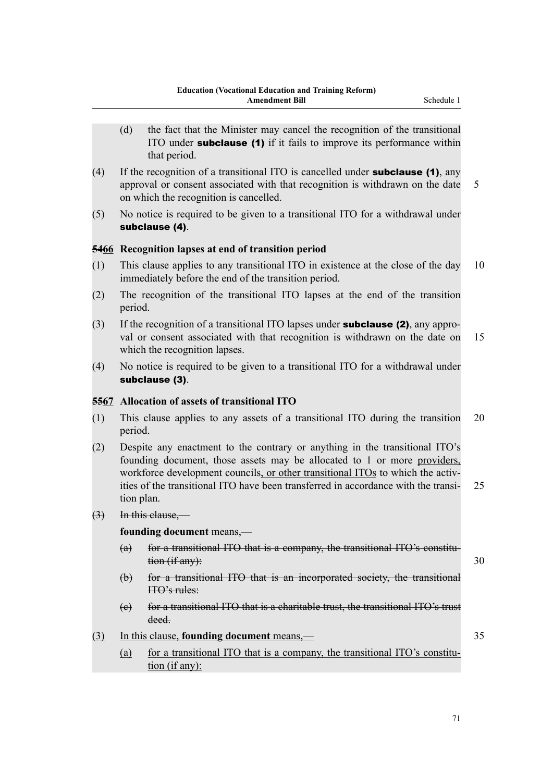- (d) the fact that the Minister may cancel the recognition of the transitional ITO under **subclause** (1) if it fails to improve its performance within that period.
- (4) If the recognition of a transitional ITO is cancelled under **subclause (1)**, any approval or consent associated with that recognition is withdrawn on the date 5 on which the recognition is cancelled.
- (5) No notice is required to be given to a transitional ITO for a withdrawal under subclause (4).

## **5466 Recognition lapses at end of transition period**

- (1) This clause applies to any transitional ITO in existence at the close of the day 10 immediately before the end of the transition period.
- (2) The recognition of the transitional ITO lapses at the end of the transition period.
- (3) If the recognition of a transitional ITO lapses under subclause (2), any approval or consent associated with that recognition is withdrawn on the date on 15 which the recognition lapses.
- (4) No notice is required to be given to a transitional ITO for a withdrawal under subclause (3).

### **5567 Allocation of assets of transitional ITO**

- (1) This clause applies to any assets of a transitional ITO during the transition 20 period.
- (2) Despite any enactment to the contrary or anything in the transitional ITO's founding document, those assets may be allocated to 1 or more providers, workforce development councils, or other transitional ITOs to which the activities of the transitional ITO have been transferred in accordance with the transi- 25 tion plan.
- (3) In this clause,—

**founding document** means,—

- (a) for a transitional ITO that is a company, the transitional ITO's constitu- $\frac{1}{1000}$  (if any):  $\frac{30}{1000}$
- (b) for a transitional ITO that is an incorporated society, the transitional ITO's rules:
- (c) for a transitional ITO that is a charitable trust, the transitional ITO's trust deed.
- (3) In this clause, **founding document** means,— 35
	- (a) for a transitional ITO that is a company, the transitional ITO's constitution (if any):

71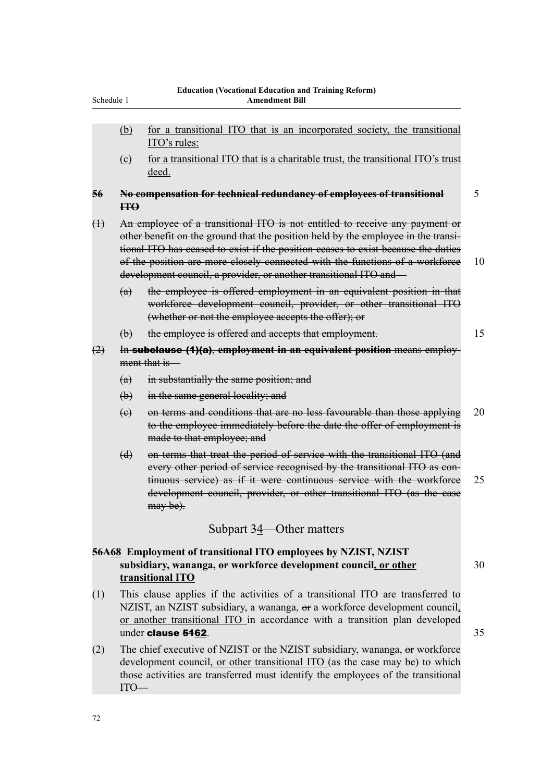| Schedule 1        |                | <b>Education (Vocational Education and Training Reform)</b><br><b>Amendment Bill</b>                                                                                                                                                                                                                                                                                                                       |    |
|-------------------|----------------|------------------------------------------------------------------------------------------------------------------------------------------------------------------------------------------------------------------------------------------------------------------------------------------------------------------------------------------------------------------------------------------------------------|----|
|                   | (b)            | for a transitional ITO that is an incorporated society, the transitional<br>ITO's rules:                                                                                                                                                                                                                                                                                                                   |    |
|                   | (c)            | for a transitional ITO that is a charitable trust, the transitional ITO's trust<br>deed.                                                                                                                                                                                                                                                                                                                   |    |
| 56                | H <sup>O</sup> | No compensation for technical redundancy of employees of transitional                                                                                                                                                                                                                                                                                                                                      | 5  |
| $\leftrightarrow$ |                | An employee of a transitional ITO is not entitled to receive any payment or<br>other benefit on the ground that the position held by the employee in the transi-<br>tional ITO has ceased to exist if the position ceases to exist because the duties<br>of the position are more closely connected with the functions of a workforce<br>development council, a provider, or another transitional ITO and— | 10 |
|                   | (a)            | the employee is offered employment in an equivalent position in that<br>workforce development council, provider, or other transitional ITO<br>(whether or not the employee accepts the offer); or                                                                                                                                                                                                          |    |
|                   | $\bigoplus$    | the employee is offered and accepts that employment.                                                                                                                                                                                                                                                                                                                                                       | 15 |
| (2)               |                | In subclause (1)(a), employment in an equivalent position means employ-<br>ment that is-                                                                                                                                                                                                                                                                                                                   |    |
|                   | (a)            | in substantially the same position; and                                                                                                                                                                                                                                                                                                                                                                    |    |
|                   | $\biguplus$    | in the same general locality; and                                                                                                                                                                                                                                                                                                                                                                          |    |
|                   | (e)            | on terms and conditions that are no less favourable than those applying<br>to the employee immediately before the date the offer of employment is<br>made to that employee; and                                                                                                                                                                                                                            | 20 |
|                   | (d)            | on terms that treat the period of service with the transitional ITO (and<br>every other period of service recognised by the transitional ITO as con-<br>tinuous service) as if it were continuous service with the workforce<br>development council, provider, or other transitional ITO (as the case<br>$may be)$ .                                                                                       | 25 |
|                   |                | Subpart $34$ —Other matters                                                                                                                                                                                                                                                                                                                                                                                |    |
|                   |                | 56A68 Employment of transitional ITO employees by NZIST, NZIST<br>subsidiary, wananga, or workforce development council, or other<br>transitional ITO                                                                                                                                                                                                                                                      | 30 |
| (1)               |                | This clause applies if the activities of a transitional ITO are transferred to<br>NZIST, an NZIST subsidiary, a wananga, or a workforce development council,<br>or another transitional ITO in accordance with a transition plan developed<br>under clause 5462.                                                                                                                                           | 35 |
| (2)               |                | The chief executive of NZIST or the NZIST subsidiary, wananga, or workforce<br>development council, or other transitional ITO (as the case may be) to which                                                                                                                                                                                                                                                |    |

those activities are transferred must identify the employees of the transitional

ITO—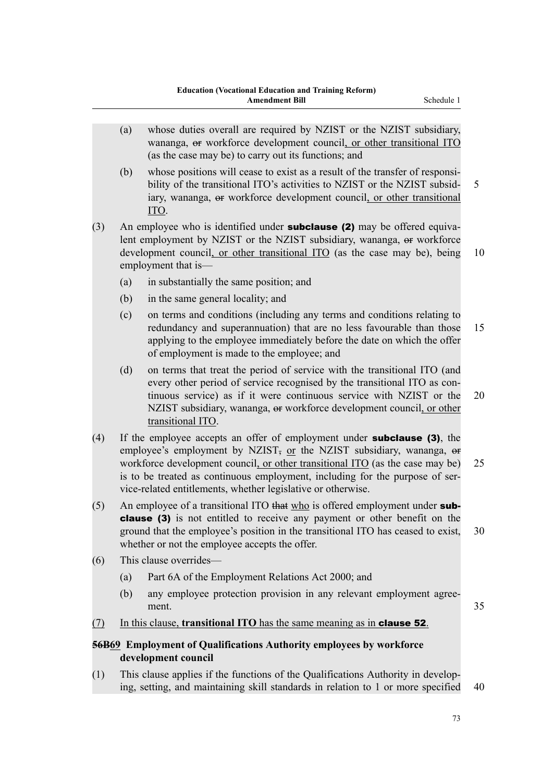- (a) whose duties overall are required by NZIST or the NZIST subsidiary, wananga, or workforce development council, or other transitional ITO (as the case may be) to carry out its functions; and
- (b) whose positions will cease to exist as a result of the transfer of responsibility of the transitional ITO's activities to NZIST or the NZIST subsid- 5 iary, wananga, or workforce development council, or other transitional ITO.
- (3) An employee who is identified under **subclause (2)** may be offered equivalent employment by NZIST or the NZIST subsidiary, wananga, or workforce development council, or other transitional ITO (as the case may be), being 10 employment that is—
	- (a) in substantially the same position; and
	- (b) in the same general locality; and
	- (c) on terms and conditions (including any terms and conditions relating to redundancy and superannuation) that are no less favourable than those 15 applying to the employee immediately before the date on which the offer of employment is made to the employee; and
	- (d) on terms that treat the period of service with the transitional ITO (and every other period of service recognised by the transitional ITO as continuous service) as if it were continuous service with NZIST or the 20 NZIST subsidiary, wananga, or workforce development council, or other transitional ITO.
- (4) If the employee accepts an offer of employment under subclause (3), the employee's employment by NZIST, or the NZIST subsidiary, wananga, or workforce development council, or other transitional ITO (as the case may be) 25 is to be treated as continuous employment, including for the purpose of service-related entitlements, whether legislative or otherwise.
- (5) An employee of a transitional ITO that who is offered employment under subclause (3) is not entitled to receive any payment or other benefit on the ground that the employee's position in the transitional ITO has ceased to exist, 30 whether or not the employee accepts the offer.
- (6) This clause overrides—
	- (a) Part 6A of the Employment Relations Act 2000; and
	- (b) any employee protection provision in any relevant employment agreement. 35
- (7) In this clause, **transitional ITO** has the same meaning as in clause 52.

# **56B69 Employment of Qualifications Authority employees by workforce development council**

(1) This clause applies if the functions of the Qualifications Authority in developing, setting, and maintaining skill standards in relation to 1 or more specified 40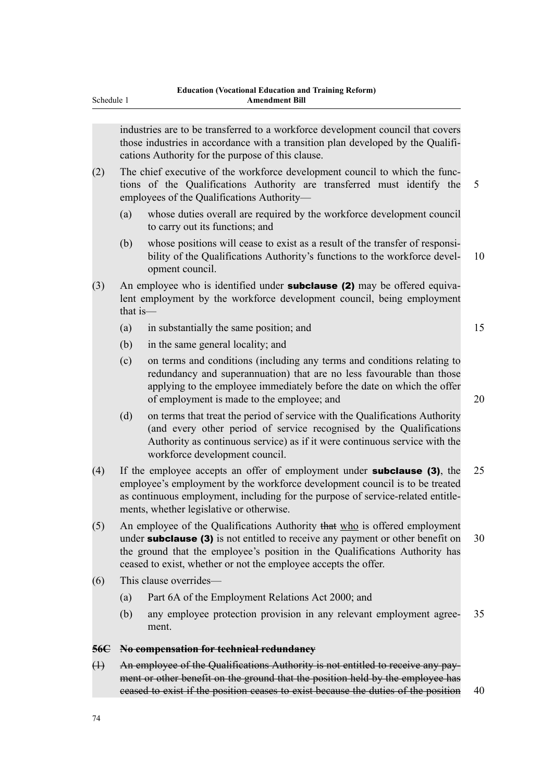| Schedule 1 |          | <b>Amendment Bill</b>                                                                                                                                                                                                                                                                        |    |
|------------|----------|----------------------------------------------------------------------------------------------------------------------------------------------------------------------------------------------------------------------------------------------------------------------------------------------|----|
|            |          | industries are to be transferred to a workforce development council that covers<br>those industries in accordance with a transition plan developed by the Qualifi-<br>cations Authority for the purpose of this clause.                                                                      |    |
| (2)        |          | The chief executive of the workforce development council to which the func-<br>tions of the Qualifications Authority are transferred must identify the<br>employees of the Qualifications Authority-                                                                                         | 5  |
|            | (a)      | whose duties overall are required by the workforce development council<br>to carry out its functions; and                                                                                                                                                                                    |    |
|            | (b)      | whose positions will cease to exist as a result of the transfer of responsi-<br>bility of the Qualifications Authority's functions to the workforce devel-<br>opment council.                                                                                                                | 10 |
| (3)        | that is- | An employee who is identified under <b>subclause (2)</b> may be offered equiva-<br>lent employment by the workforce development council, being employment                                                                                                                                    |    |
|            | (a)      | in substantially the same position; and                                                                                                                                                                                                                                                      | 15 |
|            | (b)      | in the same general locality; and                                                                                                                                                                                                                                                            |    |
|            | (c)      | on terms and conditions (including any terms and conditions relating to<br>redundancy and superannuation) that are no less favourable than those<br>applying to the employee immediately before the date on which the offer<br>of employment is made to the employee; and                    | 20 |
|            | (d)      | on terms that treat the period of service with the Qualifications Authority<br>(and every other period of service recognised by the Qualifications<br>Authority as continuous service) as if it were continuous service with the<br>workforce development council.                           |    |
| (4)        |          | If the employee accepts an offer of employment under <b>subclause</b> (3), the<br>employee's employment by the workforce development council is to be treated<br>as continuous employment, including for the purpose of service-related entitle-<br>ments, whether legislative or otherwise. | 25 |
| (5)        |          | An employee of the Qualifications Authority that who is offered employment<br>under <b>subclause</b> (3) is not entitled to receive any payment or other benefit on<br>$1 \quad \alpha \quad \mathbf{1}^{\prime} \quad \mathbf{0}$<br>and the state of the state of                          | 30 |

- the ground that the employee's position in the Qualifications Authority has ceased to exist, whether or not the employee accepts the offer.
- (6) This clause overrides—
	- (a) Part 6A of the Employment Relations Act 2000; and
	- (b) any employee protection provision in any relevant employment agree- 35 ment.

### **56C No compensation for technical redundancy**

(1) An employee of the Qualifications Authority is not entitled to receive any payment or other benefit on the ground that the position held by the employee has ceased to exist if the position ceases to exist because the duties of the position 40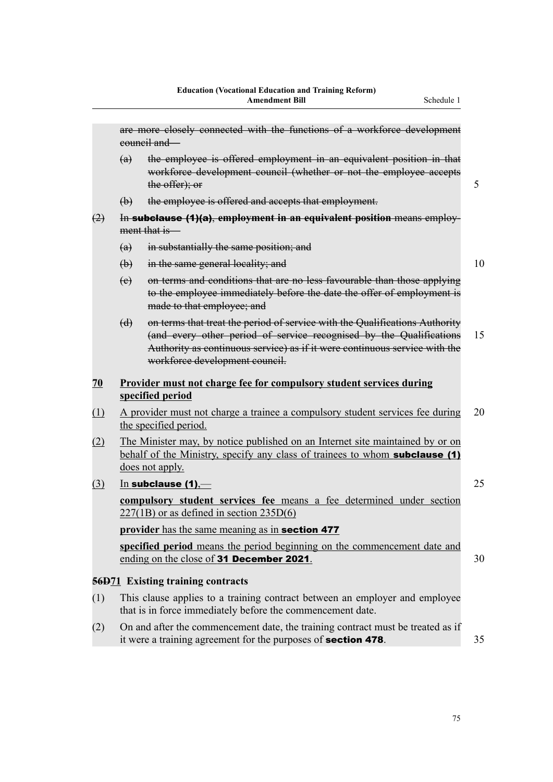|     |             | are more closely connected with the functions of a workforce development<br>council and                                                                                                                                                                            |    |
|-----|-------------|--------------------------------------------------------------------------------------------------------------------------------------------------------------------------------------------------------------------------------------------------------------------|----|
|     | (a)         | the employee is offered employment in an equivalent position in that<br>workforce development council (whether or not the employee accepts<br>the offer); or                                                                                                       | 5  |
|     | $\bigoplus$ | the employee is offered and accepts that employment.                                                                                                                                                                                                               |    |
| (2) |             | In subclause (1)(a), employment in an equivalent position means employ-                                                                                                                                                                                            |    |
|     |             | ment that is                                                                                                                                                                                                                                                       |    |
|     | (a)         | in substantially the same position; and                                                                                                                                                                                                                            |    |
|     | $\bigoplus$ | in the same general locality; and                                                                                                                                                                                                                                  | 10 |
|     | (e)         | on terms and conditions that are no less favourable than those applying<br>to the employee immediately before the date the offer of employment is<br>made to that employee; and                                                                                    |    |
|     | $\Theta$    | on terms that treat the period of service with the Qualifications Authority<br>(and every other period of service recognised by the Qualifications<br>Authority as continuous service) as if it were continuous service with the<br>workforce development council. | 15 |
| 70  |             | <b>Provider must not charge fee for compulsory student services during</b><br>specified period                                                                                                                                                                     |    |
| (1) |             | A provider must not charge a trainee a compulsory student services fee during<br>the specified period.                                                                                                                                                             | 20 |
| (2) |             | The Minister may, by notice published on an Internet site maintained by or on<br>behalf of the Ministry, specify any class of trainees to whom <b>subclause</b> (1)<br>does not apply.                                                                             |    |
| (3) |             | $In$ subclause (1),—                                                                                                                                                                                                                                               | 25 |
|     |             | compulsory student services fee means a fee determined under section<br>$227(1B)$ or as defined in section $235D(6)$                                                                                                                                               |    |
|     |             | provider has the same meaning as in section 477                                                                                                                                                                                                                    |    |
|     |             | specified period means the period beginning on the commencement date and<br>ending on the close of 31 December 2021.                                                                                                                                               | 30 |
|     |             | <b>56D71</b> Existing training contracts                                                                                                                                                                                                                           |    |
| (1) |             | This clause applies to a training contract between an employer and employee<br>that is in force immediately before the commencement date.                                                                                                                          |    |
| (2) |             | On and after the commencement date, the training contract must be treated as if<br>it were a training agreement for the purposes of <b>section 478</b> .                                                                                                           | 35 |
|     |             |                                                                                                                                                                                                                                                                    |    |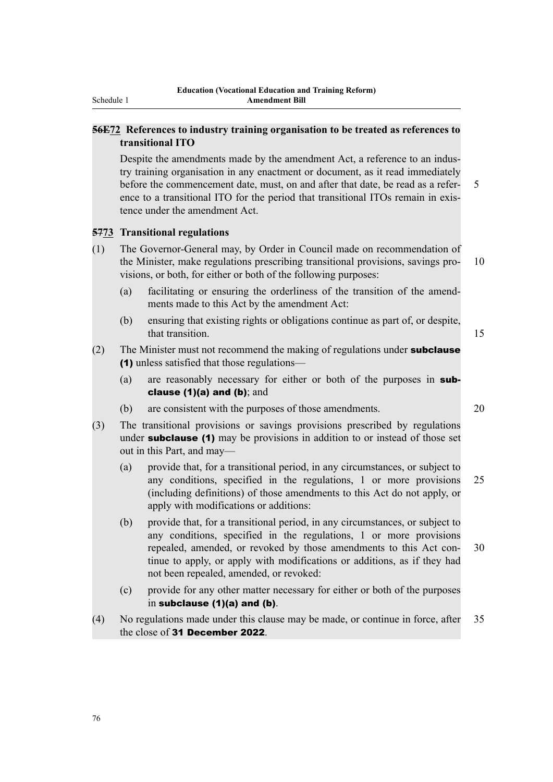# **56E72 References to industry training organisation to be treated as references to transitional ITO**

Despite the amendments made by the amendment Act, a reference to an industry training organisation in any enactment or document, as it read immediately before the commencement date, must, on and after that date, be read as a refer- 5 ence to a transitional ITO for the period that transitional ITOs remain in existence under the amendment Act.

## **5773 Transitional regulations**

- (1) The Governor-General may, by Order in Council made on recommendation of the Minister, make regulations prescribing transitional provisions, savings pro- 10 visions, or both, for either or both of the following purposes:
	- (a) facilitating or ensuring the orderliness of the transition of the amendments made to this Act by the amendment Act:
	- (b) ensuring that existing rights or obligations continue as part of, or despite, that transition. **15**

# (2) The Minister must not recommend the making of regulations under **subclause** (1) unless satisfied that those regulations—

- (a) are reasonably necessary for either or both of the purposes in subclause (1)(a) and (b); and
- (b) are consistent with the purposes of those amendments. 20
- (3) The transitional provisions or savings provisions prescribed by regulations under **subclause** (1) may be provisions in addition to or instead of those set out in this Part, and may—
	- (a) provide that, for a transitional period, in any circumstances, or subject to any conditions, specified in the regulations, 1 or more provisions 25 (including definitions) of those amendments to this Act do not apply, or apply with modifications or additions:
	- (b) provide that, for a transitional period, in any circumstances, or subject to any conditions, specified in the regulations, 1 or more provisions repealed, amended, or revoked by those amendments to this Act con- 30 tinue to apply, or apply with modifications or additions, as if they had not been repealed, amended, or revoked:
	- (c) provide for any other matter necessary for either or both of the purposes in subclause (1)(a) and (b).
- (4) No regulations made under this clause may be made, or continue in force, after 35 the close of 31 December 2022.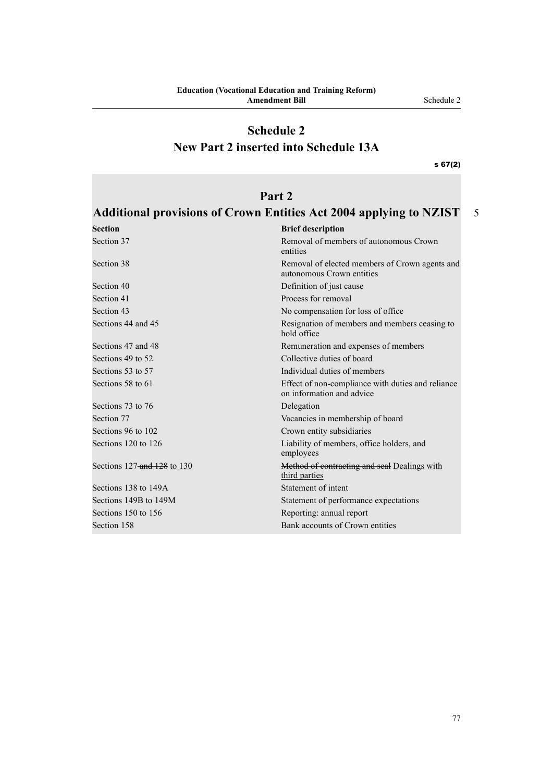# **Schedule 2 New Part 2 inserted into Schedule 13A**

s 67(2)

# **Part 2**

# **Additional provisions of Crown Entities Act 2004 applying to NZIST** 5

| <b>Section</b>              | <b>Brief description</b>                                                       |
|-----------------------------|--------------------------------------------------------------------------------|
| Section 37                  | Removal of members of autonomous Crown<br>entities                             |
| Section 38                  | Removal of elected members of Crown agents and<br>autonomous Crown entities    |
| Section 40                  | Definition of just cause                                                       |
| Section 41                  | Process for removal                                                            |
| Section 43                  | No compensation for loss of office                                             |
| Sections 44 and 45          | Resignation of members and members ceasing to<br>hold office                   |
| Sections 47 and 48          | Remuneration and expenses of members                                           |
| Sections 49 to 52           | Collective duties of board                                                     |
| Sections 53 to 57           | Individual duties of members                                                   |
| Sections 58 to 61           | Effect of non-compliance with duties and reliance<br>on information and advice |
| Sections 73 to 76           | Delegation                                                                     |
| Section 77                  | Vacancies in membership of board                                               |
| Sections 96 to 102          | Crown entity subsidiaries                                                      |
| Sections 120 to 126         | Liability of members, office holders, and<br>employees                         |
| Sections 127-and 128 to 130 | Method of contracting and seal Dealings with<br>third parties                  |
| Sections 138 to 149A        | Statement of intent                                                            |
| Sections 149B to 149M       | Statement of performance expectations                                          |
| Sections 150 to 156         | Reporting: annual report                                                       |
| Section 158                 | Bank accounts of Crown entities                                                |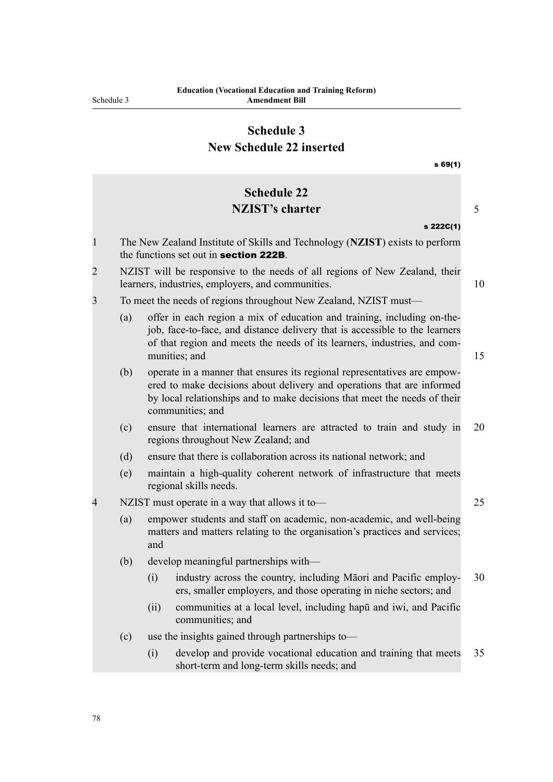# **Schedule 3 New Schedule 22 inserted**

|                |     |      | s69(1)                                                                                                                                                                                                                                              |    |
|----------------|-----|------|-----------------------------------------------------------------------------------------------------------------------------------------------------------------------------------------------------------------------------------------------------|----|
|                |     |      | <b>Schedule 22</b>                                                                                                                                                                                                                                  |    |
|                |     |      | <b>NZIST's charter</b>                                                                                                                                                                                                                              | 5  |
|                |     |      | s 222C(1)                                                                                                                                                                                                                                           |    |
| $\mathbf{1}$   |     |      | The New Zealand Institute of Skills and Technology (NZIST) exists to perform<br>the functions set out in <b>section 222B</b> .                                                                                                                      |    |
| $\overline{2}$ |     |      | NZIST will be responsive to the needs of all regions of New Zealand, their<br>learners, industries, employers, and communities.                                                                                                                     | 10 |
| 3              |     |      | To meet the needs of regions throughout New Zealand, NZIST must—                                                                                                                                                                                    |    |
|                | (a) |      | offer in each region a mix of education and training, including on-the-<br>job, face-to-face, and distance delivery that is accessible to the learners<br>of that region and meets the needs of its learners, industries, and com-<br>munities; and | 15 |
|                | (b) |      | operate in a manner that ensures its regional representatives are empow-<br>ered to make decisions about delivery and operations that are informed<br>by local relationships and to make decisions that meet the needs of their<br>communities; and |    |
|                | (c) |      | ensure that international learners are attracted to train and study in<br>regions throughout New Zealand; and                                                                                                                                       | 20 |
|                | (d) |      | ensure that there is collaboration across its national network; and                                                                                                                                                                                 |    |
|                | (e) |      | maintain a high-quality coherent network of infrastructure that meets<br>regional skills needs.                                                                                                                                                     |    |
| 4              |     |      | NZIST must operate in a way that allows it to-                                                                                                                                                                                                      | 25 |
|                | (a) | and  | empower students and staff on academic, non-academic, and well-being<br>matters and matters relating to the organisation's practices and services;                                                                                                  |    |
|                | (b) |      | develop meaningful partnerships with-                                                                                                                                                                                                               |    |
|                |     |      | (i) industry across the country, including Māori and Pacific employ-<br>ers, smaller employers, and those operating in niche sectors; and                                                                                                           | 30 |
|                |     | (ii) | communities at a local level, including hapul and iwi, and Pacific<br>communities; and                                                                                                                                                              |    |
|                | (c) |      | use the insights gained through partnerships to-                                                                                                                                                                                                    |    |
|                |     | (i)  | develop and provide vocational education and training that meets<br>short-term and long-term skills needs; and                                                                                                                                      | 35 |
|                |     |      |                                                                                                                                                                                                                                                     |    |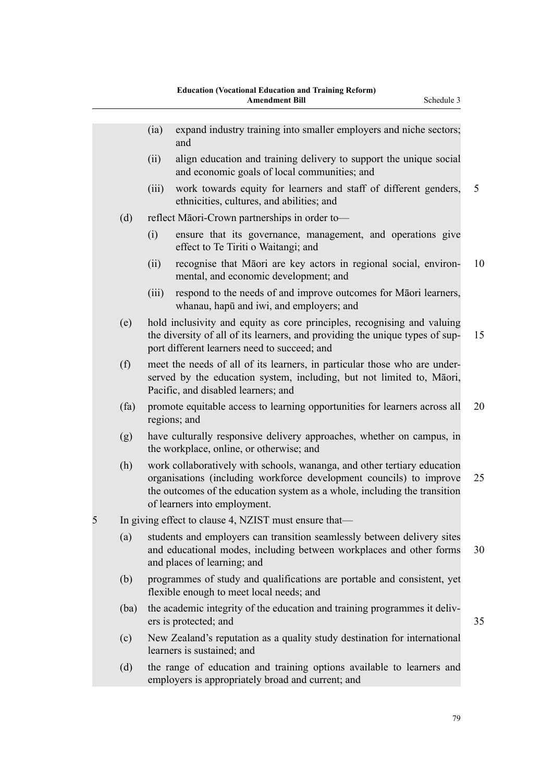|   |      | (ia)  | expand industry training into smaller employers and niche sectors;<br>and                                                                                                                                                                                    |    |
|---|------|-------|--------------------------------------------------------------------------------------------------------------------------------------------------------------------------------------------------------------------------------------------------------------|----|
|   |      | (ii)  | align education and training delivery to support the unique social<br>and economic goals of local communities; and                                                                                                                                           |    |
|   |      | (iii) | work towards equity for learners and staff of different genders,<br>ethnicities, cultures, and abilities; and                                                                                                                                                | 5  |
|   | (d)  |       | reflect Māori-Crown partnerships in order to-                                                                                                                                                                                                                |    |
|   |      | (i)   | ensure that its governance, management, and operations give<br>effect to Te Tiriti o Waitangi; and                                                                                                                                                           |    |
|   |      | (ii)  | recognise that Māori are key actors in regional social, environ-<br>mental, and economic development; and                                                                                                                                                    | 10 |
|   |      | (iii) | respond to the needs of and improve outcomes for Māori learners,<br>whanau, hapū and iwi, and employers; and                                                                                                                                                 |    |
|   | (e)  |       | hold inclusivity and equity as core principles, recognising and valuing<br>the diversity of all of its learners, and providing the unique types of sup-<br>port different learners need to succeed; and                                                      | 15 |
|   | (f)  |       | meet the needs of all of its learners, in particular those who are under-<br>served by the education system, including, but not limited to, Māori,<br>Pacific, and disabled learners; and                                                                    |    |
|   | (fa) |       | promote equitable access to learning opportunities for learners across all<br>regions; and                                                                                                                                                                   | 20 |
|   | (g)  |       | have culturally responsive delivery approaches, whether on campus, in<br>the workplace, online, or otherwise; and                                                                                                                                            |    |
|   | (h)  |       | work collaboratively with schools, wananga, and other tertiary education<br>organisations (including workforce development councils) to improve<br>the outcomes of the education system as a whole, including the transition<br>of learners into employment. | 25 |
| 5 |      |       | In giving effect to clause 4, NZIST must ensure that-                                                                                                                                                                                                        |    |
|   | (a)  |       | students and employers can transition seamlessly between delivery sites<br>and educational modes, including between workplaces and other forms<br>and places of learning; and                                                                                | 30 |
|   | (b)  |       | programmes of study and qualifications are portable and consistent, yet<br>flexible enough to meet local needs; and                                                                                                                                          |    |
|   | (ba) |       | the academic integrity of the education and training programmes it deliv-<br>ers is protected; and                                                                                                                                                           | 35 |
|   | (c)  |       | New Zealand's reputation as a quality study destination for international<br>learners is sustained; and                                                                                                                                                      |    |
|   | (d)  |       | the range of education and training options available to learners and<br>employers is appropriately broad and current; and                                                                                                                                   |    |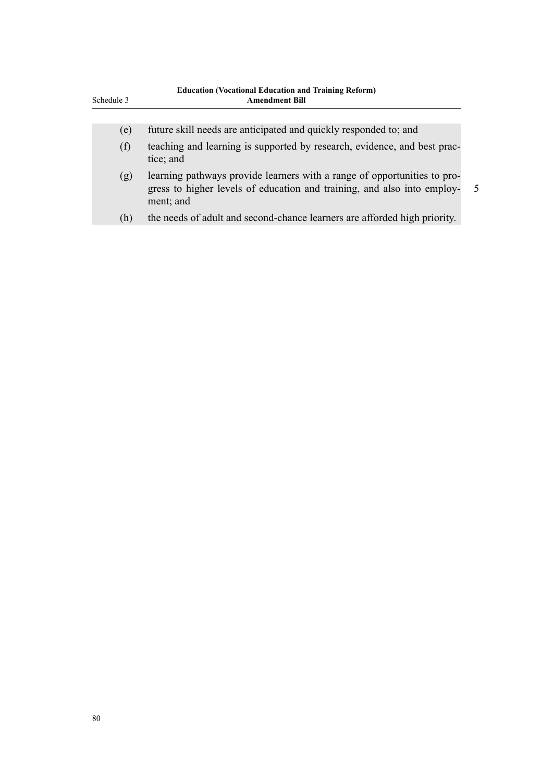| Schedule 3 | <b>Education (Vocational Education and Training Reform)</b><br><b>Amendment Bill</b>                                                                             |                          |
|------------|------------------------------------------------------------------------------------------------------------------------------------------------------------------|--------------------------|
|            |                                                                                                                                                                  |                          |
| (e)        | future skill needs are anticipated and quickly responded to; and                                                                                                 |                          |
| (f)        | teaching and learning is supported by research, evidence, and best prac-<br>tice; and                                                                            |                          |
| (g)        | learning pathways provide learners with a range of opportunities to pro-<br>gress to higher levels of education and training, and also into employ-<br>ment; and | $\overline{\mathcal{L}}$ |
| (h)        | the needs of adult and second-chance learners are afforded high priority.                                                                                        |                          |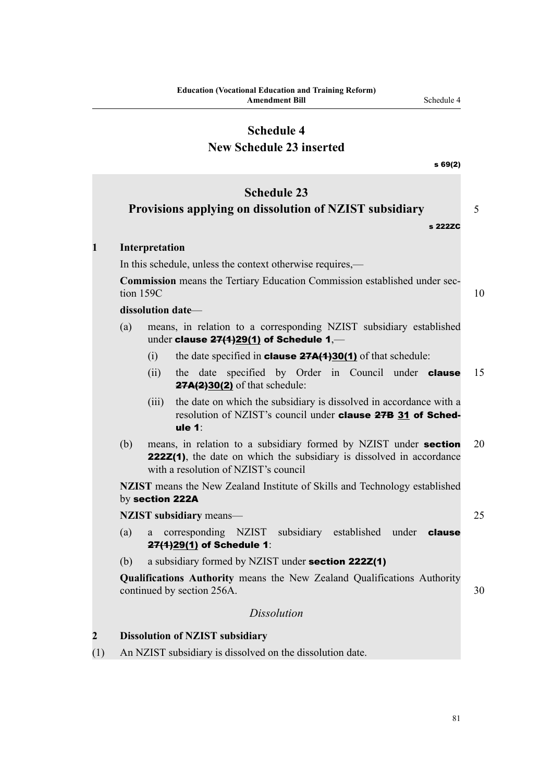# **New Schedule 23 inserted**

|                         |     | s69(2)                                                                                                                                                                           |    |
|-------------------------|-----|----------------------------------------------------------------------------------------------------------------------------------------------------------------------------------|----|
|                         |     | <b>Schedule 23</b><br>Provisions applying on dissolution of NZIST subsidiary<br>s 222ZC                                                                                          | 5  |
| 1                       |     | Interpretation                                                                                                                                                                   |    |
|                         |     | In this schedule, unless the context otherwise requires,—                                                                                                                        |    |
|                         |     | Commission means the Tertiary Education Commission established under sec-<br>tion 159C                                                                                           | 10 |
|                         |     | dissolution date-                                                                                                                                                                |    |
|                         | (a) | means, in relation to a corresponding NZIST subsidiary established<br>under clause $27(1)29(1)$ of Schedule 1,—                                                                  |    |
|                         |     | the date specified in <b>clause <math>27A(1)30(1)</math></b> of that schedule:<br>(i)                                                                                            |    |
|                         |     | date specified by Order in Council under <b>clause</b><br>(ii)<br>the<br><b>27A(2)30(2)</b> of that schedule:                                                                    | 15 |
|                         |     | the date on which the subsidiary is dissolved in accordance with a<br>(iii)<br>resolution of NZIST's council under clause 27B 31 of Sched-<br>ule $1$ :                          |    |
|                         | (b) | means, in relation to a subsidiary formed by NZIST under section<br>222Z(1), the date on which the subsidiary is dissolved in accordance<br>with a resolution of NZIST's council | 20 |
|                         |     | <b>NZIST</b> means the New Zealand Institute of Skills and Technology established<br>by section 222A                                                                             |    |
|                         |     | NZIST subsidiary means-                                                                                                                                                          | 25 |
|                         | (a) | corresponding NZIST subsidiary established under <b>clause</b><br>a<br>27(1)29(1) of Schedule 1:                                                                                 |    |
|                         | (b) | a subsidiary formed by NZIST under section 222Z(1)                                                                                                                               |    |
|                         |     | Qualifications Authority means the New Zealand Qualifications Authority<br>continued by section 256A.                                                                            | 30 |
|                         |     | <b>Dissolution</b>                                                                                                                                                               |    |
| $\overline{\mathbf{c}}$ |     | <b>Dissolution of NZIST subsidiary</b>                                                                                                                                           |    |
| (1)                     |     | An NZIST subsidiary is dissolved on the dissolution date.                                                                                                                        |    |
|                         |     |                                                                                                                                                                                  |    |

**2 Discription 0**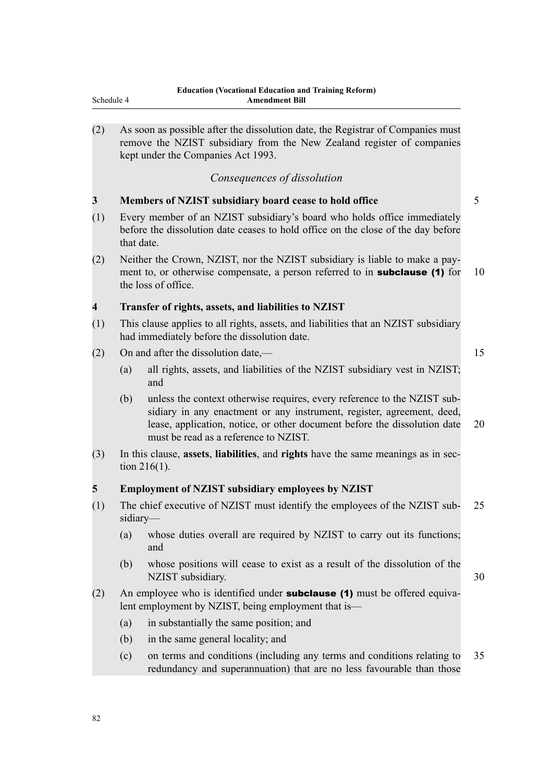| (2) |            | As soon as possible after the dissolution date, the Registrar of Companies must<br>remove the NZIST subsidiary from the New Zealand register of companies<br>kept under the Companies Act 1993.                                                                          |    |
|-----|------------|--------------------------------------------------------------------------------------------------------------------------------------------------------------------------------------------------------------------------------------------------------------------------|----|
|     |            | Consequences of dissolution                                                                                                                                                                                                                                              |    |
| 3   |            | Members of NZIST subsidiary board cease to hold office                                                                                                                                                                                                                   | 5  |
| (1) | that date. | Every member of an NZIST subsidiary's board who holds office immediately<br>before the dissolution date ceases to hold office on the close of the day before                                                                                                             |    |
| (2) |            | Neither the Crown, NZIST, nor the NZIST subsidiary is liable to make a pay-<br>ment to, or otherwise compensate, a person referred to in <b>subclause</b> (1) for<br>the loss of office.                                                                                 | 10 |
| 4   |            | Transfer of rights, assets, and liabilities to NZIST                                                                                                                                                                                                                     |    |
| (1) |            | This clause applies to all rights, assets, and liabilities that an NZIST subsidiary<br>had immediately before the dissolution date.                                                                                                                                      |    |
| (2) |            | On and after the dissolution date,—                                                                                                                                                                                                                                      | 15 |
|     | (a)        | all rights, assets, and liabilities of the NZIST subsidiary vest in NZIST;<br>and                                                                                                                                                                                        |    |
|     | (b)        | unless the context otherwise requires, every reference to the NZIST sub-<br>sidiary in any enactment or any instrument, register, agreement, deed,<br>lease, application, notice, or other document before the dissolution date<br>must be read as a reference to NZIST. | 20 |
| (3) |            | In this clause, assets, liabilities, and rights have the same meanings as in sec-<br>tion $216(1)$ .                                                                                                                                                                     |    |
| 5   |            | <b>Employment of NZIST subsidiary employees by NZIST</b>                                                                                                                                                                                                                 |    |
| (1) | sidiary-   | The chief executive of NZIST must identify the employees of the NZIST sub-                                                                                                                                                                                               | 25 |
|     | (a)        | whose duties overall are required by NZIST to carry out its functions;<br>and                                                                                                                                                                                            |    |
|     | (b)        | whose positions will cease to exist as a result of the dissolution of the<br>NZIST subsidiary.                                                                                                                                                                           | 30 |
| (2) |            | An employee who is identified under <b>subclause (1)</b> must be offered equiva-<br>lent employment by NZIST, being employment that is—                                                                                                                                  |    |
|     | (a)        | in substantially the same position; and                                                                                                                                                                                                                                  |    |
|     | (b)        | in the same general locality; and                                                                                                                                                                                                                                        |    |
|     | (c)        | on terms and conditions (including any terms and conditions relating to<br>redundancy and superannuation) that are no less favourable than those                                                                                                                         | 35 |
|     |            |                                                                                                                                                                                                                                                                          |    |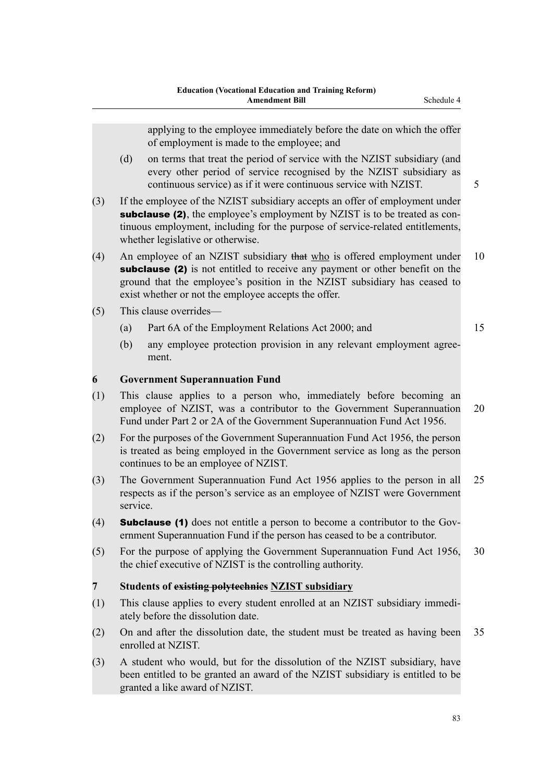|                |                                                                                                                                                                                                                                                                                           | applying to the employee immediately before the date on which the offer<br>of employment is made to the employee; and                                                                                                                                                                               |    |  |
|----------------|-------------------------------------------------------------------------------------------------------------------------------------------------------------------------------------------------------------------------------------------------------------------------------------------|-----------------------------------------------------------------------------------------------------------------------------------------------------------------------------------------------------------------------------------------------------------------------------------------------------|----|--|
|                | (d)                                                                                                                                                                                                                                                                                       | on terms that treat the period of service with the NZIST subsidiary (and<br>every other period of service recognised by the NZIST subsidiary as<br>continuous service) as if it were continuous service with NZIST.                                                                                 | 5  |  |
| (3)            | If the employee of the NZIST subsidiary accepts an offer of employment under<br><b>subclause (2)</b> , the employee's employment by NZIST is to be treated as con-<br>tinuous employment, including for the purpose of service-related entitlements,<br>whether legislative or otherwise. |                                                                                                                                                                                                                                                                                                     |    |  |
| (4)            |                                                                                                                                                                                                                                                                                           | An employee of an NZIST subsidiary that who is offered employment under<br><b>subclause (2)</b> is not entitled to receive any payment or other benefit on the<br>ground that the employee's position in the NZIST subsidiary has ceased to<br>exist whether or not the employee accepts the offer. | 10 |  |
| (5)            |                                                                                                                                                                                                                                                                                           | This clause overrides-                                                                                                                                                                                                                                                                              |    |  |
|                | (a)                                                                                                                                                                                                                                                                                       | Part 6A of the Employment Relations Act 2000; and                                                                                                                                                                                                                                                   | 15 |  |
|                | (b)                                                                                                                                                                                                                                                                                       | any employee protection provision in any relevant employment agree-<br>ment.                                                                                                                                                                                                                        |    |  |
| 6              |                                                                                                                                                                                                                                                                                           | <b>Government Superannuation Fund</b>                                                                                                                                                                                                                                                               |    |  |
| (1)            | This clause applies to a person who, immediately before becoming an<br>employee of NZIST, was a contributor to the Government Superannuation<br>20<br>Fund under Part 2 or 2A of the Government Superannuation Fund Act 1956.                                                             |                                                                                                                                                                                                                                                                                                     |    |  |
| (2)            | For the purposes of the Government Superannuation Fund Act 1956, the person<br>is treated as being employed in the Government service as long as the person<br>continues to be an employee of NZIST.                                                                                      |                                                                                                                                                                                                                                                                                                     |    |  |
| (3)            | 25<br>The Government Superannuation Fund Act 1956 applies to the person in all<br>respects as if the person's service as an employee of NZIST were Government<br>service.                                                                                                                 |                                                                                                                                                                                                                                                                                                     |    |  |
| (4)            |                                                                                                                                                                                                                                                                                           | <b>Subclause (1)</b> does not entitle a person to become a contributor to the Gov-<br>ernment Superannuation Fund if the person has ceased to be a contributor.                                                                                                                                     |    |  |
| (5)            |                                                                                                                                                                                                                                                                                           | For the purpose of applying the Government Superannuation Fund Act 1956,<br>the chief executive of NZIST is the controlling authority.                                                                                                                                                              | 30 |  |
| $\overline{7}$ |                                                                                                                                                                                                                                                                                           | Students of existing polytechnies NZIST subsidiary                                                                                                                                                                                                                                                  |    |  |
| (1)            |                                                                                                                                                                                                                                                                                           | This clause applies to every student enrolled at an NZIST subsidiary immedi-<br>ately before the dissolution date.                                                                                                                                                                                  |    |  |
| (2)            |                                                                                                                                                                                                                                                                                           | On and after the dissolution date, the student must be treated as having been<br>enrolled at NZIST.                                                                                                                                                                                                 | 35 |  |
| (3)            |                                                                                                                                                                                                                                                                                           | A student who would, but for the dissolution of the NZIST subsidiary, have<br>been entitled to be granted an award of the NZIST subsidiary is entitled to be<br>granted a like award of NZIST.                                                                                                      |    |  |
|                |                                                                                                                                                                                                                                                                                           |                                                                                                                                                                                                                                                                                                     |    |  |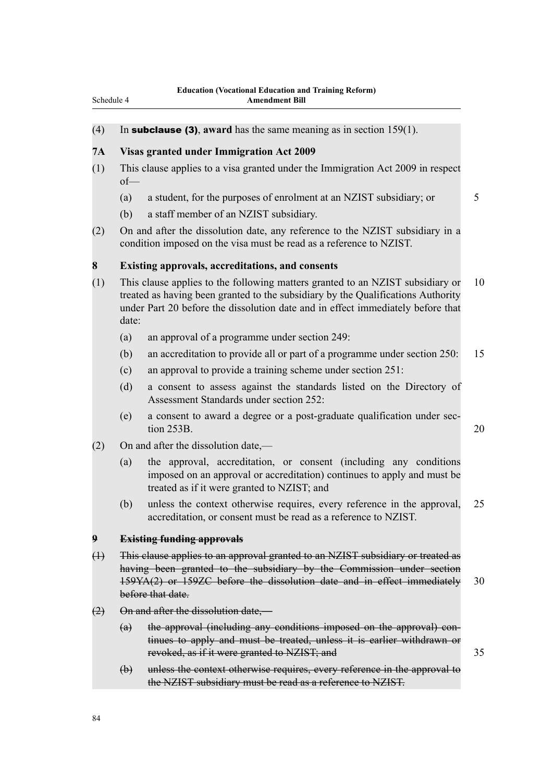#### (4) In subclause (3), **award** has the same meaning as in section 159(1).

### **7A Visas granted under Immigration Act 2009**

- (1) This clause applies to a visa granted under the Immigration Act 2009 in respect of—
	- (a) a student, for the purposes of enrolment at an NZIST subsidiary; or 5
	- (b) a staff member of an NZIST subsidiary.
- (2) On and after the dissolution date, any reference to the NZIST subsidiary in a condition imposed on the visa must be read as a reference to NZIST.

#### **8 Existing approvals, accreditations, and consents**

- (1) This clause applies to the following matters granted to an NZIST subsidiary or 10 treated as having been granted to the subsidiary by the Qualifications Authority under Part 20 before the dissolution date and in effect immediately before that date:
	- (a) an approval of a programme under section 249:
	- (b) an accreditation to provide all or part of a programme under section 250: 15
	- (c) an approval to provide a training scheme under section 251:
	- (d) a consent to assess against the standards listed on the Directory of Assessment Standards under section 252:
	- (e) a consent to award a degree or a post-graduate qualification under section 253B. 20
- (2) On and after the dissolution date,—
	- (a) the approval, accreditation, or consent (including any conditions imposed on an approval or accreditation) continues to apply and must be treated as if it were granted to NZIST; and
	- (b) unless the context otherwise requires, every reference in the approval, 25 accreditation, or consent must be read as a reference to NZIST.

#### **9 Existing funding approvals**

- (1) This clause applies to an approval granted to an NZIST subsidiary or treated as having been granted to the subsidiary by the Commission under section 159YA(2) or 159ZC before the dissolution date and in effect immediately 30 before that date.
- (2) On and after the dissolution date,—
	- (a) the approval (including any conditions imposed on the approval) continues to apply and must be treated, unless it is earlier withdrawn or revoked, as if it were granted to NZIST; and 35
	- (b) unless the context otherwise requires, every reference in the approval to the NZIST subsidiary must be read as a reference to NZIST.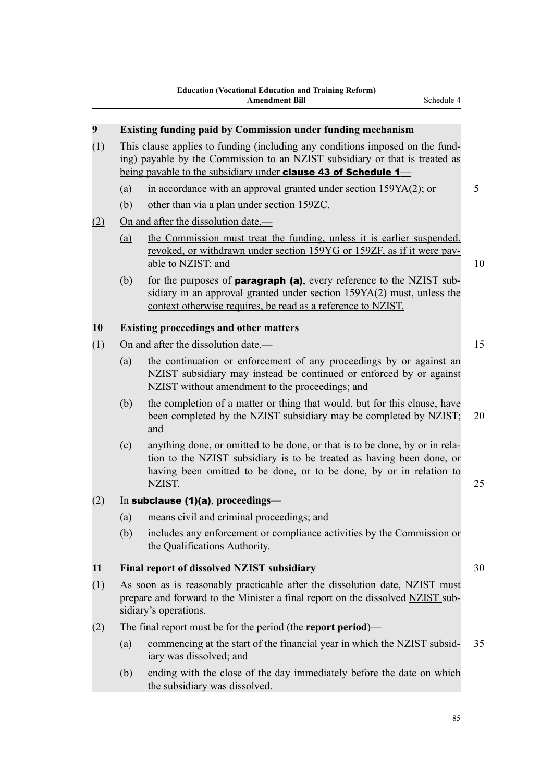|     | <b>Existing funding paid by Commission under funding mechanism</b>                                                                                                                                                                    |
|-----|---------------------------------------------------------------------------------------------------------------------------------------------------------------------------------------------------------------------------------------|
| (1) | This clause applies to funding (including any conditions imposed on the fund-<br>ing) payable by the Commission to an NZIST subsidiary or that is treated as<br>being payable to the subsidiary under <b>clause 43 of Schedule 1—</b> |
| (a) | in accordance with an approval granted under section 159YA(2); or                                                                                                                                                                     |
| (b) | other than via a plan under section 159ZC.                                                                                                                                                                                            |
|     | On and after the dissolution date,—                                                                                                                                                                                                   |
| (a) | the Commission must treat the funding, unless it is earlier suspended,<br>revoked, or withdrawn under section 159YG or 159ZF, as if it were pay-<br>able to NZIST; and                                                                |
| (b) | for the purposes of <b>paragraph (a)</b> , every reference to the NZIST sub-<br>sidiary in an approval granted under section 159YA(2) must, unless the<br>context otherwise requires, be read as a reference to NZIST.                |
|     | <b>Existing proceedings and other matters</b>                                                                                                                                                                                         |
|     | On and after the dissolution date,—                                                                                                                                                                                                   |
| (a) | the continuation or enforcement of any proceedings by or against an<br>NZIST subsidiary may instead be continued or enforced by or against<br>NZIST without amendment to the proceedings; and                                         |
| (b) | the completion of a matter or thing that would, but for this clause, have<br>been completed by the NZIST subsidiary may be completed by NZIST;<br>and                                                                                 |
| (c) | anything done, or omitted to be done, or that is to be done, by or in rela-<br>tion to the NZIST subsidiary is to be treated as having been done, or<br>having been omitted to be done, or to be done, by or in relation to<br>NZIST. |
|     | In subclause (1)(a), proceedings-                                                                                                                                                                                                     |
| (a) | means civil and criminal proceedings; and                                                                                                                                                                                             |
| (b) | includes any enforcement or compliance activities by the Commission or<br>the Qualifications Authority.                                                                                                                               |
|     | Final report of dissolved NZIST subsidiary                                                                                                                                                                                            |
|     | As soon as is reasonably practicable after the dissolution date, NZIST must<br>prepare and forward to the Minister a final report on the dissolved NZIST sub-<br>sidiary's operations.                                                |
|     | The final report must be for the period (the report period)—                                                                                                                                                                          |
| (a) | commencing at the start of the financial year in which the NZIST subsid-<br>iary was dissolved; and                                                                                                                                   |
| (b) | ending with the close of the day immediately before the date on which<br>the subsidiary was dissolved.                                                                                                                                |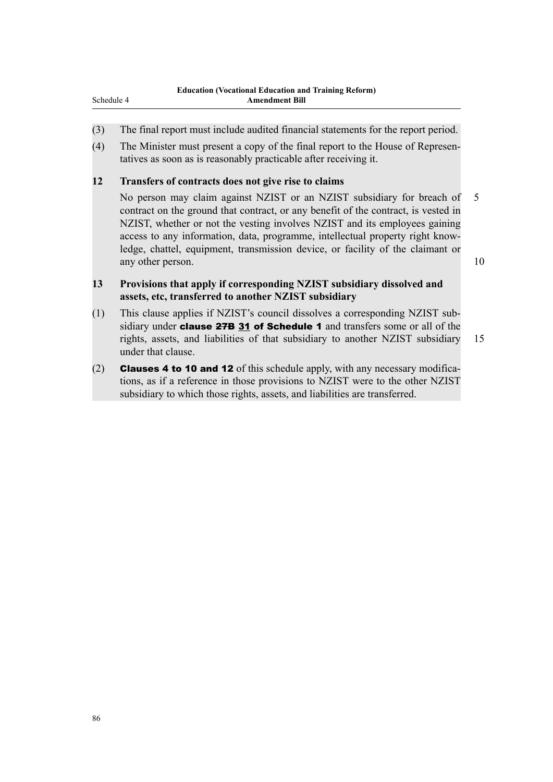- (3) The final report must include audited financial statements for the report period.
- (4) The Minister must present a copy of the final report to the House of Representatives as soon as is reasonably practicable after receiving it.

## **12 Transfers of contracts does not give rise to claims**

No person may claim against NZIST or an NZIST subsidiary for breach of 5 contract on the ground that contract, or any benefit of the contract, is vested in NZIST, whether or not the vesting involves NZIST and its employees gaining access to any information, data, programme, intellectual property right knowledge, chattel, equipment, transmission device, or facility of the claimant or any other person. 10

## **13 Provisions that apply if corresponding NZIST subsidiary dissolved and assets, etc, transferred to another NZIST subsidiary**

- (1) This clause applies if NZIST's council dissolves a corresponding NZIST subsidiary under **clause 27B 31 of Schedule 1** and transfers some or all of the rights, assets, and liabilities of that subsidiary to another NZIST subsidiary 15 under that clause.
- (2) **Clauses 4 to 10 and 12** of this schedule apply, with any necessary modifications, as if a reference in those provisions to NZIST were to the other NZIST subsidiary to which those rights, assets, and liabilities are transferred.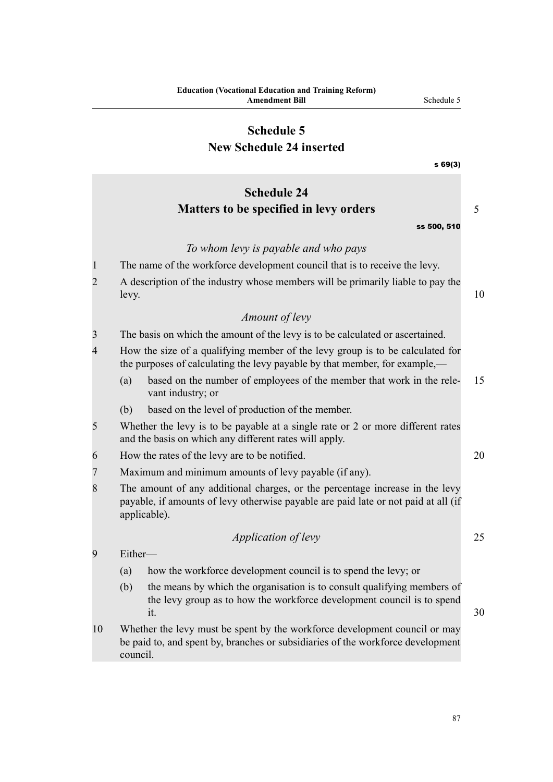|                | <b>Education (Vocational Education and Training Reform)</b><br><b>Amendment Bill</b>                                                                                               | Schedule 5  |    |
|----------------|------------------------------------------------------------------------------------------------------------------------------------------------------------------------------------|-------------|----|
|                | <b>Schedule 5</b>                                                                                                                                                                  |             |    |
|                | <b>New Schedule 24 inserted</b>                                                                                                                                                    |             |    |
|                |                                                                                                                                                                                    | s69(3)      |    |
|                | <b>Schedule 24</b>                                                                                                                                                                 |             |    |
|                | Matters to be specified in levy orders                                                                                                                                             |             | 5  |
|                |                                                                                                                                                                                    | ss 500, 510 |    |
|                | To whom levy is payable and who pays                                                                                                                                               |             |    |
| 1              | The name of the workforce development council that is to receive the levy.                                                                                                         |             |    |
| $\overline{2}$ | A description of the industry whose members will be primarily liable to pay the<br>levy.                                                                                           |             | 10 |
|                | Amount of levy                                                                                                                                                                     |             |    |
| 3              | The basis on which the amount of the levy is to be calculated or ascertained.                                                                                                      |             |    |
| 4              | How the size of a qualifying member of the levy group is to be calculated for<br>the purposes of calculating the levy payable by that member, for example,—                        |             |    |
|                | based on the number of employees of the member that work in the rele-<br>(a)<br>vant industry; or                                                                                  |             | 15 |
|                | based on the level of production of the member.<br>(b)                                                                                                                             |             |    |
| 5              | Whether the levy is to be payable at a single rate or 2 or more different rates<br>and the basis on which any different rates will apply.                                          |             |    |
| 6              | How the rates of the levy are to be notified.                                                                                                                                      |             | 20 |
| $\overline{7}$ | Maximum and minimum amounts of levy payable (if any).                                                                                                                              |             |    |
| 8              | The amount of any additional charges, or the percentage increase in the levy<br>payable, if amounts of levy otherwise payable are paid late or not paid at all (if<br>applicable). |             |    |
|                | <i>Application of levy</i>                                                                                                                                                         |             | 25 |
| 9              | Either-                                                                                                                                                                            |             |    |
|                | how the workforce development council is to spend the levy; or<br>(a)                                                                                                              |             |    |
|                | the means by which the organisation is to consult qualifying members of<br>(b)<br>the levy group as to how the workforce development council is to spend<br>it.                    |             | 30 |
| 10             | Whether the levy must be spent by the workforce development council or may<br>be paid to, and spent by, branches or subsidiaries of the workforce development                      |             |    |

council.

87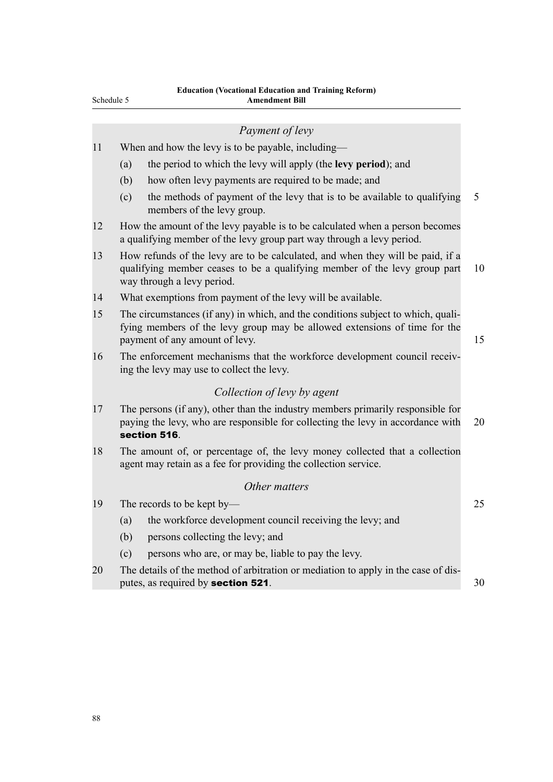### *Payment of levy*

- 11 When and how the levy is to be payable, including—
	- (a) the period to which the levy will apply (the **levy period**); and
	- (b) how often levy payments are required to be made; and
	- (c) the methods of payment of the levy that is to be available to qualifying 5 members of the levy group.
- 12 How the amount of the levy payable is to be calculated when a person becomes a qualifying member of the levy group part way through a levy period.
- 13 How refunds of the levy are to be calculated, and when they will be paid, if a qualifying member ceases to be a qualifying member of the levy group part 10 way through a levy period.
- 14 What exemptions from payment of the levy will be available.
- 15 The circumstances (if any) in which, and the conditions subject to which, qualifying members of the levy group may be allowed extensions of time for the payment of any amount of levy. 15
- 16 The enforcement mechanisms that the workforce development council receiving the levy may use to collect the levy.

# *Collection of levy by agent*

- 17 The persons (if any), other than the industry members primarily responsible for paying the levy, who are responsible for collecting the levy in accordance with 20 section 516.
- 18 The amount of, or percentage of, the levy money collected that a collection agent may retain as a fee for providing the collection service.

# *Other matters*

- 19 The records to be kept by— 25
	- (a) the workforce development council receiving the levy; and
	- (b) persons collecting the levy; and
	- (c) persons who are, or may be, liable to pay the levy.
- 20 The details of the method of arbitration or mediation to apply in the case of disputes, as required by **section 521**. 30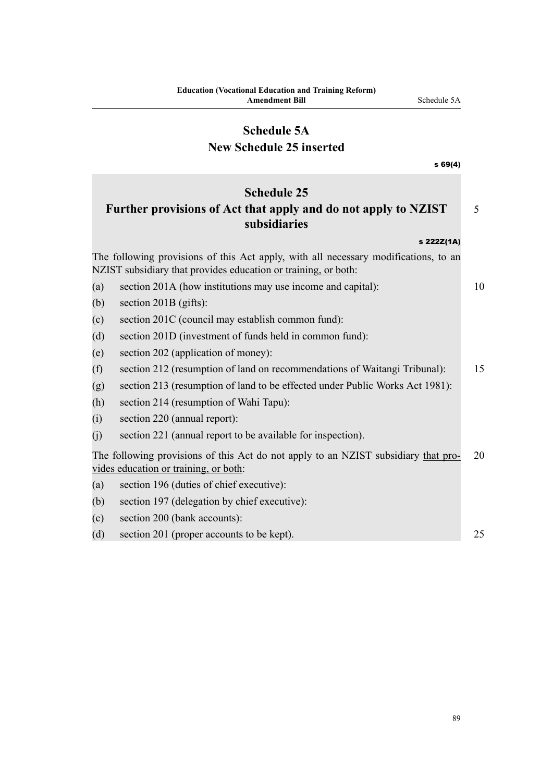# **Schedule 5A**

# **New Schedule 25 inserted**

| s69(4)                                                                                                                                                |    |
|-------------------------------------------------------------------------------------------------------------------------------------------------------|----|
| <b>Schedule 25</b><br>Further provisions of Act that apply and do not apply to NZIST<br>subsidiaries                                                  | 5  |
| s 222Z(1A)                                                                                                                                            |    |
| The following provisions of this Act apply, with all necessary modifications, to an<br>NZIST subsidiary that provides education or training, or both: |    |
| section 201A (how institutions may use income and capital):<br>(a)                                                                                    | 10 |
| section $201B$ (gifts):<br>(b)                                                                                                                        |    |
| section 201C (council may establish common fund):<br>(c)                                                                                              |    |
| section 201D (investment of funds held in common fund):<br>(d)                                                                                        |    |
| section 202 (application of money):<br>(e)                                                                                                            |    |
| section 212 (resumption of land on recommendations of Waitangi Tribunal):<br>(f)                                                                      | 15 |
| section 213 (resumption of land to be effected under Public Works Act 1981):<br>(g)                                                                   |    |
| (h)<br>section 214 (resumption of Wahi Tapu):                                                                                                         |    |
| section 220 (annual report):<br>(i)                                                                                                                   |    |
| (i)<br>section 221 (annual report to be available for inspection).                                                                                    |    |
| The following provisions of this Act do not apply to an NZIST subsidiary that pro-<br>vides education or training, or both:                           | 20 |
| section 196 (duties of chief executive):<br>(a)                                                                                                       |    |
| section 197 (delegation by chief executive):<br>(b)                                                                                                   |    |
| section 200 (bank accounts):<br>(c)                                                                                                                   |    |
| section 201 (proper accounts to be kept).<br>(d)                                                                                                      | 25 |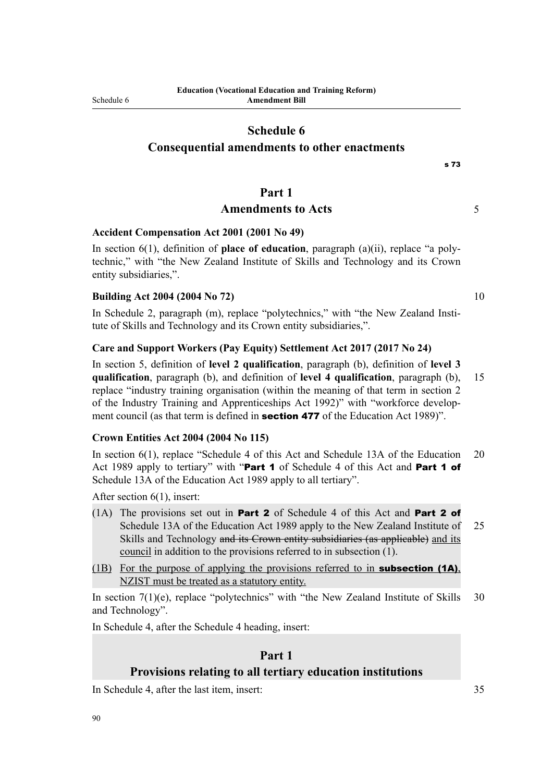# **Consequential amendments to other enactments**

## **Part 1**

# Amendments to Acts 5

## **Accident Compensation Act 2001 (2001 No 49)**

In section 6(1), definition of **place of education**, paragraph (a)(ii), replace "a polytechnic," with "the New Zealand Institute of Skills and Technology and its Crown entity subsidiaries,".

## **Building Act 2004 (2004 No 72)** 10

In Schedule 2, paragraph (m), replace "polytechnics," with "the New Zealand Institute of Skills and Technology and its Crown entity subsidiaries,".

### **Care and Support Workers (Pay Equity) Settlement Act 2017 (2017 No 24)**

In section 5, definition of **level 2 qualification**, paragraph (b), definition of **level 3 qualification**, paragraph (b), and definition of **level 4 qualification**, paragraph (b), 15 replace "industry training organisation (within the meaning of that term in section 2 of the Industry Training and Apprenticeships Act 1992)" with "workforce development council (as that term is defined in **section 477** of the Education Act 1989)".

### **Crown Entities Act 2004 (2004 No 115)**

In section 6(1), replace "Schedule 4 of this Act and Schedule 13A of the Education 20 Act 1989 apply to tertiary" with "Part 1 of Schedule 4 of this Act and Part 1 of Schedule 13A of the Education Act 1989 apply to all tertiary".

After section 6(1), insert:

- (1A) The provisions set out in **Part 2** of Schedule 4 of this Act and **Part 2 of** Schedule 13A of the Education Act 1989 apply to the New Zealand Institute of 25 Skills and Technology and its Crown entity subsidiaries (as applicable) and its council in addition to the provisions referred to in subsection (1).
- (1B) For the purpose of applying the provisions referred to in **subsection (1A)**, NZIST must be treated as a statutory entity.

In section  $7(1)(e)$ , replace "polytechnics" with "the New Zealand Institute of Skills 30 and Technology".

In Schedule 4, after the Schedule 4 heading, insert:

# **Part 1**

### **Provisions relating to all tertiary education institutions**

In Schedule 4, after the last item, insert: 35

s 73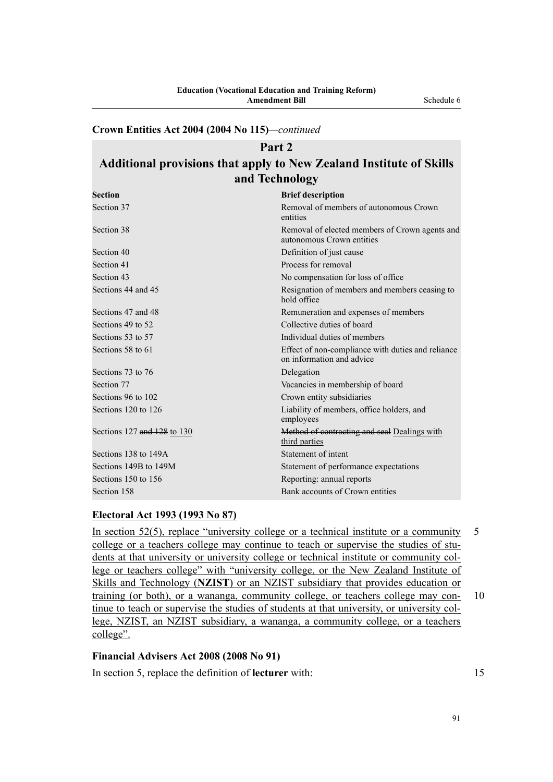# **Crown Entities Act 2004 (2004 No 115)***—continued*

# **Part 2 Additional provisions that apply to New Zealand Institute of Skills and Technology**

| <b>Brief description</b>                                                       |
|--------------------------------------------------------------------------------|
| Removal of members of autonomous Crown<br>entities                             |
| Removal of elected members of Crown agents and<br>autonomous Crown entities    |
| Definition of just cause                                                       |
| Process for removal                                                            |
| No compensation for loss of office.                                            |
| Resignation of members and members ceasing to<br>hold office                   |
| Remuneration and expenses of members                                           |
| Collective duties of board                                                     |
| Individual duties of members                                                   |
| Effect of non-compliance with duties and reliance<br>on information and advice |
| Delegation                                                                     |
| Vacancies in membership of board                                               |
| Crown entity subsidiaries                                                      |
| Liability of members, office holders, and<br>employees                         |
| Method of contracting and seal Dealings with<br>third parties                  |
| Statement of intent                                                            |
| Statement of performance expectations                                          |
| Reporting: annual reports                                                      |
| Bank accounts of Crown entities                                                |
|                                                                                |

### **Electoral Act 1993 (1993 No 87)**

In section 52(5), replace "university college or a technical institute or a community 5 college or a teachers college may continue to teach or supervise the studies of students at that university or university college or technical institute or community college or teachers college" with "university college, or the New Zealand Institute of Skills and Technology (**NZIST**) or an NZIST subsidiary that provides education or training (or both), or a wananga, community college, or teachers college may con- 10 tinue to teach or supervise the studies of students at that university, or university college, NZIST, an NZIST subsidiary, a wananga, a community college, or a teachers college".

# **Financial Advisers Act 2008 (2008 No 91)**

In section 5, replace the definition of **lecturer** with: 15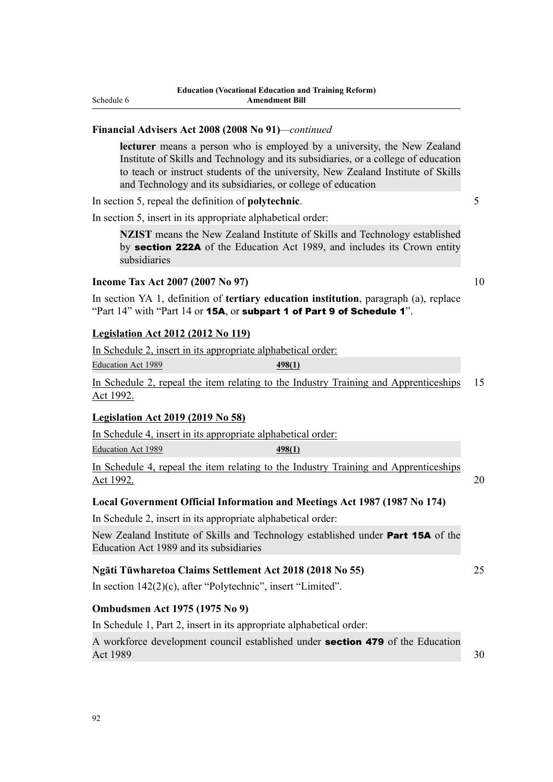### **Financial Advisers Act 2008 (2008 No 91)***—continued*

**lecturer** means a person who is employed by a university, the New Zealand Institute of Skills and Technology and its subsidiaries, or a college of education to teach or instruct students of the university, New Zealand Institute of Skills and Technology and its subsidiaries, or college of education

In section 5, repeal the definition of **polytechnic**. 5

In section 5, insert in its appropriate alphabetical order:

**NZIST** means the New Zealand Institute of Skills and Technology established by section 222A of the Education Act 1989, and includes its Crown entity subsidiaries

### **Income Tax Act 2007 (2007 No 97)** 10

In section YA 1, definition of **tertiary education institution**, paragraph (a), replace "Part 14" with "Part 14 or 15A, or subpart 1 of Part 9 of Schedule 1".

### **Legislation Act 2012 (2012 No 119)**

|                           | In Schedule 2, insert in its appropriate alphabetical order: |
|---------------------------|--------------------------------------------------------------|
| <b>Education Act 1989</b> | <u>498(1)</u>                                                |

In Schedule 2, repeal the item relating to the Industry Training and Apprenticeships 15 Act 1992.

### **Legislation Act 2019 (2019 No 58)**

In Schedule 4, insert in its appropriate alphabetical order:

Education Act 1989 **498(1)**

In Schedule 4, repeal the item relating to the Industry Training and Apprenticeships Act 1992. 20

## **Local Government Official Information and Meetings Act 1987 (1987 No 174)**

In Schedule 2, insert in its appropriate alphabetical order:

New Zealand Institute of Skills and Technology established under Part 15A of the Education Act 1989 and its subsidiaries

#### **Ngāti Tūwharetoa Claims Settlement Act 2018 (2018 No 55)** 25

In section 142(2)(c), after "Polytechnic", insert "Limited".

### **Ombudsmen Act 1975 (1975 No 9)**

In Schedule 1, Part 2, insert in its appropriate alphabetical order:

A workforce development council established under section 479 of the Education Act 1989  $\sim$  30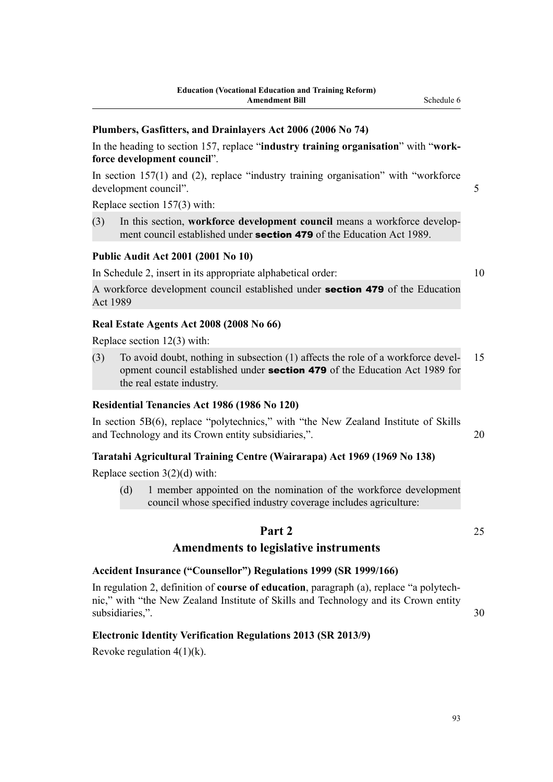### **Plumbers, Gasfitters, and Drainlayers Act 2006 (2006 No 74)**

In the heading to section 157, replace "**industry training organisation**" with "**workforce development council**".

In section 157(1) and (2), replace "industry training organisation" with "workforce" development council". 5

Replace section 157(3) with:

(3) In this section, **workforce development council** means a workforce development council established under **section 479** of the Education Act 1989.

### **Public Audit Act 2001 (2001 No 10)**

In Schedule 2, insert in its appropriate alphabetical order: 10

A workforce development council established under section 479 of the Education Act 1989

### **Real Estate Agents Act 2008 (2008 No 66)**

Replace section 12(3) with:

(3) To avoid doubt, nothing in subsection (1) affects the role of a workforce devel- 15 opment council established under section 479 of the Education Act 1989 for the real estate industry.

### **Residential Tenancies Act 1986 (1986 No 120)**

In section 5B(6), replace "polytechnics," with "the New Zealand Institute of Skills and Technology and its Crown entity subsidiaries,". 20

### **Taratahi Agricultural Training Centre (Wairarapa) Act 1969 (1969 No 138)**

Replace section 3(2)(d) with:

(d) 1 member appointed on the nomination of the workforce development council whose specified industry coverage includes agriculture:

## **Part 2** 25

# **Amendments to legislative instruments**

# **Accident Insurance ("Counsellor") Regulations 1999 (SR 1999/166)**

In regulation 2, definition of **course of education**, paragraph (a), replace "a polytechnic," with "the New Zealand Institute of Skills and Technology and its Crown entity subsidiaries,". 30

### **Electronic Identity Verification Regulations 2013 (SR 2013/9)**

Revoke regulation  $4(1)(k)$ .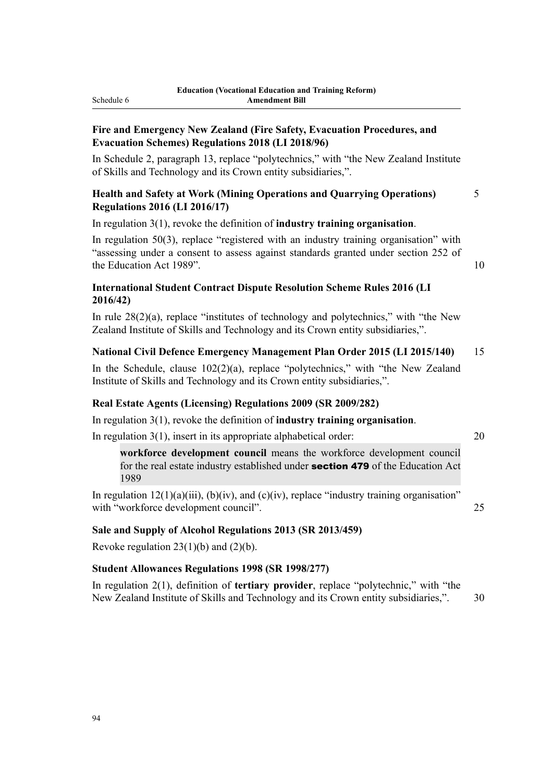## **Fire and Emergency New Zealand (Fire Safety, Evacuation Procedures, and Evacuation Schemes) Regulations 2018 (LI 2018/96)**

In Schedule 2, paragraph 13, replace "polytechnics," with "the New Zealand Institute of Skills and Technology and its Crown entity subsidiaries,".

# **Health and Safety at Work (Mining Operations and Quarrying Operations)** 5 **Regulations 2016 (LI 2016/17)**

In regulation 3(1), revoke the definition of **industry training organisation**.

In regulation 50(3), replace "registered with an industry training organisation" with "assessing under a consent to assess against standards granted under section 252 of the Education Act 1989". 10

# **International Student Contract Dispute Resolution Scheme Rules 2016 (LI 2016/42)**

In rule 28(2)(a), replace "institutes of technology and polytechnics," with "the New Zealand Institute of Skills and Technology and its Crown entity subsidiaries,".

# **National Civil Defence Emergency Management Plan Order 2015 (LI 2015/140)** 15

In the Schedule, clause 102(2)(a), replace "polytechnics," with "the New Zealand Institute of Skills and Technology and its Crown entity subsidiaries,".

# **Real Estate Agents (Licensing) Regulations 2009 (SR 2009/282)**

In regulation 3(1), revoke the definition of **industry training organisation**.

In regulation 3(1), insert in its appropriate alphabetical order: 20

**workforce development council** means the workforce development council for the real estate industry established under section 479 of the Education Act 1989

In regulation  $12(1)(a)(iii)$ ,  $(b)(iv)$ , and  $(c)(iv)$ , replace "industry training organisation" with "workforce development council". 25

# **Sale and Supply of Alcohol Regulations 2013 (SR 2013/459)**

Revoke regulation  $23(1)(b)$  and  $(2)(b)$ .

# **Student Allowances Regulations 1998 (SR 1998/277)**

In regulation 2(1), definition of **tertiary provider**, replace "polytechnic," with "the New Zealand Institute of Skills and Technology and its Crown entity subsidiaries,". 30